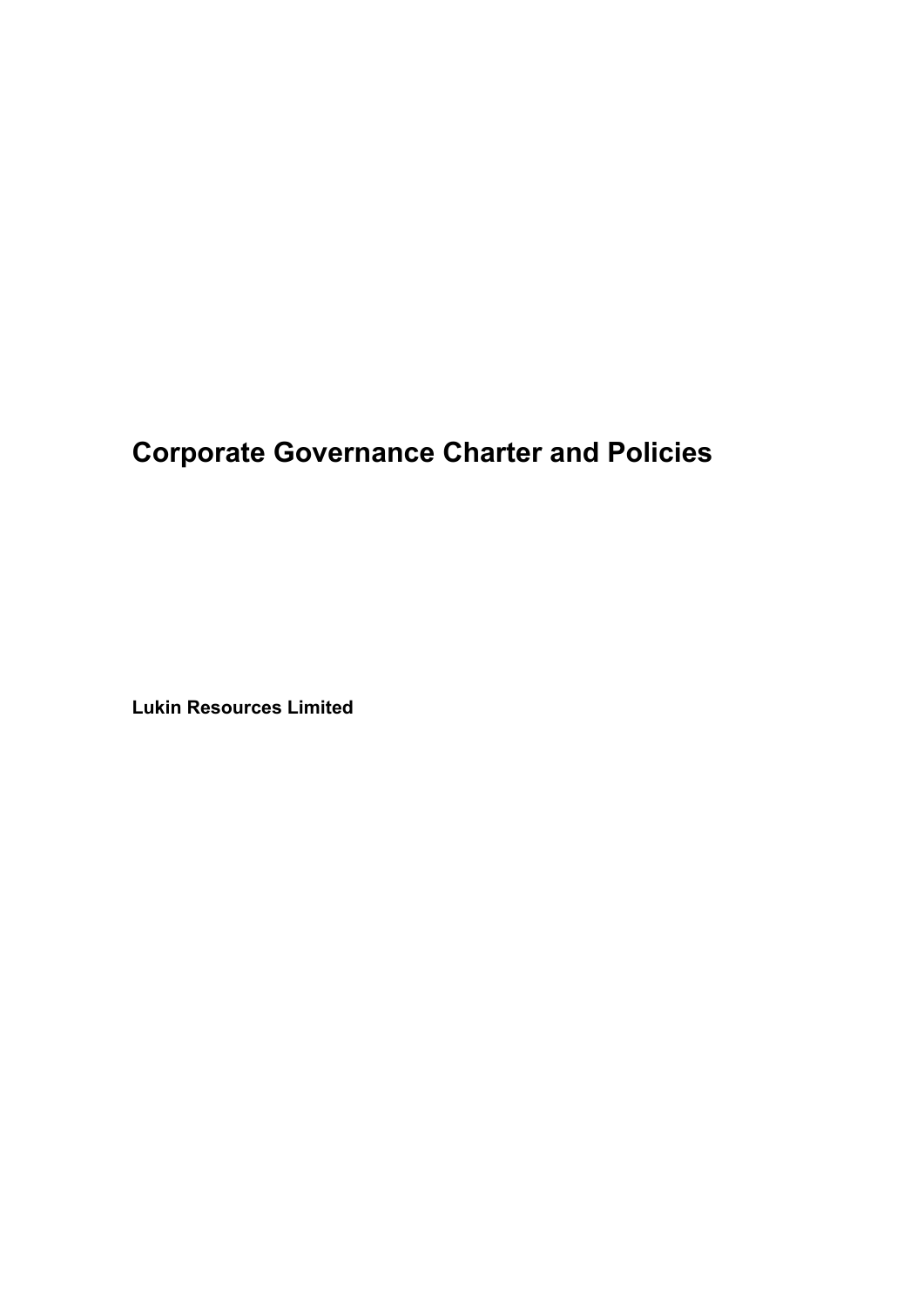# **Corporate Governance Charter and Policies**

**Lukin Resources Limited**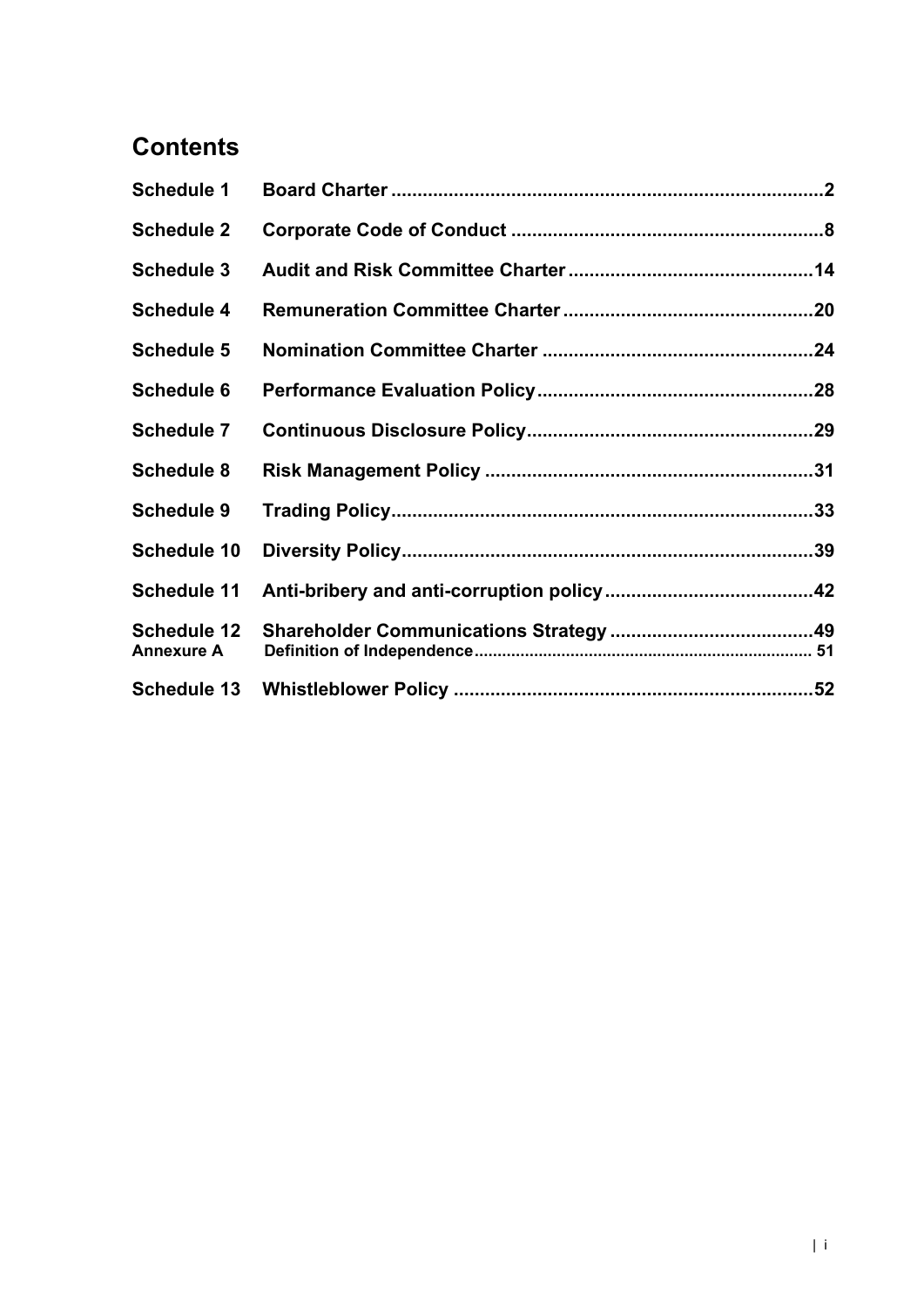# **Contents**

| <b>Schedule 1</b>                       |  |
|-----------------------------------------|--|
| <b>Schedule 2</b>                       |  |
| <b>Schedule 3</b>                       |  |
| <b>Schedule 4</b>                       |  |
| <b>Schedule 5</b>                       |  |
| <b>Schedule 6</b>                       |  |
| <b>Schedule 7</b>                       |  |
| <b>Schedule 8</b>                       |  |
| <b>Schedule 9</b>                       |  |
| <b>Schedule 10</b>                      |  |
| <b>Schedule 11</b>                      |  |
| <b>Schedule 12</b><br><b>Annexure A</b> |  |
|                                         |  |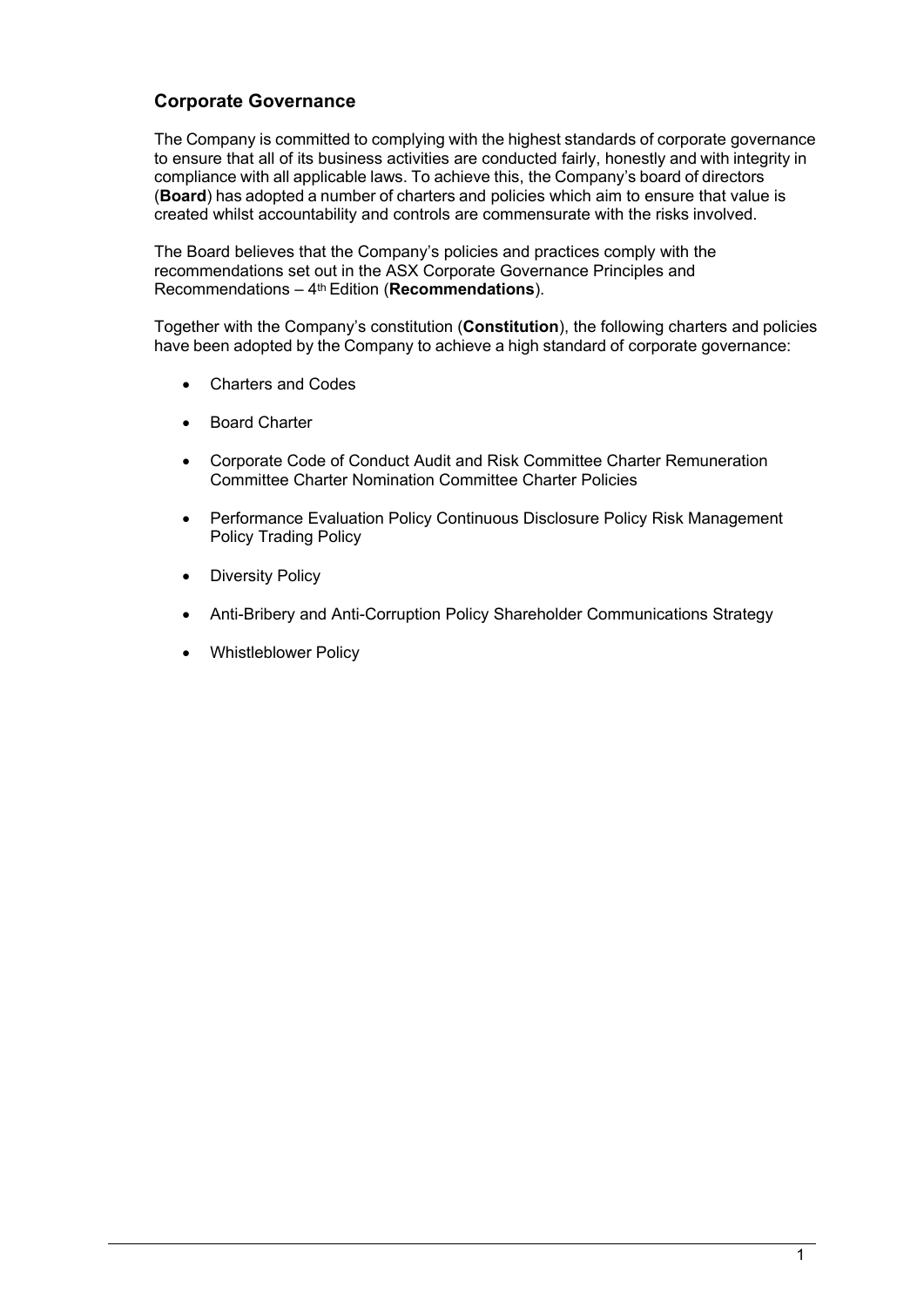# **Corporate Governance**

The Company is committed to complying with the highest standards of corporate governance to ensure that all of its business activities are conducted fairly, honestly and with integrity in compliance with all applicable laws. To achieve this, the Company's board of directors (**Board**) has adopted a number of charters and policies which aim to ensure that value is created whilst accountability and controls are commensurate with the risks involved.

The Board believes that the Company's policies and practices comply with the recommendations set out in the ASX Corporate Governance Principles and Recommendations – 4th Edition (**Recommendations**).

Together with the Company's constitution (**Constitution**), the following charters and policies have been adopted by the Company to achieve a high standard of corporate governance:

- Charters and Codes
- **Board Charter**
- Corporate Code of Conduct Audit and Risk Committee Charter Remuneration Committee Charter Nomination Committee Charter Policies
- Performance Evaluation Policy Continuous Disclosure Policy Risk Management Policy Trading Policy
- **Diversity Policy**
- Anti-Bribery and Anti-Corruption Policy Shareholder Communications Strategy
- Whistleblower Policy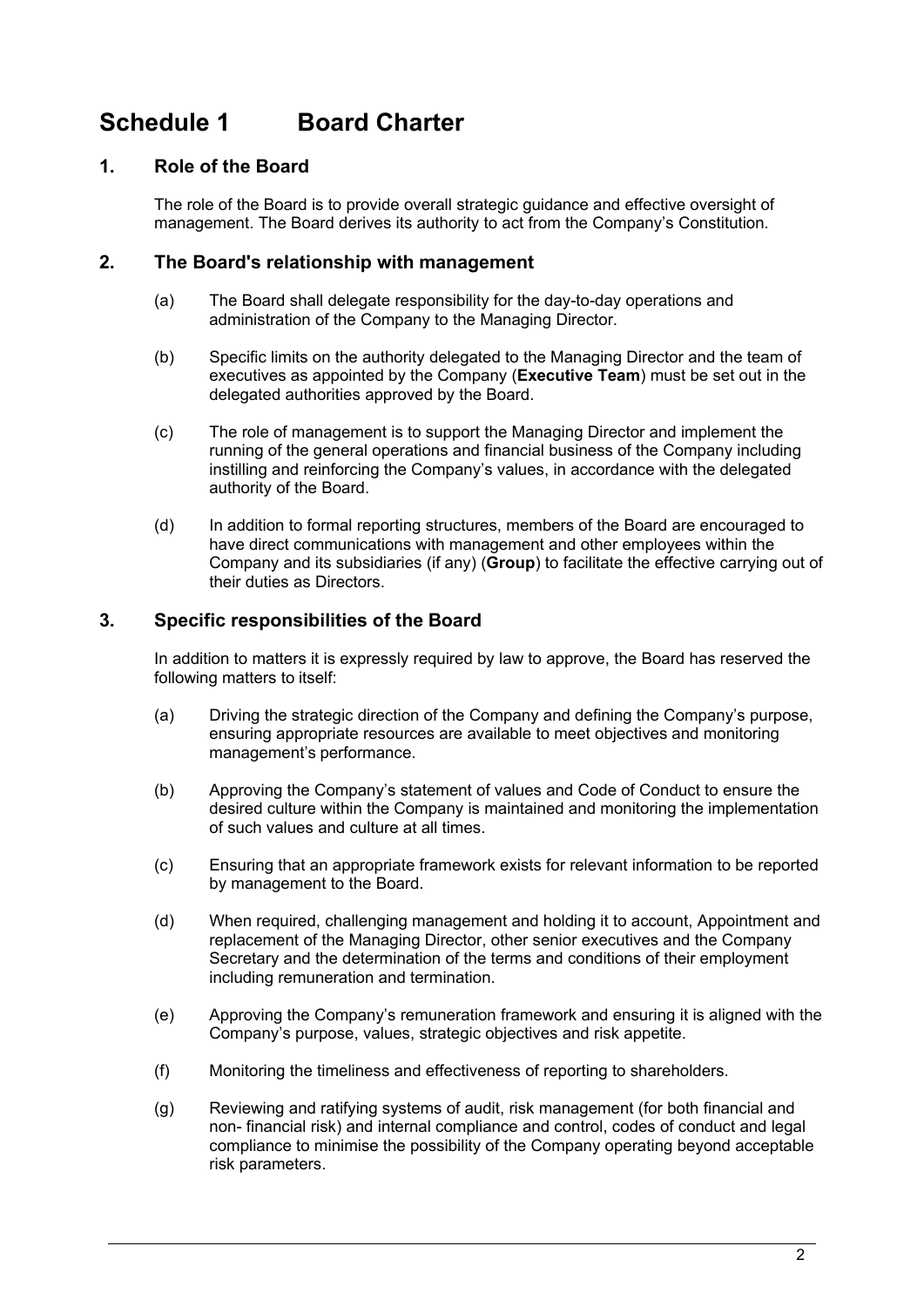# <span id="page-3-0"></span>**Schedule 1 Board Charter**

# **1. Role of the Board**

The role of the Board is to provide overall strategic guidance and effective oversight of management. The Board derives its authority to act from the Company's Constitution.

# **2. The Board's relationship with management**

- (a) The Board shall delegate responsibility for the day-to-day operations and administration of the Company to the Managing Director.
- (b) Specific limits on the authority delegated to the Managing Director and the team of executives as appointed by the Company (**Executive Team**) must be set out in the delegated authorities approved by the Board.
- (c) The role of management is to support the Managing Director and implement the running of the general operations and financial business of the Company including instilling and reinforcing the Company's values, in accordance with the delegated authority of the Board.
- (d) In addition to formal reporting structures, members of the Board are encouraged to have direct communications with management and other employees within the Company and its subsidiaries (if any) (**Group**) to facilitate the effective carrying out of their duties as Directors.

# **3. Specific responsibilities of the Board**

In addition to matters it is expressly required by law to approve, the Board has reserved the following matters to itself:

- (a) Driving the strategic direction of the Company and defining the Company's purpose, ensuring appropriate resources are available to meet objectives and monitoring management's performance.
- (b) Approving the Company's statement of values and Code of Conduct to ensure the desired culture within the Company is maintained and monitoring the implementation of such values and culture at all times.
- (c) Ensuring that an appropriate framework exists for relevant information to be reported by management to the Board.
- (d) When required, challenging management and holding it to account, Appointment and replacement of the Managing Director, other senior executives and the Company Secretary and the determination of the terms and conditions of their employment including remuneration and termination.
- (e) Approving the Company's remuneration framework and ensuring it is aligned with the Company's purpose, values, strategic objectives and risk appetite.
- (f) Monitoring the timeliness and effectiveness of reporting to shareholders.
- (g) Reviewing and ratifying systems of audit, risk management (for both financial and non- financial risk) and internal compliance and control, codes of conduct and legal compliance to minimise the possibility of the Company operating beyond acceptable risk parameters.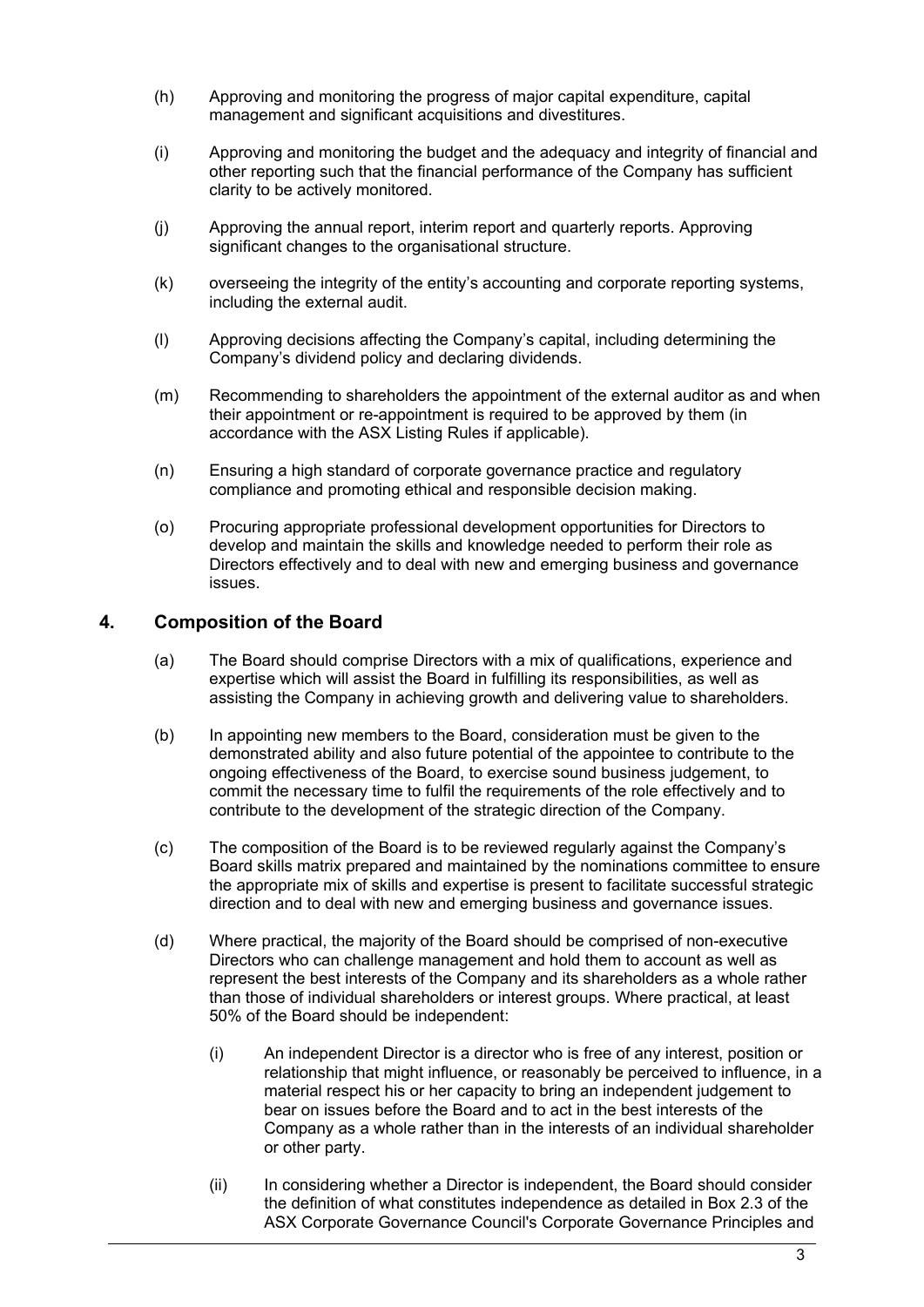- (h) Approving and monitoring the progress of major capital expenditure, capital management and significant acquisitions and divestitures.
- (i) Approving and monitoring the budget and the adequacy and integrity of financial and other reporting such that the financial performance of the Company has sufficient clarity to be actively monitored.
- (j) Approving the annual report, interim report and quarterly reports. Approving significant changes to the organisational structure.
- (k) overseeing the integrity of the entity's accounting and corporate reporting systems, including the external audit.
- (l) Approving decisions affecting the Company's capital, including determining the Company's dividend policy and declaring dividends.
- (m) Recommending to shareholders the appointment of the external auditor as and when their appointment or re-appointment is required to be approved by them (in accordance with the ASX Listing Rules if applicable).
- (n) Ensuring a high standard of corporate governance practice and regulatory compliance and promoting ethical and responsible decision making.
- (o) Procuring appropriate professional development opportunities for Directors to develop and maintain the skills and knowledge needed to perform their role as Directors effectively and to deal with new and emerging business and governance issues.

# **4. Composition of the Board**

- (a) The Board should comprise Directors with a mix of qualifications, experience and expertise which will assist the Board in fulfilling its responsibilities, as well as assisting the Company in achieving growth and delivering value to shareholders.
- (b) In appointing new members to the Board, consideration must be given to the demonstrated ability and also future potential of the appointee to contribute to the ongoing effectiveness of the Board, to exercise sound business judgement, to commit the necessary time to fulfil the requirements of the role effectively and to contribute to the development of the strategic direction of the Company.
- (c) The composition of the Board is to be reviewed regularly against the Company's Board skills matrix prepared and maintained by the nominations committee to ensure the appropriate mix of skills and expertise is present to facilitate successful strategic direction and to deal with new and emerging business and governance issues.
- (d) Where practical, the majority of the Board should be comprised of non-executive Directors who can challenge management and hold them to account as well as represent the best interests of the Company and its shareholders as a whole rather than those of individual shareholders or interest groups. Where practical, at least 50% of the Board should be independent:
	- (i) An independent Director is a director who is free of any interest, position or relationship that might influence, or reasonably be perceived to influence, in a material respect his or her capacity to bring an independent judgement to bear on issues before the Board and to act in the best interests of the Company as a whole rather than in the interests of an individual shareholder or other party.
	- (ii) In considering whether a Director is independent, the Board should consider the definition of what constitutes independence as detailed in Box 2.3 of the ASX Corporate Governance Council's Corporate Governance Principles and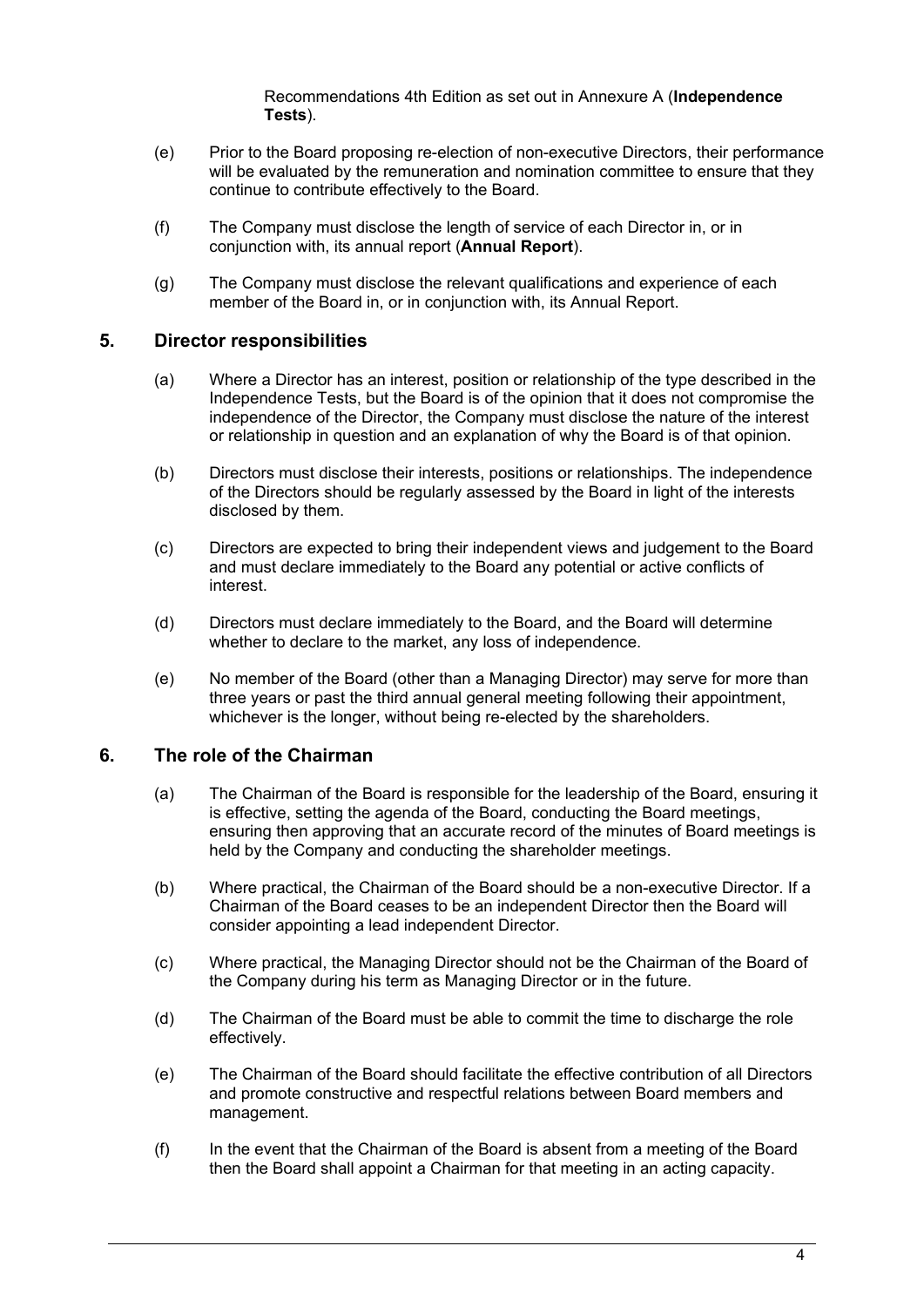Recommendations 4th Edition as set out in Annexure A (**Independence Tests**).

- (e) Prior to the Board proposing re-election of non-executive Directors, their performance will be evaluated by the remuneration and nomination committee to ensure that they continue to contribute effectively to the Board.
- (f) The Company must disclose the length of service of each Director in, or in conjunction with, its annual report (**Annual Report**).
- (g) The Company must disclose the relevant qualifications and experience of each member of the Board in, or in conjunction with, its Annual Report.

## **5. Director responsibilities**

- (a) Where a Director has an interest, position or relationship of the type described in the Independence Tests, but the Board is of the opinion that it does not compromise the independence of the Director, the Company must disclose the nature of the interest or relationship in question and an explanation of why the Board is of that opinion.
- (b) Directors must disclose their interests, positions or relationships. The independence of the Directors should be regularly assessed by the Board in light of the interests disclosed by them.
- (c) Directors are expected to bring their independent views and judgement to the Board and must declare immediately to the Board any potential or active conflicts of interest.
- (d) Directors must declare immediately to the Board, and the Board will determine whether to declare to the market, any loss of independence.
- (e) No member of the Board (other than a Managing Director) may serve for more than three years or past the third annual general meeting following their appointment, whichever is the longer, without being re-elected by the shareholders.

### **6. The role of the Chairman**

- (a) The Chairman of the Board is responsible for the leadership of the Board, ensuring it is effective, setting the agenda of the Board, conducting the Board meetings, ensuring then approving that an accurate record of the minutes of Board meetings is held by the Company and conducting the shareholder meetings.
- (b) Where practical, the Chairman of the Board should be a non-executive Director. If a Chairman of the Board ceases to be an independent Director then the Board will consider appointing a lead independent Director.
- (c) Where practical, the Managing Director should not be the Chairman of the Board of the Company during his term as Managing Director or in the future.
- (d) The Chairman of the Board must be able to commit the time to discharge the role effectively.
- (e) The Chairman of the Board should facilitate the effective contribution of all Directors and promote constructive and respectful relations between Board members and management.
- (f) In the event that the Chairman of the Board is absent from a meeting of the Board then the Board shall appoint a Chairman for that meeting in an acting capacity.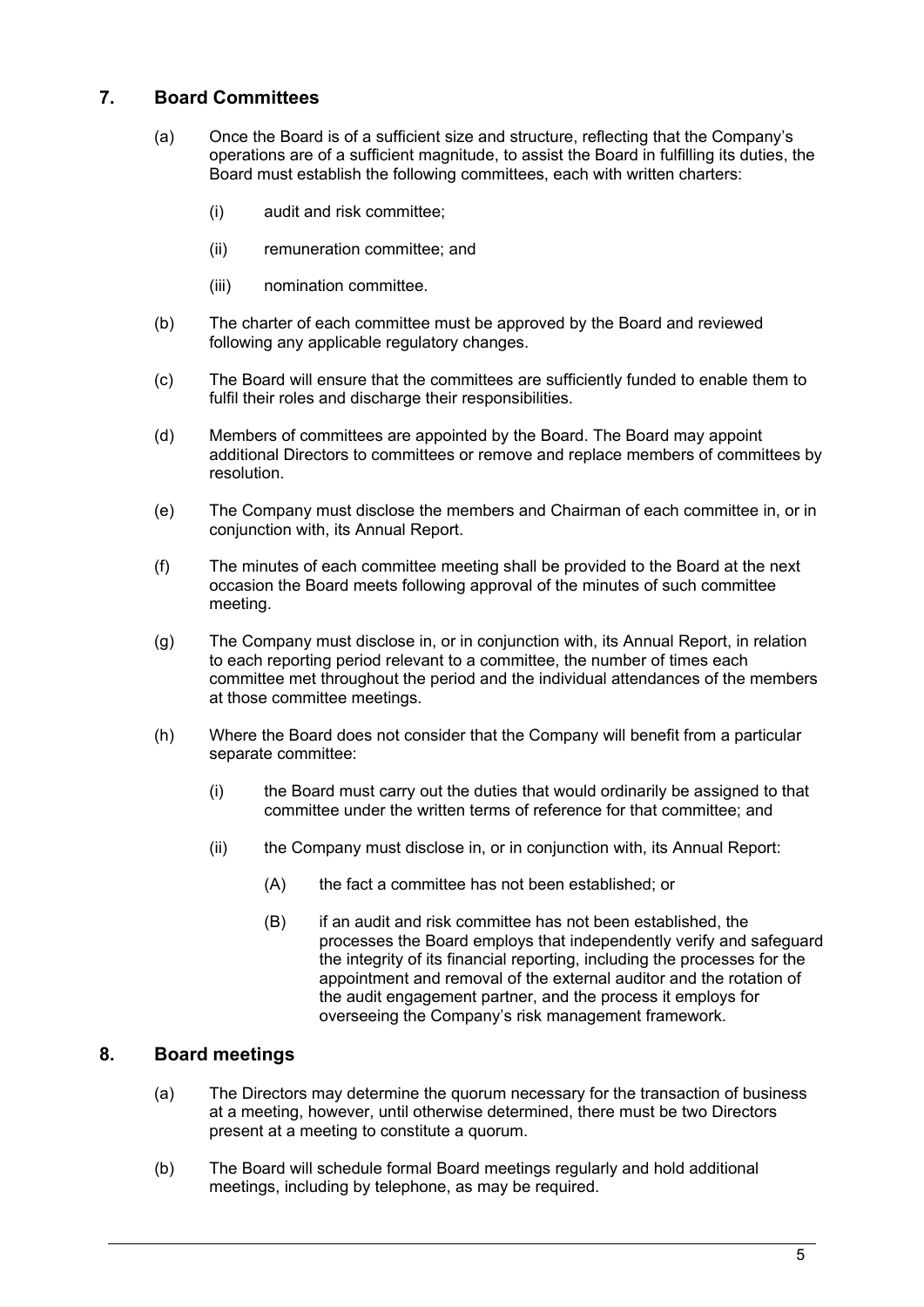# **7. Board Committees**

- (a) Once the Board is of a sufficient size and structure, reflecting that the Company's operations are of a sufficient magnitude, to assist the Board in fulfilling its duties, the Board must establish the following committees, each with written charters:
	- (i) audit and risk committee;
	- (ii) remuneration committee; and
	- (iii) nomination committee.
- (b) The charter of each committee must be approved by the Board and reviewed following any applicable regulatory changes.
- (c) The Board will ensure that the committees are sufficiently funded to enable them to fulfil their roles and discharge their responsibilities.
- (d) Members of committees are appointed by the Board. The Board may appoint additional Directors to committees or remove and replace members of committees by resolution.
- (e) The Company must disclose the members and Chairman of each committee in, or in conjunction with, its Annual Report.
- (f) The minutes of each committee meeting shall be provided to the Board at the next occasion the Board meets following approval of the minutes of such committee meeting.
- (g) The Company must disclose in, or in conjunction with, its Annual Report, in relation to each reporting period relevant to a committee, the number of times each committee met throughout the period and the individual attendances of the members at those committee meetings.
- (h) Where the Board does not consider that the Company will benefit from a particular separate committee:
	- (i) the Board must carry out the duties that would ordinarily be assigned to that committee under the written terms of reference for that committee; and
	- (ii) the Company must disclose in, or in conjunction with, its Annual Report:
		- (A) the fact a committee has not been established; or
		- (B) if an audit and risk committee has not been established, the processes the Board employs that independently verify and safeguard the integrity of its financial reporting, including the processes for the appointment and removal of the external auditor and the rotation of the audit engagement partner, and the process it employs for overseeing the Company's risk management framework.

# **8. Board meetings**

- (a) The Directors may determine the quorum necessary for the transaction of business at a meeting, however, until otherwise determined, there must be two Directors present at a meeting to constitute a quorum.
- (b) The Board will schedule formal Board meetings regularly and hold additional meetings, including by telephone, as may be required.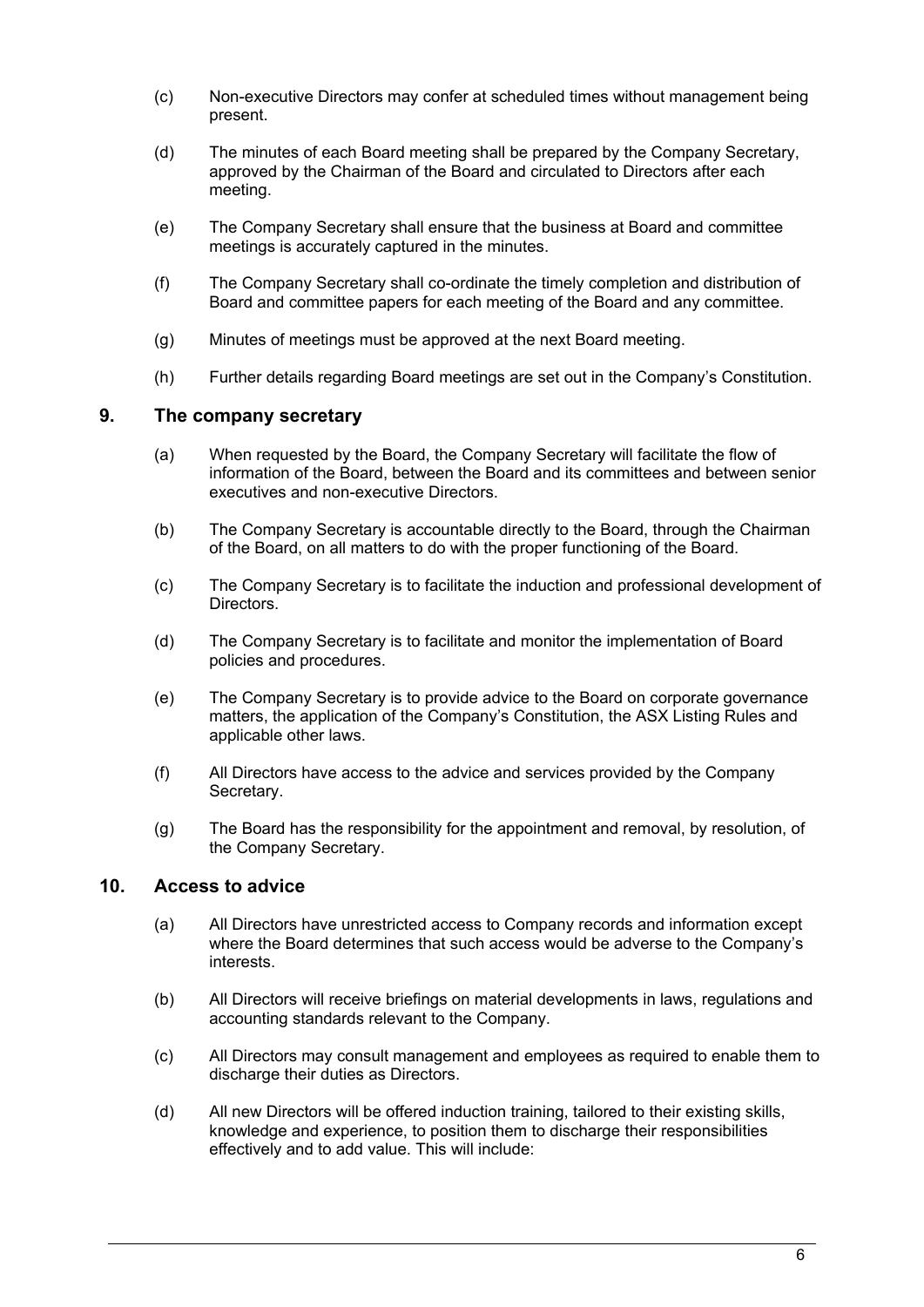- (c) Non-executive Directors may confer at scheduled times without management being present.
- (d) The minutes of each Board meeting shall be prepared by the Company Secretary, approved by the Chairman of the Board and circulated to Directors after each meeting.
- (e) The Company Secretary shall ensure that the business at Board and committee meetings is accurately captured in the minutes.
- (f) The Company Secretary shall co-ordinate the timely completion and distribution of Board and committee papers for each meeting of the Board and any committee.
- (g) Minutes of meetings must be approved at the next Board meeting.
- (h) Further details regarding Board meetings are set out in the Company's Constitution.

### **9. The company secretary**

- (a) When requested by the Board, the Company Secretary will facilitate the flow of information of the Board, between the Board and its committees and between senior executives and non-executive Directors.
- (b) The Company Secretary is accountable directly to the Board, through the Chairman of the Board, on all matters to do with the proper functioning of the Board.
- (c) The Company Secretary is to facilitate the induction and professional development of Directors.
- (d) The Company Secretary is to facilitate and monitor the implementation of Board policies and procedures.
- (e) The Company Secretary is to provide advice to the Board on corporate governance matters, the application of the Company's Constitution, the ASX Listing Rules and applicable other laws.
- (f) All Directors have access to the advice and services provided by the Company Secretary.
- (g) The Board has the responsibility for the appointment and removal, by resolution, of the Company Secretary.

### **10. Access to advice**

- (a) All Directors have unrestricted access to Company records and information except where the Board determines that such access would be adverse to the Company's interests.
- (b) All Directors will receive briefings on material developments in laws, regulations and accounting standards relevant to the Company.
- (c) All Directors may consult management and employees as required to enable them to discharge their duties as Directors.
- (d) All new Directors will be offered induction training, tailored to their existing skills, knowledge and experience, to position them to discharge their responsibilities effectively and to add value. This will include: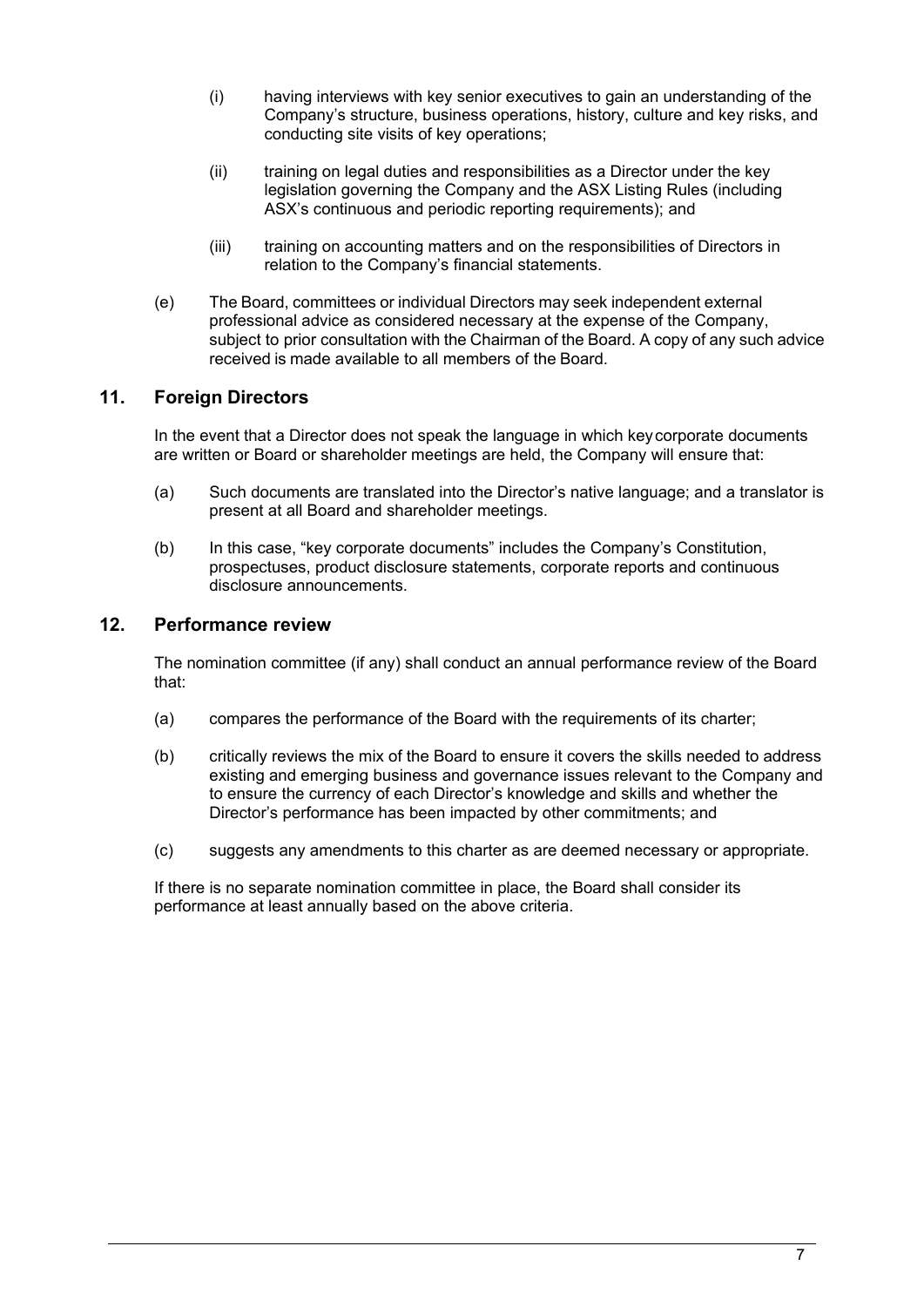- (i) having interviews with key senior executives to gain an understanding of the Company's structure, business operations, history, culture and key risks, and conducting site visits of key operations;
- (ii) training on legal duties and responsibilities as a Director under the key legislation governing the Company and the ASX Listing Rules (including ASX's continuous and periodic reporting requirements); and
- (iii) training on accounting matters and on the responsibilities of Directors in relation to the Company's financial statements.
- (e) The Board, committees or individual Directors may seek independent external professional advice as considered necessary at the expense of the Company, subject to prior consultation with the Chairman of the Board. A copy of any such advice received is made available to all members of the Board.

# **11. Foreign Directors**

In the event that a Director does not speak the language in which keycorporate documents are written or Board or shareholder meetings are held, the Company will ensure that:

- (a) Such documents are translated into the Director's native language; and a translator is present at all Board and shareholder meetings.
- (b) In this case, "key corporate documents" includes the Company's Constitution, prospectuses, product disclosure statements, corporate reports and continuous disclosure announcements.

# **12. Performance review**

The nomination committee (if any) shall conduct an annual performance review of the Board that:

- (a) compares the performance of the Board with the requirements of its charter;
- (b) critically reviews the mix of the Board to ensure it covers the skills needed to address existing and emerging business and governance issues relevant to the Company and to ensure the currency of each Director's knowledge and skills and whether the Director's performance has been impacted by other commitments; and
- (c) suggests any amendments to this charter as are deemed necessary or appropriate.

If there is no separate nomination committee in place, the Board shall consider its performance at least annually based on the above criteria.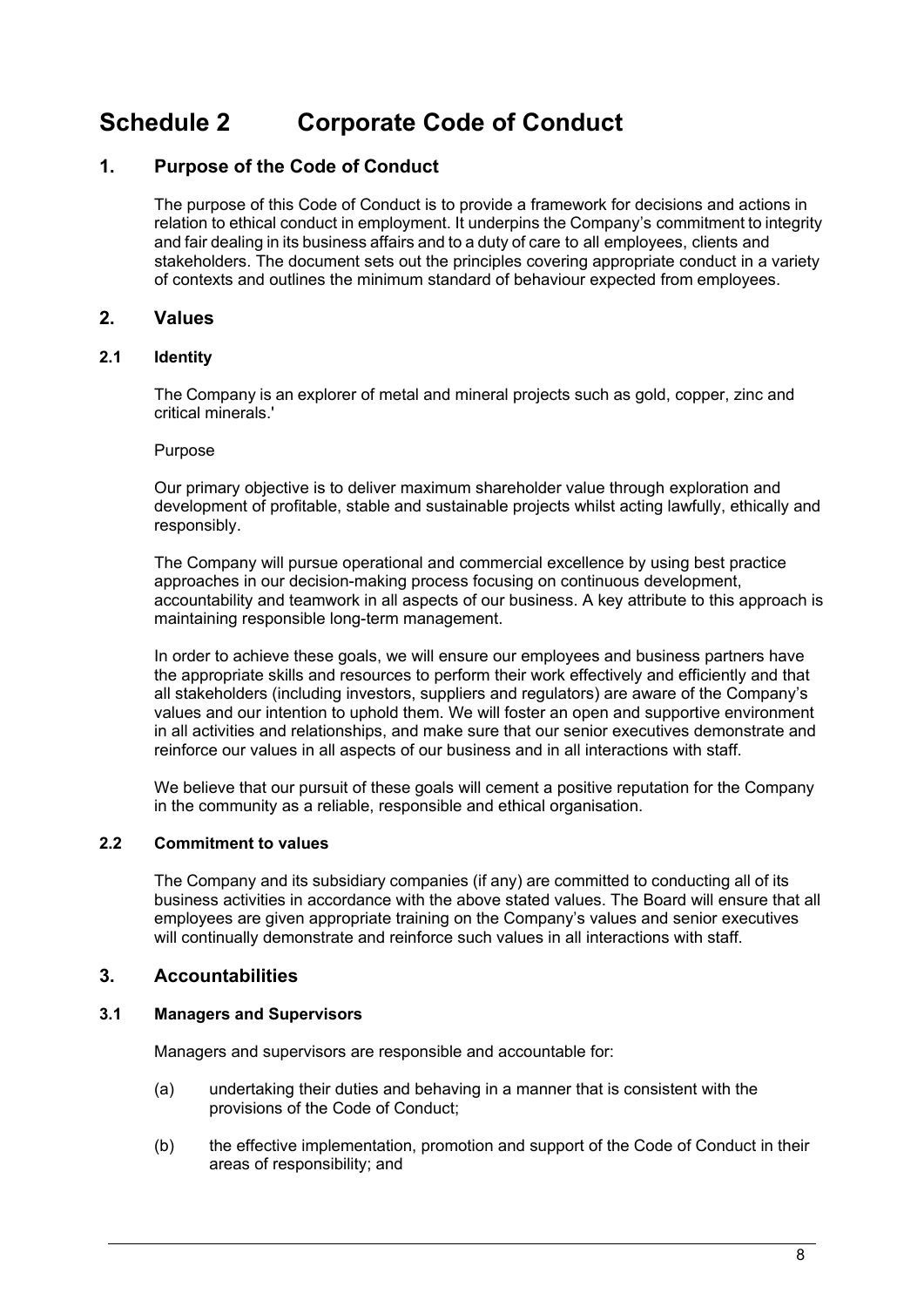# <span id="page-9-0"></span>**Schedule 2 Corporate Code of Conduct**

# **1. Purpose of the Code of Conduct**

The purpose of this Code of Conduct is to provide a framework for decisions and actions in relation to ethical conduct in employment. It underpins the Company's commitment to integrity and fair dealing in its business affairs and to a duty of care to all employees, clients and stakeholders. The document sets out the principles covering appropriate conduct in a variety of contexts and outlines the minimum standard of behaviour expected from employees.

## **2. Values**

#### **2.1 Identity**

The Company is an explorer of metal and mineral projects such as gold, copper, zinc and critical minerals.'

#### Purpose

Our primary objective is to deliver maximum shareholder value through exploration and development of profitable, stable and sustainable projects whilst acting lawfully, ethically and responsibly.

The Company will pursue operational and commercial excellence by using best practice approaches in our decision-making process focusing on continuous development, accountability and teamwork in all aspects of our business. A key attribute to this approach is maintaining responsible long-term management.

In order to achieve these goals, we will ensure our employees and business partners have the appropriate skills and resources to perform their work effectively and efficiently and that all stakeholders (including investors, suppliers and regulators) are aware of the Company's values and our intention to uphold them. We will foster an open and supportive environment in all activities and relationships, and make sure that our senior executives demonstrate and reinforce our values in all aspects of our business and in all interactions with staff.

We believe that our pursuit of these goals will cement a positive reputation for the Company in the community as a reliable, responsible and ethical organisation.

#### **2.2 Commitment to values**

The Company and its subsidiary companies (if any) are committed to conducting all of its business activities in accordance with the above stated values. The Board will ensure that all employees are given appropriate training on the Company's values and senior executives will continually demonstrate and reinforce such values in all interactions with staff.

#### **3. Accountabilities**

#### **3.1 Managers and Supervisors**

Managers and supervisors are responsible and accountable for:

- (a) undertaking their duties and behaving in a manner that is consistent with the provisions of the Code of Conduct;
- (b) the effective implementation, promotion and support of the Code of Conduct in their areas of responsibility; and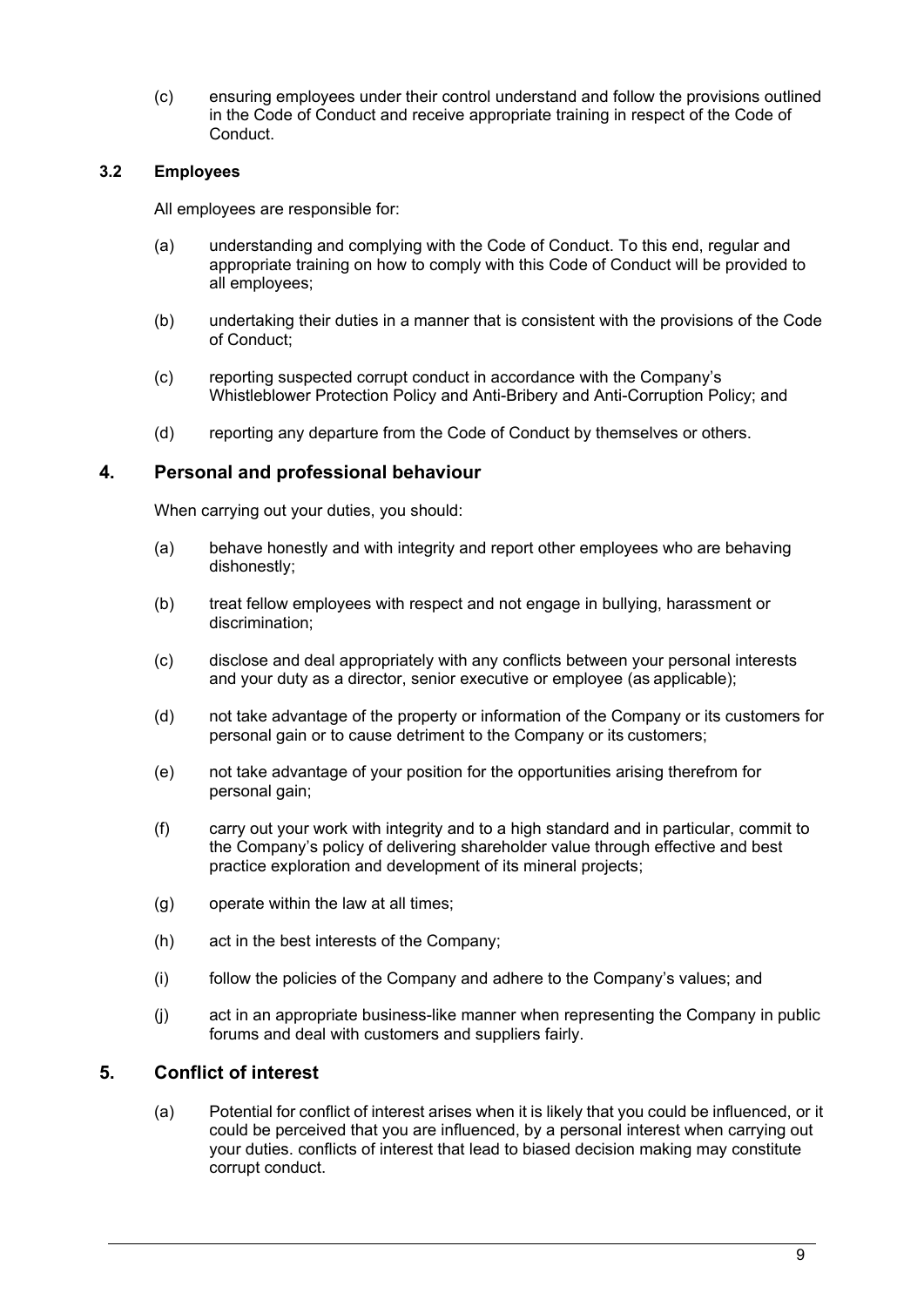(c) ensuring employees under their control understand and follow the provisions outlined in the Code of Conduct and receive appropriate training in respect of the Code of Conduct.

### **3.2 Employees**

All employees are responsible for:

- (a) understanding and complying with the Code of Conduct. To this end, regular and appropriate training on how to comply with this Code of Conduct will be provided to all employees;
- (b) undertaking their duties in a manner that is consistent with the provisions of the Code of Conduct;
- (c) reporting suspected corrupt conduct in accordance with the Company's Whistleblower Protection Policy and Anti-Bribery and Anti-Corruption Policy; and
- (d) reporting any departure from the Code of Conduct by themselves or others.

## **4. Personal and professional behaviour**

When carrying out your duties, you should:

- (a) behave honestly and with integrity and report other employees who are behaving dishonestly;
- (b) treat fellow employees with respect and not engage in bullying, harassment or discrimination;
- (c) disclose and deal appropriately with any conflicts between your personal interests and your duty as a director, senior executive or employee (as applicable);
- (d) not take advantage of the property or information of the Company or its customers for personal gain or to cause detriment to the Company or its customers;
- (e) not take advantage of your position for the opportunities arising therefrom for personal gain;
- (f) carry out your work with integrity and to a high standard and in particular, commit to the Company's policy of delivering shareholder value through effective and best practice exploration and development of its mineral projects;
- (g) operate within the law at all times;
- (h) act in the best interests of the Company;
- (i) follow the policies of the Company and adhere to the Company's values; and
- (j) act in an appropriate business-like manner when representing the Company in public forums and deal with customers and suppliers fairly.

# **5. Conflict of interest**

(a) Potential for conflict of interest arises when it is likely that you could be influenced, or it could be perceived that you are influenced, by a personal interest when carrying out your duties. conflicts of interest that lead to biased decision making may constitute corrupt conduct.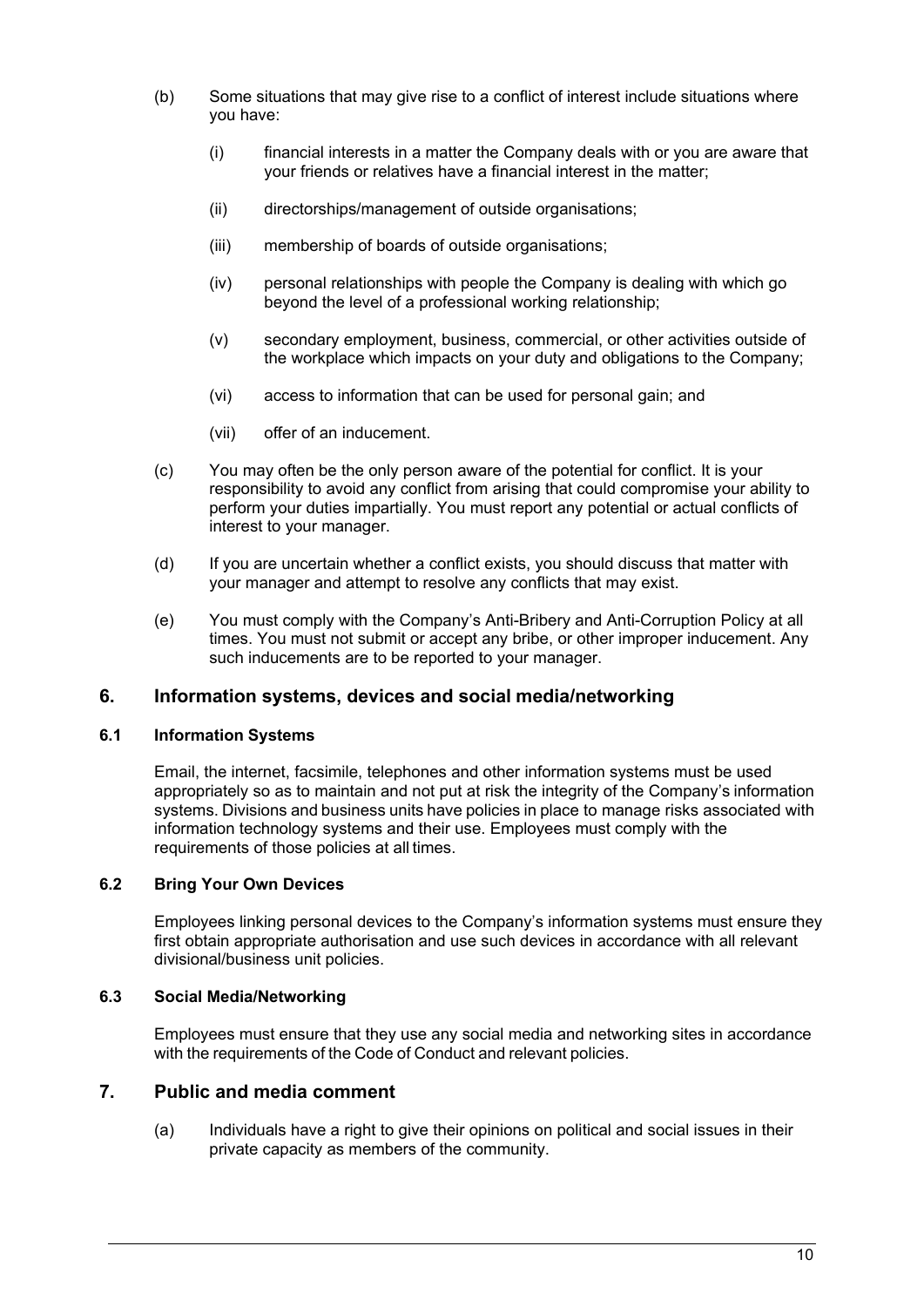- (b) Some situations that may give rise to a conflict of interest include situations where you have:
	- (i) financial interests in a matter the Company deals with or you are aware that your friends or relatives have a financial interest in the matter;
	- (ii) directorships/management of outside organisations;
	- (iii) membership of boards of outside organisations;
	- (iv) personal relationships with people the Company is dealing with which go beyond the level of a professional working relationship;
	- (v) secondary employment, business, commercial, or other activities outside of the workplace which impacts on your duty and obligations to the Company;
	- (vi) access to information that can be used for personal gain; and
	- (vii) offer of an inducement.
- (c) You may often be the only person aware of the potential for conflict. It is your responsibility to avoid any conflict from arising that could compromise your ability to perform your duties impartially. You must report any potential or actual conflicts of interest to your manager.
- (d) If you are uncertain whether a conflict exists, you should discuss that matter with your manager and attempt to resolve any conflicts that may exist.
- (e) You must comply with the Company's Anti-Bribery and Anti-Corruption Policy at all times. You must not submit or accept any bribe, or other improper inducement. Any such inducements are to be reported to your manager.

### **6. Information systems, devices and social media/networking**

#### **6.1 Information Systems**

Email, the internet, facsimile, telephones and other information systems must be used appropriately so as to maintain and not put at risk the integrity of the Company's information systems. Divisions and business units have policies in place to manage risks associated with information technology systems and their use. Employees must comply with the requirements of those policies at all times.

#### **6.2 Bring Your Own Devices**

Employees linking personal devices to the Company's information systems must ensure they first obtain appropriate authorisation and use such devices in accordance with all relevant divisional/business unit policies.

#### **6.3 Social Media/Networking**

Employees must ensure that they use any social media and networking sites in accordance with the requirements of the Code of Conduct and relevant policies.

### **7. Public and media comment**

(a) Individuals have a right to give their opinions on political and social issues in their private capacity as members of the community.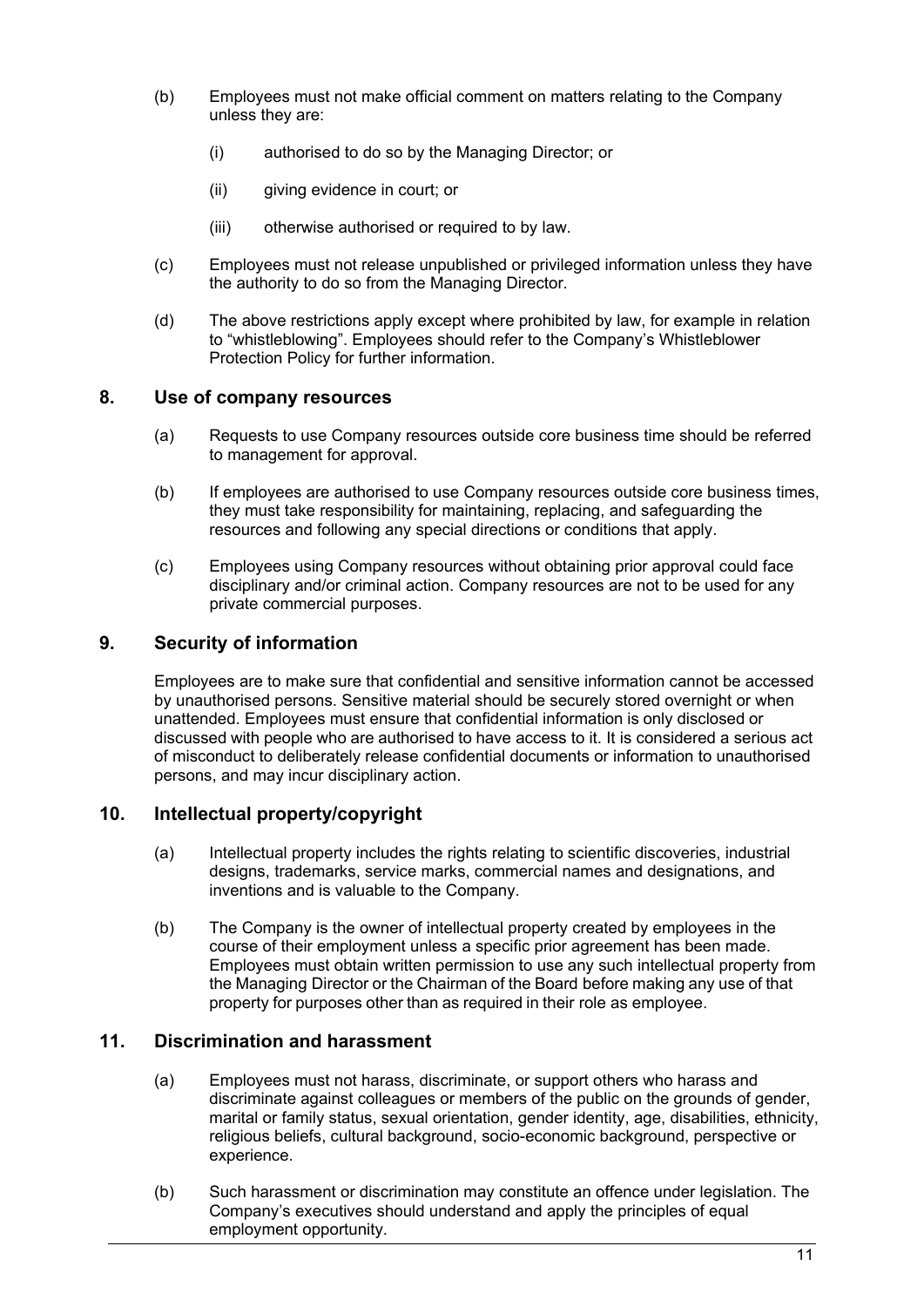- (b) Employees must not make official comment on matters relating to the Company unless they are:
	- (i) authorised to do so by the Managing Director; or
	- (ii) giving evidence in court; or
	- (iii) otherwise authorised or required to by law.
- (c) Employees must not release unpublished or privileged information unless they have the authority to do so from the Managing Director.
- (d) The above restrictions apply except where prohibited by law, for example in relation to "whistleblowing". Employees should refer to the Company's Whistleblower Protection Policy for further information.

### **8. Use of company resources**

- (a) Requests to use Company resources outside core business time should be referred to management for approval.
- (b) If employees are authorised to use Company resources outside core business times, they must take responsibility for maintaining, replacing, and safeguarding the resources and following any special directions or conditions that apply.
- (c) Employees using Company resources without obtaining prior approval could face disciplinary and/or criminal action. Company resources are not to be used for any private commercial purposes.

## **9. Security of information**

Employees are to make sure that confidential and sensitive information cannot be accessed by unauthorised persons. Sensitive material should be securely stored overnight or when unattended. Employees must ensure that confidential information is only disclosed or discussed with people who are authorised to have access to it. It is considered a serious act of misconduct to deliberately release confidential documents or information to unauthorised persons, and may incur disciplinary action.

### **10. Intellectual property/copyright**

- (a) Intellectual property includes the rights relating to scientific discoveries, industrial designs, trademarks, service marks, commercial names and designations, and inventions and is valuable to the Company.
- (b) The Company is the owner of intellectual property created by employees in the course of their employment unless a specific prior agreement has been made. Employees must obtain written permission to use any such intellectual property from the Managing Director or the Chairman of the Board before making any use of that property for purposes other than as required in their role as employee.

### **11. Discrimination and harassment**

- (a) Employees must not harass, discriminate, or support others who harass and discriminate against colleagues or members of the public on the grounds of gender, marital or family status, sexual orientation, gender identity, age, disabilities, ethnicity, religious beliefs, cultural background, socio-economic background, perspective or experience.
- (b) Such harassment or discrimination may constitute an offence under legislation. The Company's executives should understand and apply the principles of equal employment opportunity.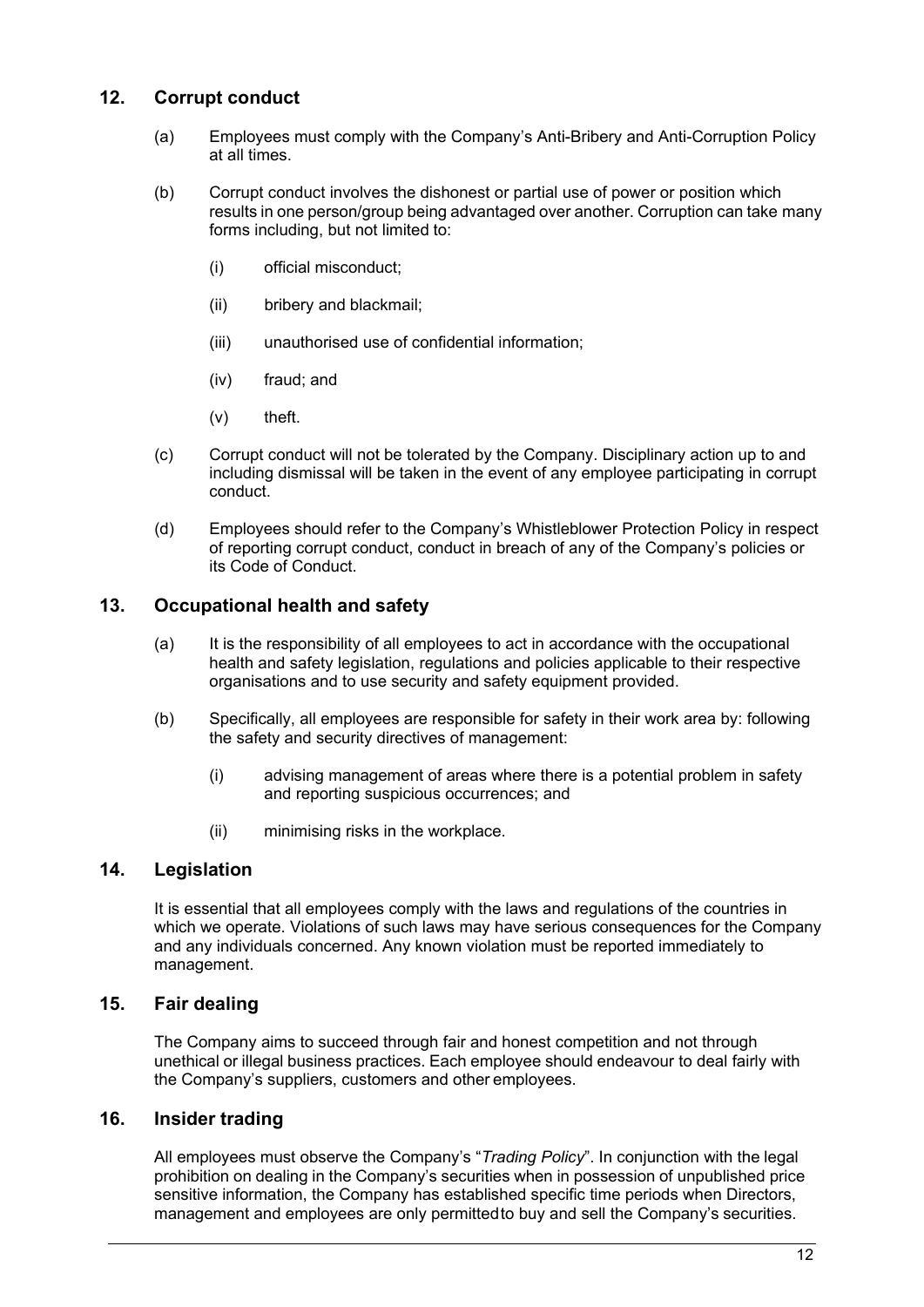# **12. Corrupt conduct**

- (a) Employees must comply with the Company's Anti-Bribery and Anti-Corruption Policy at all times.
- (b) Corrupt conduct involves the dishonest or partial use of power or position which results in one person/group being advantaged over another. Corruption can take many forms including, but not limited to:
	- (i) official misconduct;
	- (ii) bribery and blackmail;
	- (iii) unauthorised use of confidential information;
	- (iv) fraud; and
	- (v) theft.
- (c) Corrupt conduct will not be tolerated by the Company. Disciplinary action up to and including dismissal will be taken in the event of any employee participating in corrupt conduct.
- (d) Employees should refer to the Company's Whistleblower Protection Policy in respect of reporting corrupt conduct, conduct in breach of any of the Company's policies or its Code of Conduct.

# **13. Occupational health and safety**

- (a) It is the responsibility of all employees to act in accordance with the occupational health and safety legislation, regulations and policies applicable to their respective organisations and to use security and safety equipment provided.
- (b) Specifically, all employees are responsible for safety in their work area by: following the safety and security directives of management:
	- (i) advising management of areas where there is a potential problem in safety and reporting suspicious occurrences; and
	- (ii) minimising risks in the workplace.

# **14. Legislation**

It is essential that all employees comply with the laws and regulations of the countries in which we operate. Violations of such laws may have serious consequences for the Company and any individuals concerned. Any known violation must be reported immediately to management.

# **15. Fair dealing**

The Company aims to succeed through fair and honest competition and not through unethical or illegal business practices. Each employee should endeavour to deal fairly with the Company's suppliers, customers and other employees.

### **16. Insider trading**

All employees must observe the Company's "*Trading Policy*". In conjunction with the legal prohibition on dealing in the Company's securities when in possession of unpublished price sensitive information, the Company has established specific time periods when Directors, management and employees are only permittedto buy and sell the Company's securities.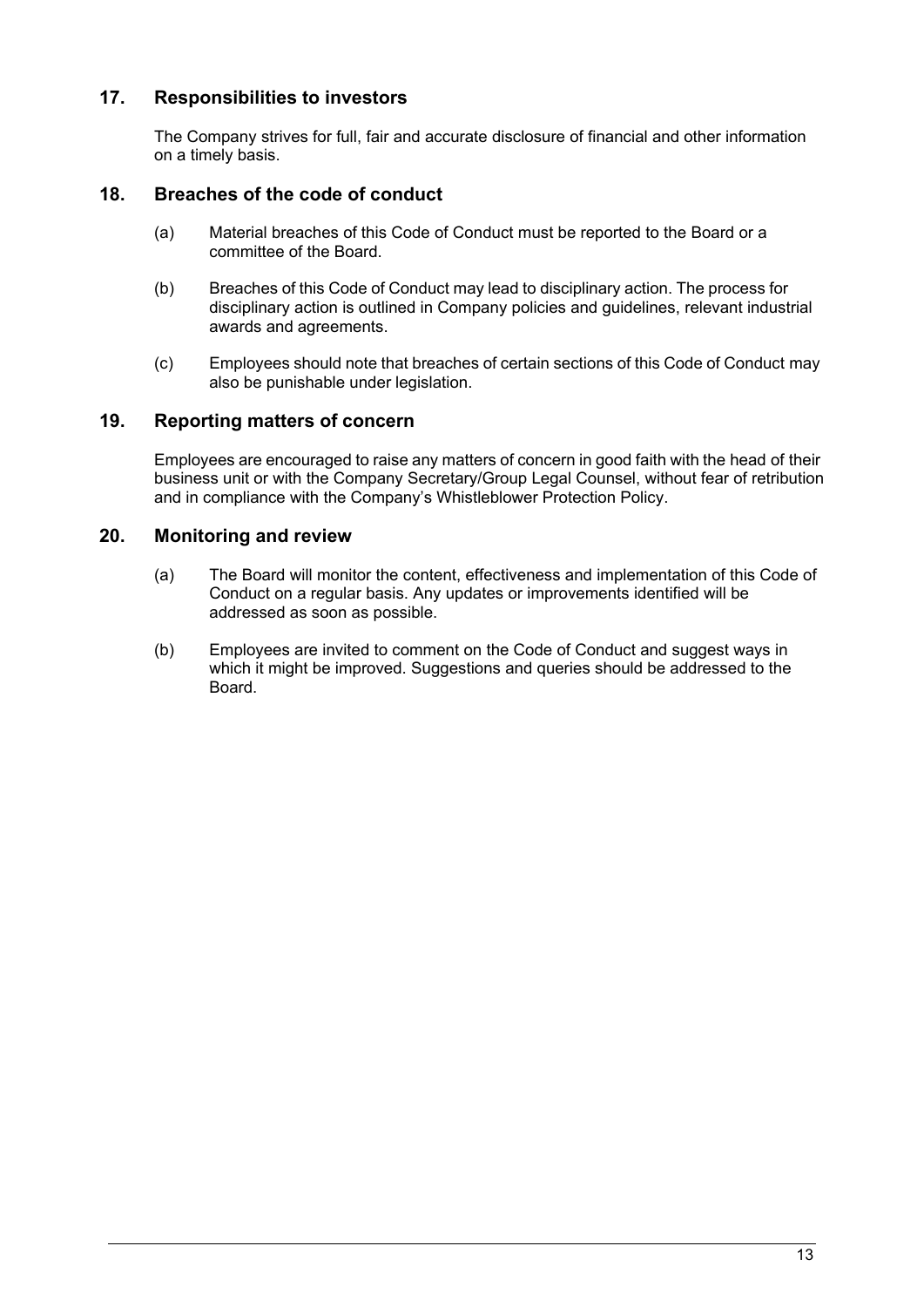# **17. Responsibilities to investors**

The Company strives for full, fair and accurate disclosure of financial and other information on a timely basis.

## **18. Breaches of the code of conduct**

- (a) Material breaches of this Code of Conduct must be reported to the Board or a committee of the Board.
- (b) Breaches of this Code of Conduct may lead to disciplinary action. The process for disciplinary action is outlined in Company policies and guidelines, relevant industrial awards and agreements.
- (c) Employees should note that breaches of certain sections of this Code of Conduct may also be punishable under legislation.

## **19. Reporting matters of concern**

Employees are encouraged to raise any matters of concern in good faith with the head of their business unit or with the Company Secretary/Group Legal Counsel, without fear of retribution and in compliance with the Company's Whistleblower Protection Policy.

## **20. Monitoring and review**

- (a) The Board will monitor the content, effectiveness and implementation of this Code of Conduct on a regular basis. Any updates or improvements identified will be addressed as soon as possible.
- (b) Employees are invited to comment on the Code of Conduct and suggest ways in which it might be improved. Suggestions and queries should be addressed to the Board.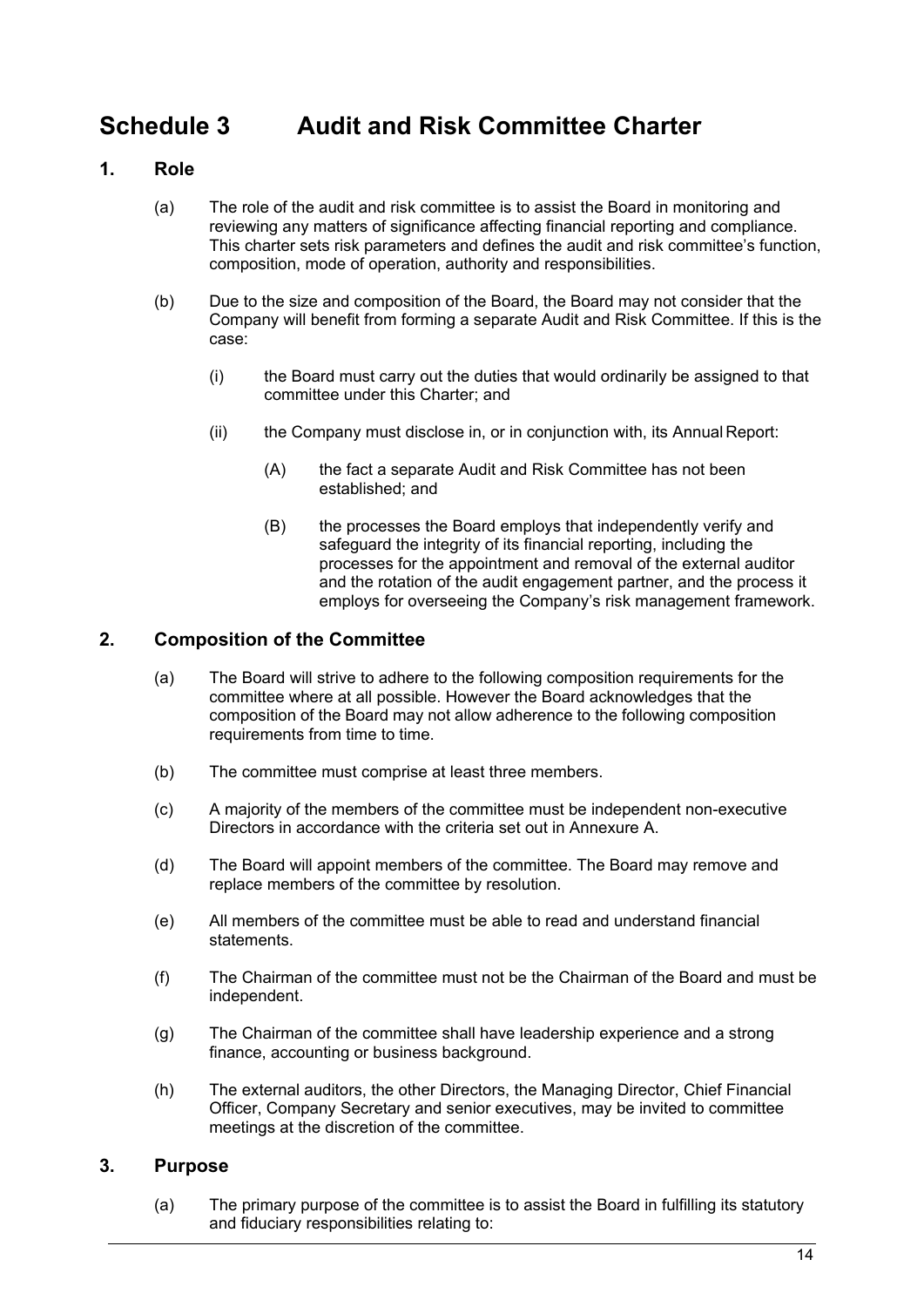# <span id="page-15-0"></span>**Schedule 3 Audit and Risk Committee Charter**

# **1. Role**

- (a) The role of the audit and risk committee is to assist the Board in monitoring and reviewing any matters of significance affecting financial reporting and compliance. This charter sets risk parameters and defines the audit and risk committee's function, composition, mode of operation, authority and responsibilities.
- (b) Due to the size and composition of the Board, the Board may not consider that the Company will benefit from forming a separate Audit and Risk Committee. If this is the case:
	- (i) the Board must carry out the duties that would ordinarily be assigned to that committee under this Charter; and
	- (ii) the Company must disclose in, or in conjunction with, its Annual Report:
		- (A) the fact a separate Audit and Risk Committee has not been established; and
		- (B) the processes the Board employs that independently verify and safeguard the integrity of its financial reporting, including the processes for the appointment and removal of the external auditor and the rotation of the audit engagement partner, and the process it employs for overseeing the Company's risk management framework.

# **2. Composition of the Committee**

- (a) The Board will strive to adhere to the following composition requirements for the committee where at all possible. However the Board acknowledges that the composition of the Board may not allow adherence to the following composition requirements from time to time.
- (b) The committee must comprise at least three members.
- (c) A majority of the members of the committee must be independent non-executive Directors in accordance with the criteria set out in Annexure A.
- (d) The Board will appoint members of the committee. The Board may remove and replace members of the committee by resolution.
- (e) All members of the committee must be able to read and understand financial statements.
- (f) The Chairman of the committee must not be the Chairman of the Board and must be independent.
- (g) The Chairman of the committee shall have leadership experience and a strong finance, accounting or business background.
- (h) The external auditors, the other Directors, the Managing Director, Chief Financial Officer, Company Secretary and senior executives, may be invited to committee meetings at the discretion of the committee.

# **3. Purpose**

(a) The primary purpose of the committee is to assist the Board in fulfilling its statutory and fiduciary responsibilities relating to: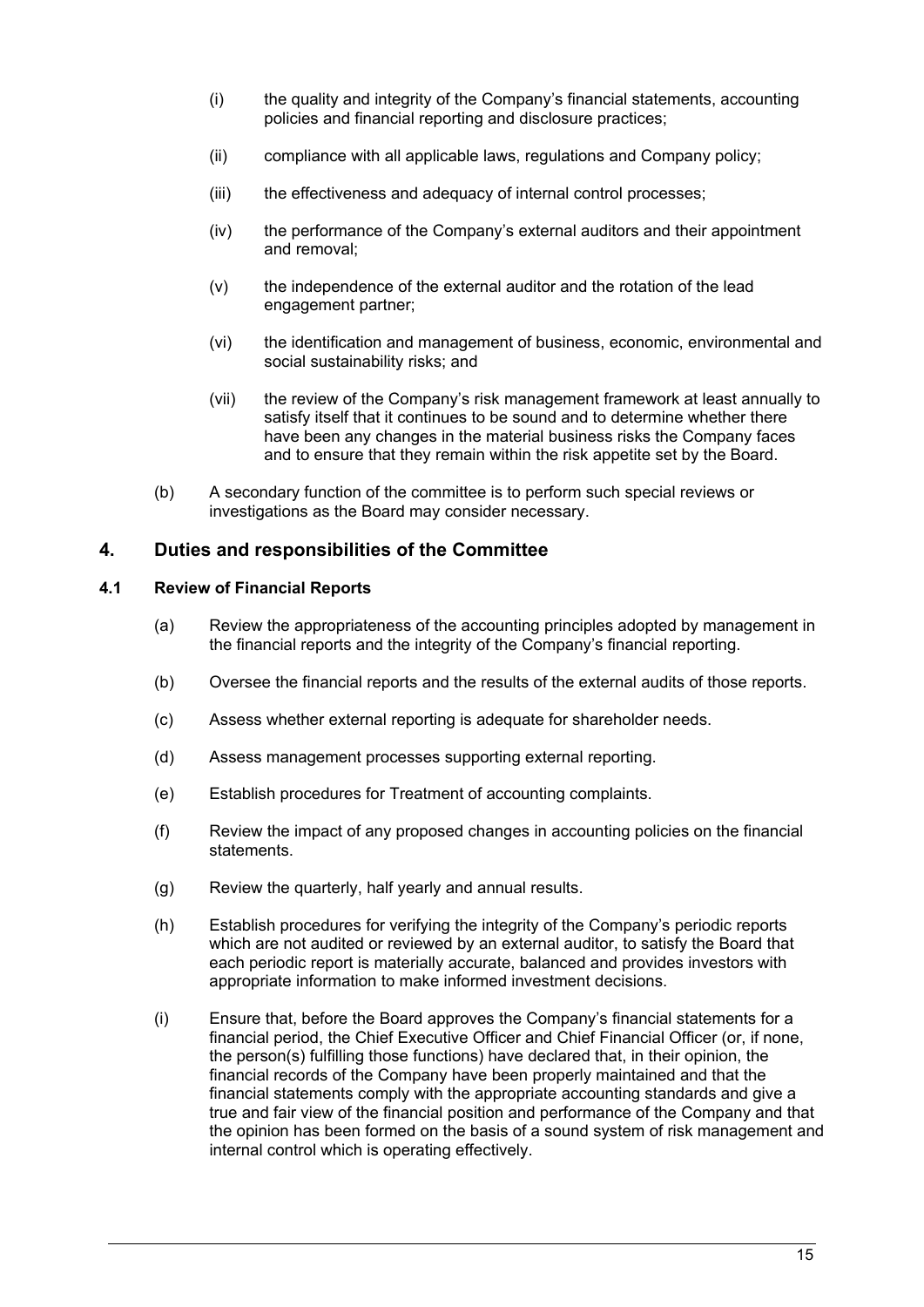- (i) the quality and integrity of the Company's financial statements, accounting policies and financial reporting and disclosure practices;
- (ii) compliance with all applicable laws, regulations and Company policy;
- (iii) the effectiveness and adequacy of internal control processes;
- (iv) the performance of the Company's external auditors and their appointment and removal;
- (v) the independence of the external auditor and the rotation of the lead engagement partner;
- (vi) the identification and management of business, economic, environmental and social sustainability risks; and
- (vii) the review of the Company's risk management framework at least annually to satisfy itself that it continues to be sound and to determine whether there have been any changes in the material business risks the Company faces and to ensure that they remain within the risk appetite set by the Board.
- (b) A secondary function of the committee is to perform such special reviews or investigations as the Board may consider necessary.

## **4. Duties and responsibilities of the Committee**

#### **4.1 Review of Financial Reports**

- (a) Review the appropriateness of the accounting principles adopted by management in the financial reports and the integrity of the Company's financial reporting.
- (b) Oversee the financial reports and the results of the external audits of those reports.
- (c) Assess whether external reporting is adequate for shareholder needs.
- (d) Assess management processes supporting external reporting.
- (e) Establish procedures for Treatment of accounting complaints.
- (f) Review the impact of any proposed changes in accounting policies on the financial statements.
- (g) Review the quarterly, half yearly and annual results.
- (h) Establish procedures for verifying the integrity of the Company's periodic reports which are not audited or reviewed by an external auditor, to satisfy the Board that each periodic report is materially accurate, balanced and provides investors with appropriate information to make informed investment decisions.
- (i) Ensure that, before the Board approves the Company's financial statements for a financial period, the Chief Executive Officer and Chief Financial Officer (or, if none, the person(s) fulfilling those functions) have declared that, in their opinion, the financial records of the Company have been properly maintained and that the financial statements comply with the appropriate accounting standards and give a true and fair view of the financial position and performance of the Company and that the opinion has been formed on the basis of a sound system of risk management and internal control which is operating effectively.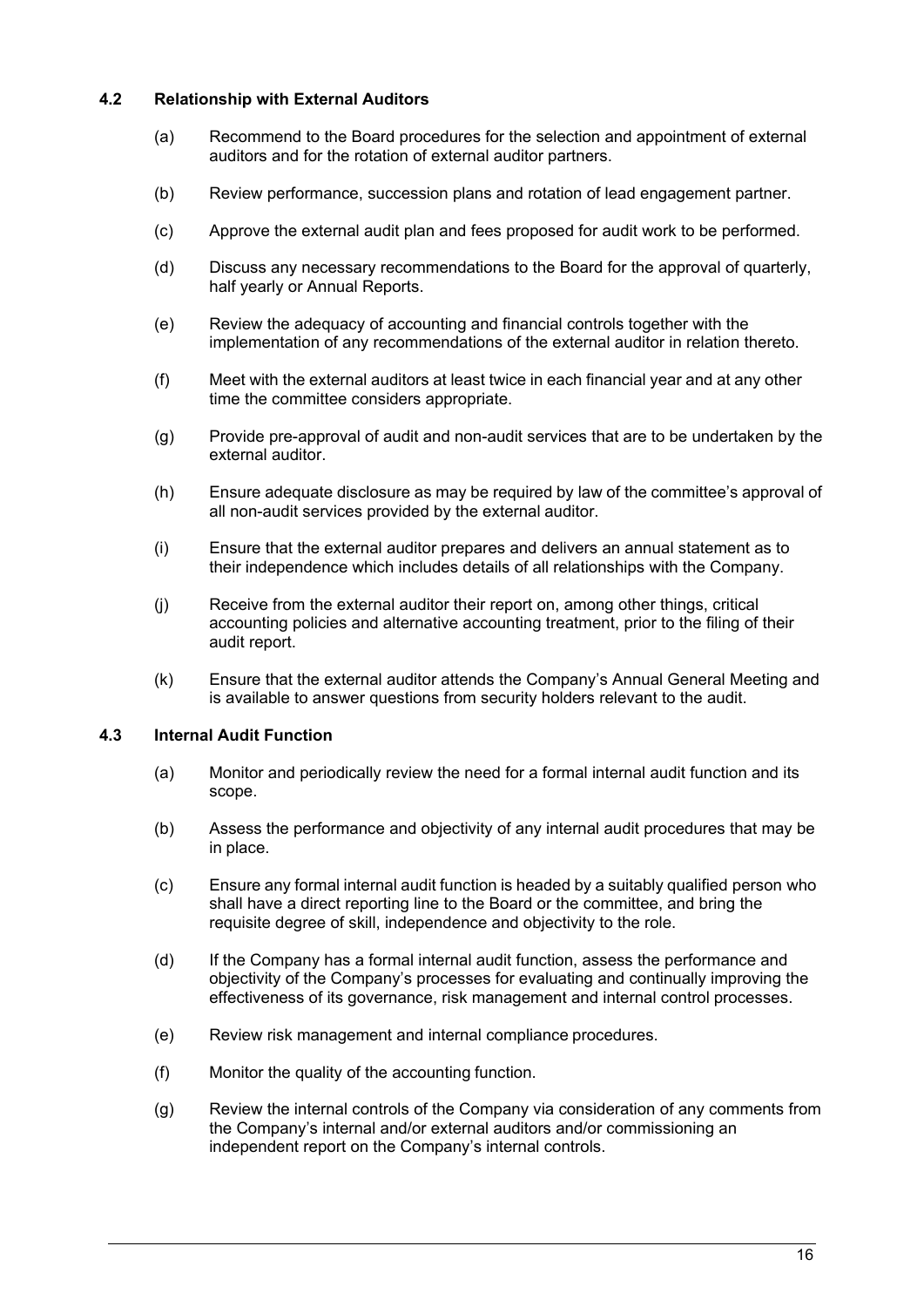### **4.2 Relationship with External Auditors**

- (a) Recommend to the Board procedures for the selection and appointment of external auditors and for the rotation of external auditor partners.
- (b) Review performance, succession plans and rotation of lead engagement partner.
- (c) Approve the external audit plan and fees proposed for audit work to be performed.
- (d) Discuss any necessary recommendations to the Board for the approval of quarterly, half yearly or Annual Reports.
- (e) Review the adequacy of accounting and financial controls together with the implementation of any recommendations of the external auditor in relation thereto.
- (f) Meet with the external auditors at least twice in each financial year and at any other time the committee considers appropriate.
- (g) Provide pre-approval of audit and non-audit services that are to be undertaken by the external auditor.
- (h) Ensure adequate disclosure as may be required by law of the committee's approval of all non-audit services provided by the external auditor.
- (i) Ensure that the external auditor prepares and delivers an annual statement as to their independence which includes details of all relationships with the Company.
- (j) Receive from the external auditor their report on, among other things, critical accounting policies and alternative accounting treatment, prior to the filing of their audit report.
- (k) Ensure that the external auditor attends the Company's Annual General Meeting and is available to answer questions from security holders relevant to the audit.

#### **4.3 Internal Audit Function**

- (a) Monitor and periodically review the need for a formal internal audit function and its scope.
- (b) Assess the performance and objectivity of any internal audit procedures that may be in place.
- (c) Ensure any formal internal audit function is headed by a suitably qualified person who shall have a direct reporting line to the Board or the committee, and bring the requisite degree of skill, independence and objectivity to the role.
- (d) If the Company has a formal internal audit function, assess the performance and objectivity of the Company's processes for evaluating and continually improving the effectiveness of its governance, risk management and internal control processes.
- (e) Review risk management and internal compliance procedures.
- (f) Monitor the quality of the accounting function.
- (g) Review the internal controls of the Company via consideration of any comments from the Company's internal and/or external auditors and/or commissioning an independent report on the Company's internal controls.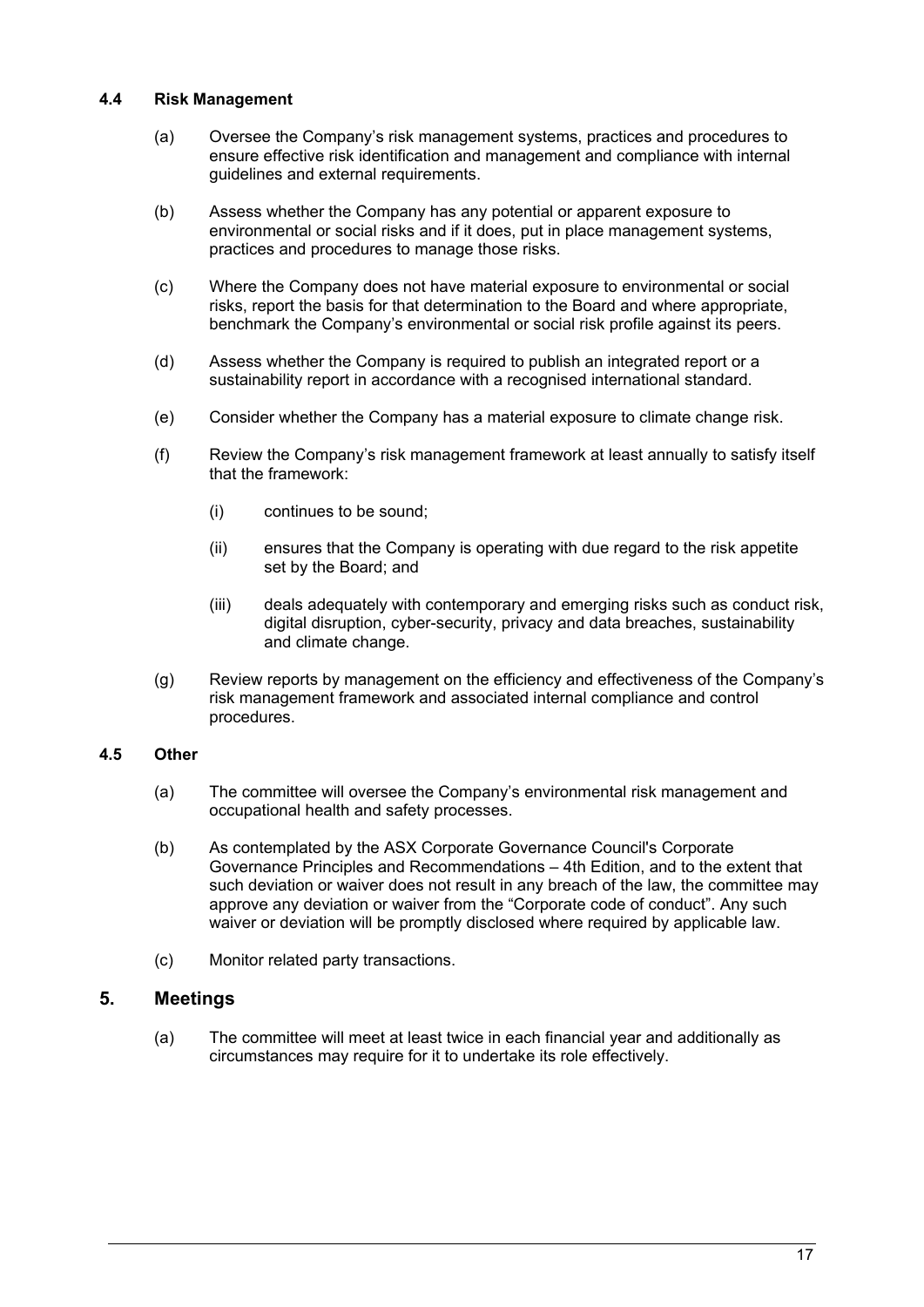#### **4.4 Risk Management**

- (a) Oversee the Company's risk management systems, practices and procedures to ensure effective risk identification and management and compliance with internal guidelines and external requirements.
- (b) Assess whether the Company has any potential or apparent exposure to environmental or social risks and if it does, put in place management systems, practices and procedures to manage those risks.
- (c) Where the Company does not have material exposure to environmental or social risks, report the basis for that determination to the Board and where appropriate, benchmark the Company's environmental or social risk profile against its peers.
- (d) Assess whether the Company is required to publish an integrated report or a sustainability report in accordance with a recognised international standard.
- (e) Consider whether the Company has a material exposure to climate change risk.
- (f) Review the Company's risk management framework at least annually to satisfy itself that the framework:
	- (i) continues to be sound;
	- (ii) ensures that the Company is operating with due regard to the risk appetite set by the Board; and
	- (iii) deals adequately with contemporary and emerging risks such as conduct risk, digital disruption, cyber-security, privacy and data breaches, sustainability and climate change.
- (g) Review reports by management on the efficiency and effectiveness of the Company's risk management framework and associated internal compliance and control procedures.

### **4.5 Other**

- (a) The committee will oversee the Company's environmental risk management and occupational health and safety processes.
- (b) As contemplated by the ASX Corporate Governance Council's Corporate Governance Principles and Recommendations – 4th Edition, and to the extent that such deviation or waiver does not result in any breach of the law, the committee may approve any deviation or waiver from the "Corporate code of conduct". Any such waiver or deviation will be promptly disclosed where required by applicable law.
- (c) Monitor related party transactions.

# **5. Meetings**

(a) The committee will meet at least twice in each financial year and additionally as circumstances may require for it to undertake its role effectively.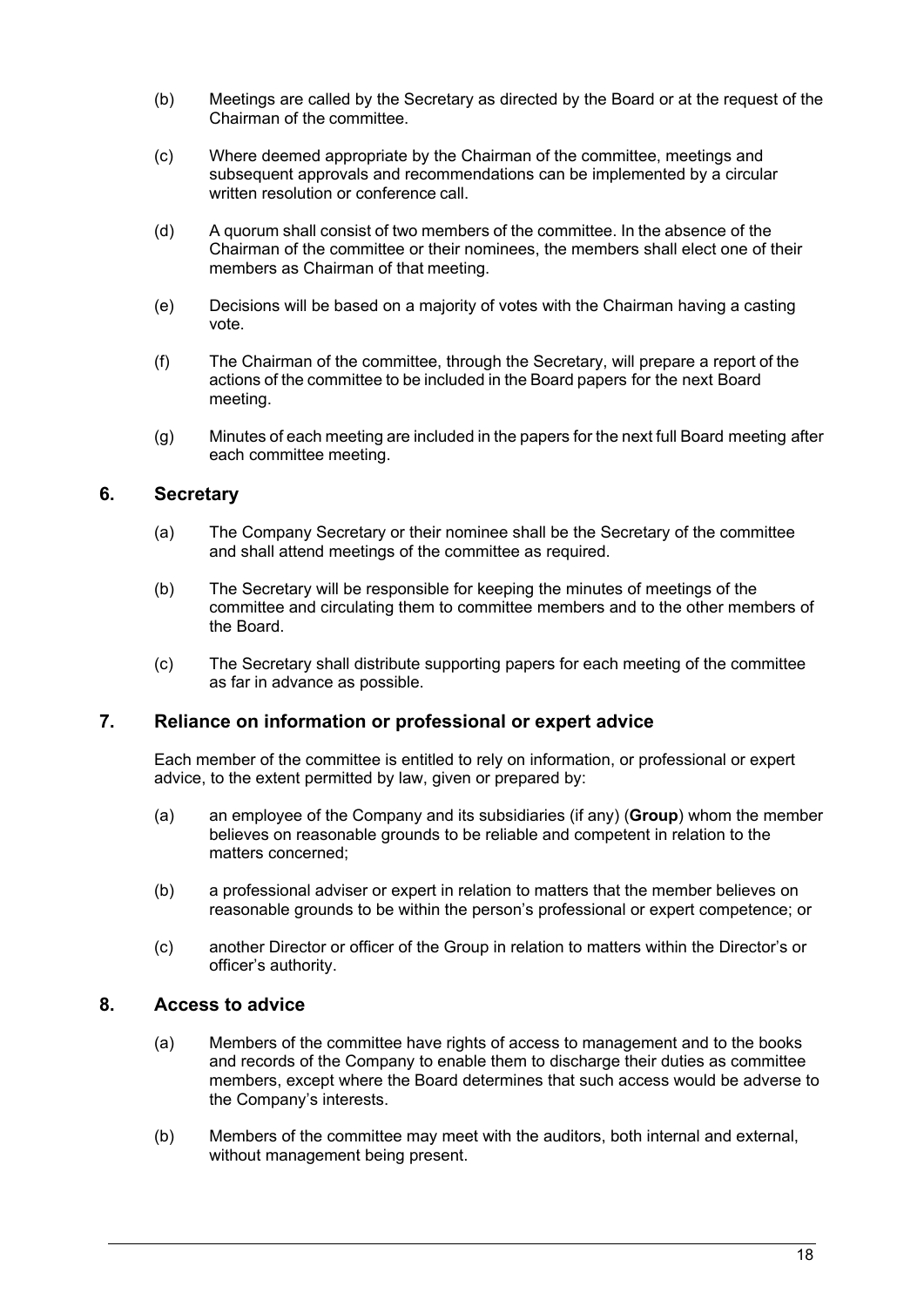- (b) Meetings are called by the Secretary as directed by the Board or at the request of the Chairman of the committee.
- (c) Where deemed appropriate by the Chairman of the committee, meetings and subsequent approvals and recommendations can be implemented by a circular written resolution or conference call.
- (d) A quorum shall consist of two members of the committee. In the absence of the Chairman of the committee or their nominees, the members shall elect one of their members as Chairman of that meeting.
- (e) Decisions will be based on a majority of votes with the Chairman having a casting vote.
- (f) The Chairman of the committee, through the Secretary, will prepare a report of the actions of the committee to be included in the Board papers for the next Board meeting.
- (g) Minutes of each meeting are included in the papers for the next full Board meeting after each committee meeting.

## **6. Secretary**

- (a) The Company Secretary or their nominee shall be the Secretary of the committee and shall attend meetings of the committee as required.
- (b) The Secretary will be responsible for keeping the minutes of meetings of the committee and circulating them to committee members and to the other members of the Board.
- (c) The Secretary shall distribute supporting papers for each meeting of the committee as far in advance as possible.

### **7. Reliance on information or professional or expert advice**

Each member of the committee is entitled to rely on information, or professional or expert advice, to the extent permitted by law, given or prepared by:

- (a) an employee of the Company and its subsidiaries (if any) (**Group**) whom the member believes on reasonable grounds to be reliable and competent in relation to the matters concerned;
- (b) a professional adviser or expert in relation to matters that the member believes on reasonable grounds to be within the person's professional or expert competence; or
- (c) another Director or officer of the Group in relation to matters within the Director's or officer's authority.

### **8. Access to advice**

- (a) Members of the committee have rights of access to management and to the books and records of the Company to enable them to discharge their duties as committee members, except where the Board determines that such access would be adverse to the Company's interests.
- (b) Members of the committee may meet with the auditors, both internal and external, without management being present.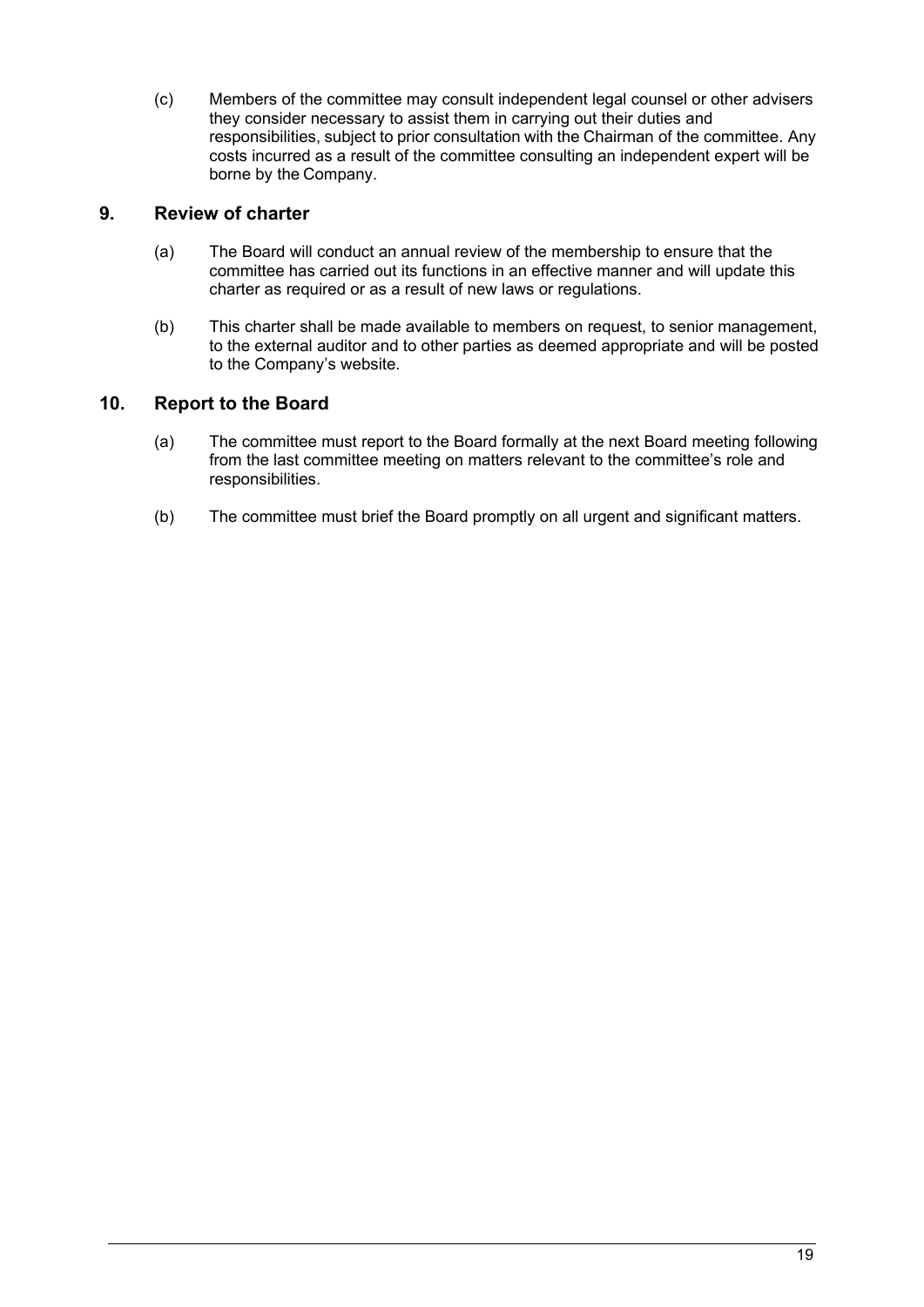(c) Members of the committee may consult independent legal counsel or other advisers they consider necessary to assist them in carrying out their duties and responsibilities, subject to prior consultation with the Chairman of the committee. Any costs incurred as a result of the committee consulting an independent expert will be borne by the Company.

# **9. Review of charter**

- (a) The Board will conduct an annual review of the membership to ensure that the committee has carried out its functions in an effective manner and will update this charter as required or as a result of new laws or regulations.
- (b) This charter shall be made available to members on request, to senior management, to the external auditor and to other parties as deemed appropriate and will be posted to the Company's website.

# **10. Report to the Board**

- (a) The committee must report to the Board formally at the next Board meeting following from the last committee meeting on matters relevant to the committee's role and responsibilities.
- (b) The committee must brief the Board promptly on all urgent and significant matters.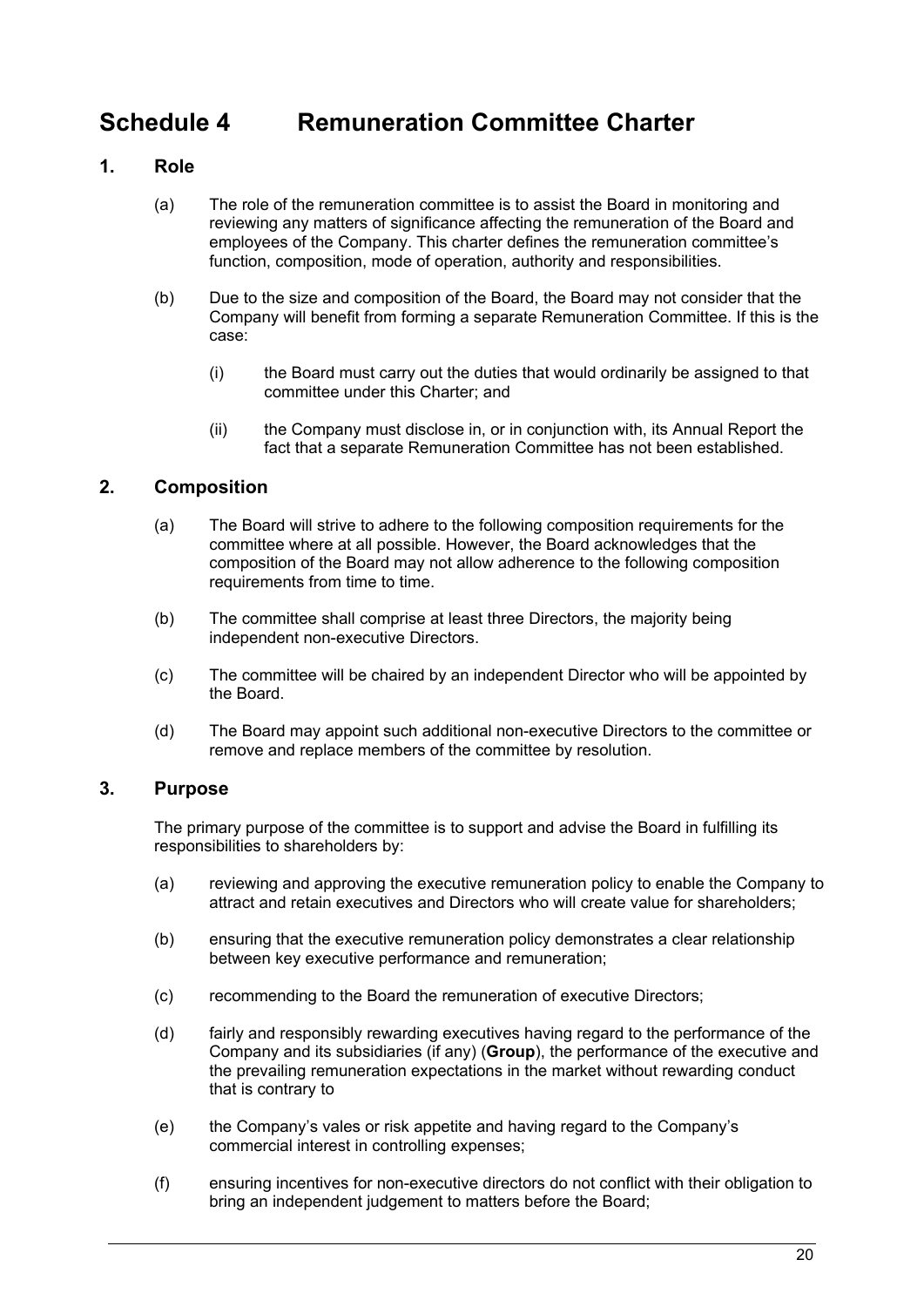# <span id="page-21-0"></span>**Schedule 4 Remuneration Committee Charter**

# **1. Role**

- (a) The role of the remuneration committee is to assist the Board in monitoring and reviewing any matters of significance affecting the remuneration of the Board and employees of the Company. This charter defines the remuneration committee's function, composition, mode of operation, authority and responsibilities.
- (b) Due to the size and composition of the Board, the Board may not consider that the Company will benefit from forming a separate Remuneration Committee. If this is the case:
	- (i) the Board must carry out the duties that would ordinarily be assigned to that committee under this Charter; and
	- (ii) the Company must disclose in, or in conjunction with, its Annual Report the fact that a separate Remuneration Committee has not been established.

# **2. Composition**

- (a) The Board will strive to adhere to the following composition requirements for the committee where at all possible. However, the Board acknowledges that the composition of the Board may not allow adherence to the following composition requirements from time to time.
- (b) The committee shall comprise at least three Directors, the majority being independent non-executive Directors.
- (c) The committee will be chaired by an independent Director who will be appointed by the Board.
- (d) The Board may appoint such additional non-executive Directors to the committee or remove and replace members of the committee by resolution.

# **3. Purpose**

The primary purpose of the committee is to support and advise the Board in fulfilling its responsibilities to shareholders by:

- (a) reviewing and approving the executive remuneration policy to enable the Company to attract and retain executives and Directors who will create value for shareholders;
- (b) ensuring that the executive remuneration policy demonstrates a clear relationship between key executive performance and remuneration;
- (c) recommending to the Board the remuneration of executive Directors;
- (d) fairly and responsibly rewarding executives having regard to the performance of the Company and its subsidiaries (if any) (**Group**), the performance of the executive and the prevailing remuneration expectations in the market without rewarding conduct that is contrary to
- (e) the Company's vales or risk appetite and having regard to the Company's commercial interest in controlling expenses;
- (f) ensuring incentives for non-executive directors do not conflict with their obligation to bring an independent judgement to matters before the Board;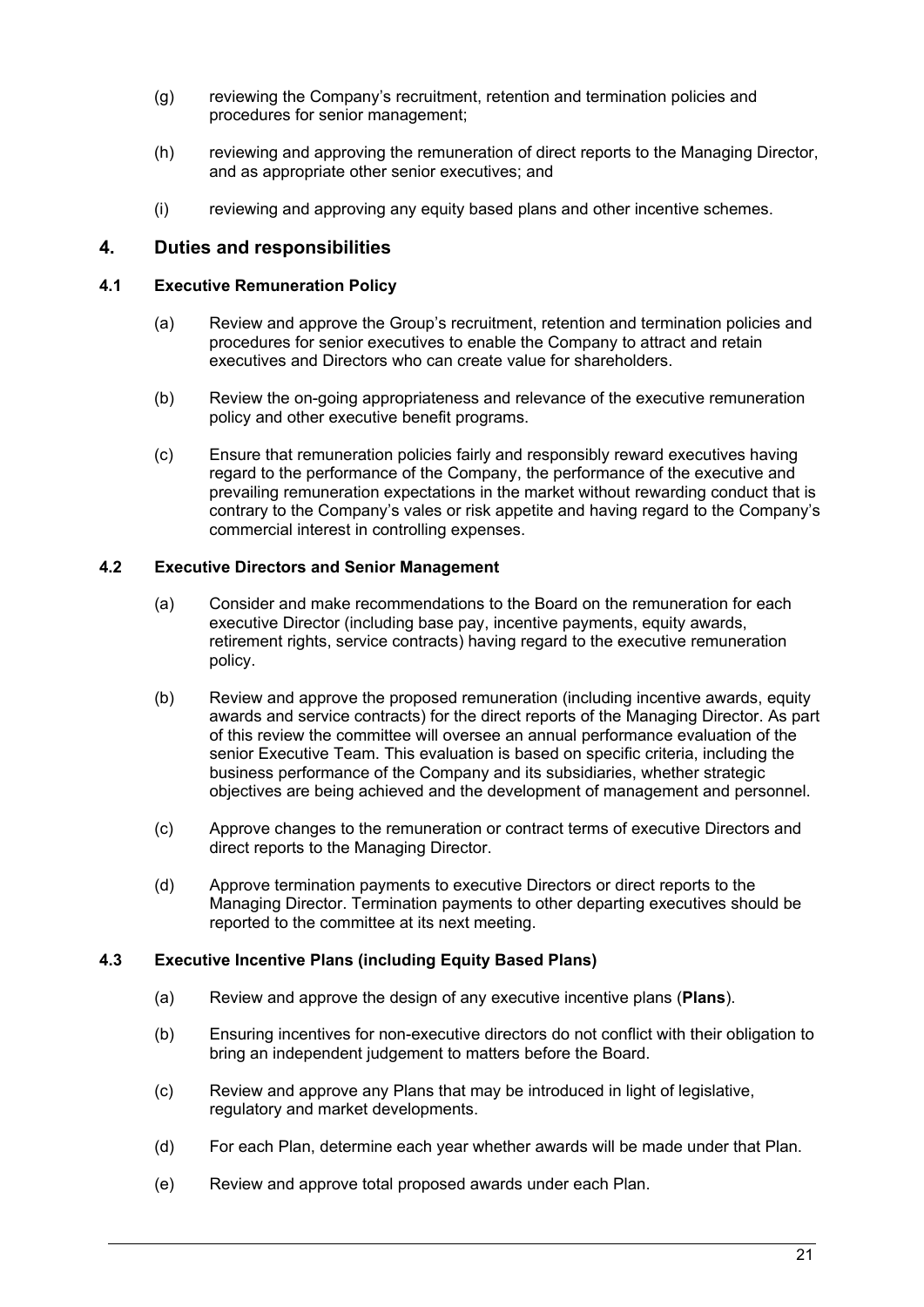- (g) reviewing the Company's recruitment, retention and termination policies and procedures for senior management;
- (h) reviewing and approving the remuneration of direct reports to the Managing Director, and as appropriate other senior executives; and
- (i) reviewing and approving any equity based plans and other incentive schemes.

### **4. Duties and responsibilities**

#### **4.1 Executive Remuneration Policy**

- (a) Review and approve the Group's recruitment, retention and termination policies and procedures for senior executives to enable the Company to attract and retain executives and Directors who can create value for shareholders.
- (b) Review the on-going appropriateness and relevance of the executive remuneration policy and other executive benefit programs.
- (c) Ensure that remuneration policies fairly and responsibly reward executives having regard to the performance of the Company, the performance of the executive and prevailing remuneration expectations in the market without rewarding conduct that is contrary to the Company's vales or risk appetite and having regard to the Company's commercial interest in controlling expenses.

#### **4.2 Executive Directors and Senior Management**

- (a) Consider and make recommendations to the Board on the remuneration for each executive Director (including base pay, incentive payments, equity awards, retirement rights, service contracts) having regard to the executive remuneration policy.
- (b) Review and approve the proposed remuneration (including incentive awards, equity awards and service contracts) for the direct reports of the Managing Director. As part of this review the committee will oversee an annual performance evaluation of the senior Executive Team. This evaluation is based on specific criteria, including the business performance of the Company and its subsidiaries, whether strategic objectives are being achieved and the development of management and personnel.
- (c) Approve changes to the remuneration or contract terms of executive Directors and direct reports to the Managing Director.
- (d) Approve termination payments to executive Directors or direct reports to the Managing Director. Termination payments to other departing executives should be reported to the committee at its next meeting.

#### **4.3 Executive Incentive Plans (including Equity Based Plans)**

- (a) Review and approve the design of any executive incentive plans (**Plans**).
- (b) Ensuring incentives for non-executive directors do not conflict with their obligation to bring an independent judgement to matters before the Board.
- (c) Review and approve any Plans that may be introduced in light of legislative, regulatory and market developments.
- (d) For each Plan, determine each year whether awards will be made under that Plan.
- (e) Review and approve total proposed awards under each Plan.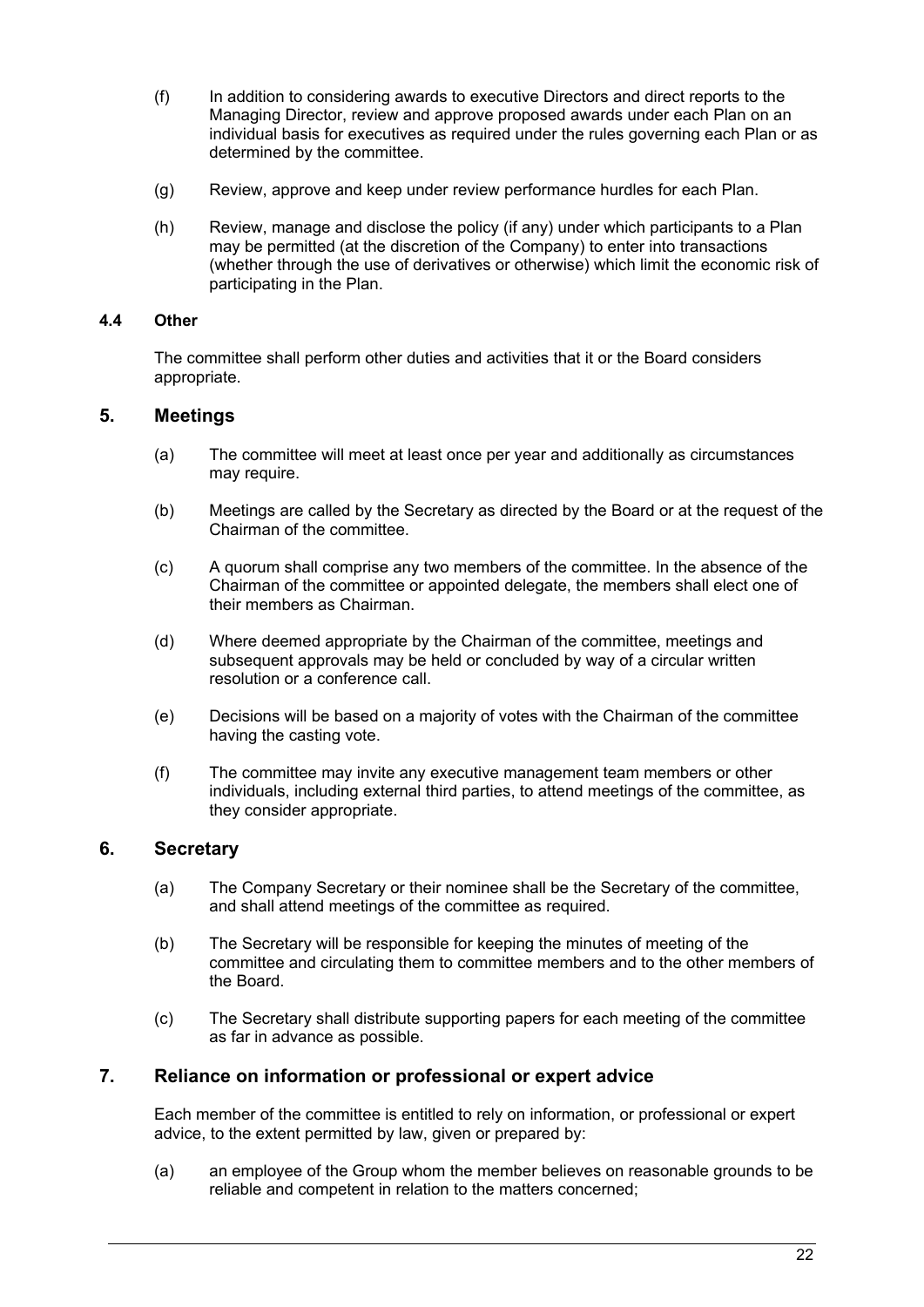- (f) In addition to considering awards to executive Directors and direct reports to the Managing Director, review and approve proposed awards under each Plan on an individual basis for executives as required under the rules governing each Plan or as determined by the committee.
- (g) Review, approve and keep under review performance hurdles for each Plan.
- (h) Review, manage and disclose the policy (if any) under which participants to a Plan may be permitted (at the discretion of the Company) to enter into transactions (whether through the use of derivatives or otherwise) which limit the economic risk of participating in the Plan.

#### **4.4 Other**

The committee shall perform other duties and activities that it or the Board considers appropriate.

## **5. Meetings**

- (a) The committee will meet at least once per year and additionally as circumstances may require.
- (b) Meetings are called by the Secretary as directed by the Board or at the request of the Chairman of the committee.
- (c) A quorum shall comprise any two members of the committee. In the absence of the Chairman of the committee or appointed delegate, the members shall elect one of their members as Chairman.
- (d) Where deemed appropriate by the Chairman of the committee, meetings and subsequent approvals may be held or concluded by way of a circular written resolution or a conference call.
- (e) Decisions will be based on a majority of votes with the Chairman of the committee having the casting vote.
- (f) The committee may invite any executive management team members or other individuals, including external third parties, to attend meetings of the committee, as they consider appropriate.

# **6. Secretary**

- (a) The Company Secretary or their nominee shall be the Secretary of the committee, and shall attend meetings of the committee as required.
- (b) The Secretary will be responsible for keeping the minutes of meeting of the committee and circulating them to committee members and to the other members of the Board.
- (c) The Secretary shall distribute supporting papers for each meeting of the committee as far in advance as possible.

### **7. Reliance on information or professional or expert advice**

Each member of the committee is entitled to rely on information, or professional or expert advice, to the extent permitted by law, given or prepared by:

(a) an employee of the Group whom the member believes on reasonable grounds to be reliable and competent in relation to the matters concerned;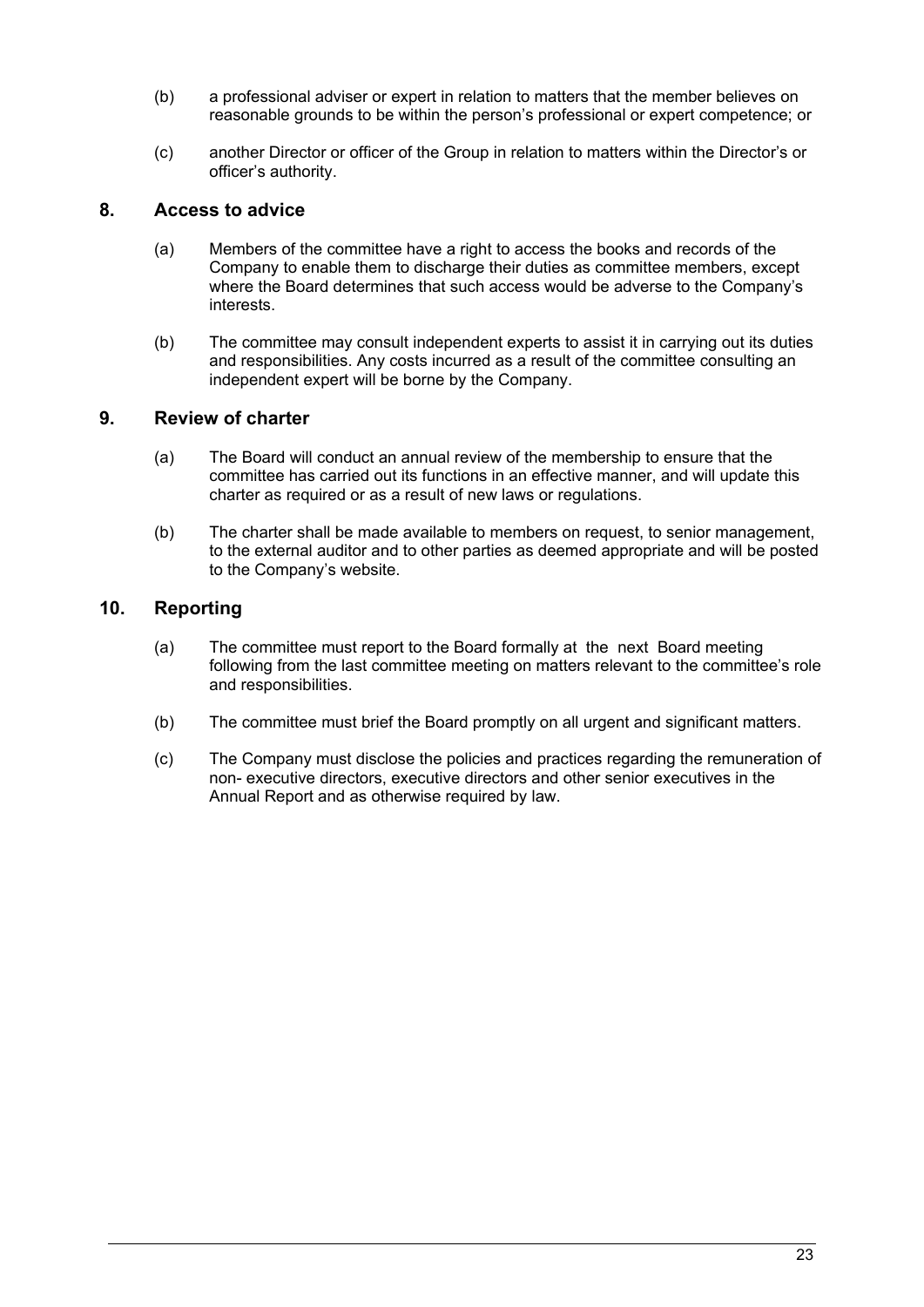- (b) a professional adviser or expert in relation to matters that the member believes on reasonable grounds to be within the person's professional or expert competence; or
- (c) another Director or officer of the Group in relation to matters within the Director's or officer's authority.

## **8. Access to advice**

- (a) Members of the committee have a right to access the books and records of the Company to enable them to discharge their duties as committee members, except where the Board determines that such access would be adverse to the Company's interests.
- (b) The committee may consult independent experts to assist it in carrying out its duties and responsibilities. Any costs incurred as a result of the committee consulting an independent expert will be borne by the Company.

# **9. Review of charter**

- (a) The Board will conduct an annual review of the membership to ensure that the committee has carried out its functions in an effective manner, and will update this charter as required or as a result of new laws or regulations.
- (b) The charter shall be made available to members on request, to senior management, to the external auditor and to other parties as deemed appropriate and will be posted to the Company's website.

## **10. Reporting**

- (a) The committee must report to the Board formally at the next Board meeting following from the last committee meeting on matters relevant to the committee's role and responsibilities.
- (b) The committee must brief the Board promptly on all urgent and significant matters.
- (c) The Company must disclose the policies and practices regarding the remuneration of non- executive directors, executive directors and other senior executives in the Annual Report and as otherwise required by law.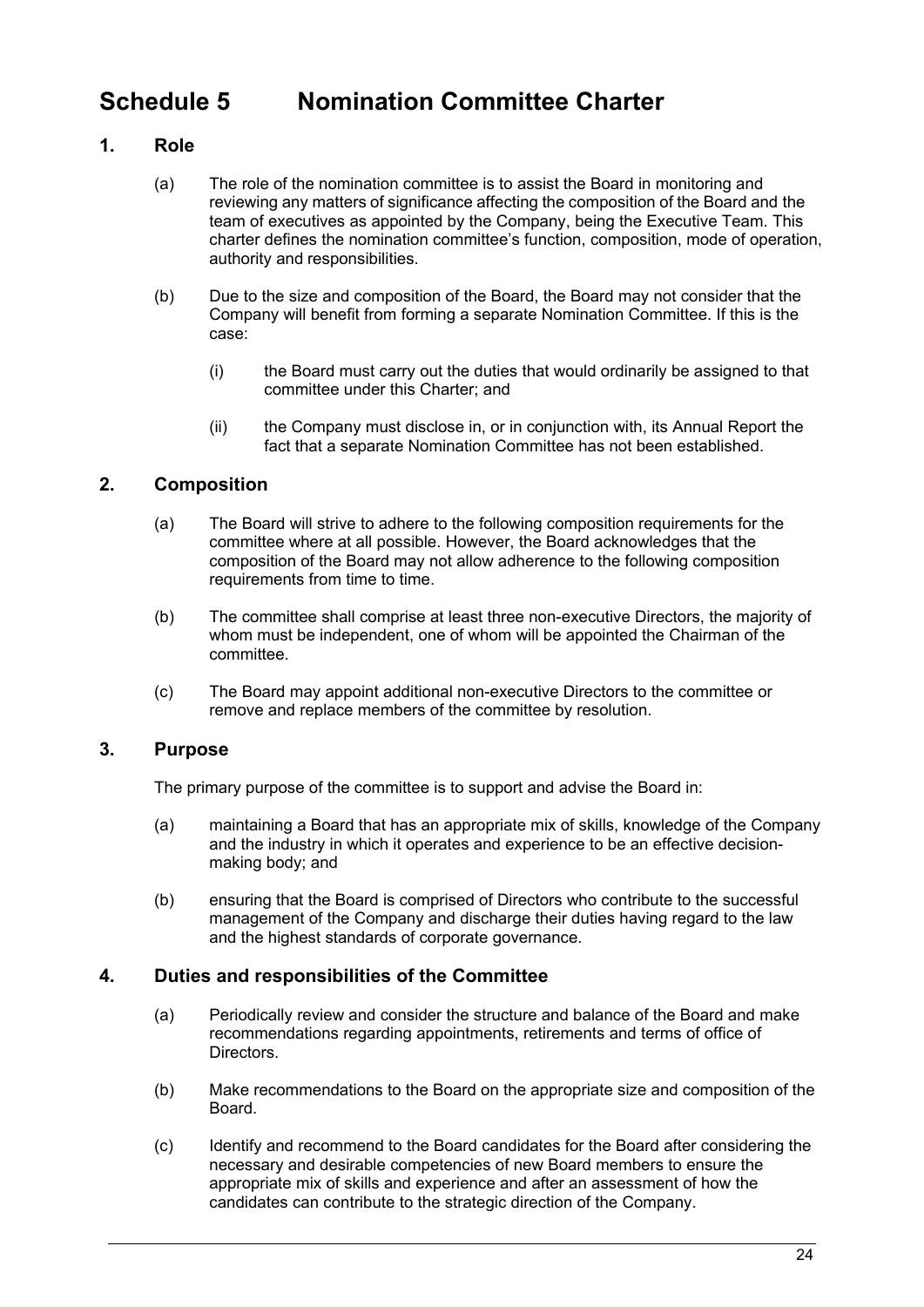# <span id="page-25-0"></span>**Schedule 5 Nomination Committee Charter**

# **1. Role**

- (a) The role of the nomination committee is to assist the Board in monitoring and reviewing any matters of significance affecting the composition of the Board and the team of executives as appointed by the Company, being the Executive Team. This charter defines the nomination committee's function, composition, mode of operation, authority and responsibilities.
- (b) Due to the size and composition of the Board, the Board may not consider that the Company will benefit from forming a separate Nomination Committee. If this is the case:
	- (i) the Board must carry out the duties that would ordinarily be assigned to that committee under this Charter; and
	- (ii) the Company must disclose in, or in conjunction with, its Annual Report the fact that a separate Nomination Committee has not been established.

# **2. Composition**

- (a) The Board will strive to adhere to the following composition requirements for the committee where at all possible. However, the Board acknowledges that the composition of the Board may not allow adherence to the following composition requirements from time to time.
- (b) The committee shall comprise at least three non-executive Directors, the majority of whom must be independent, one of whom will be appointed the Chairman of the committee.
- (c) The Board may appoint additional non-executive Directors to the committee or remove and replace members of the committee by resolution.

# **3. Purpose**

The primary purpose of the committee is to support and advise the Board in:

- (a) maintaining a Board that has an appropriate mix of skills, knowledge of the Company and the industry in which it operates and experience to be an effective decisionmaking body; and
- (b) ensuring that the Board is comprised of Directors who contribute to the successful management of the Company and discharge their duties having regard to the law and the highest standards of corporate governance.

# **4. Duties and responsibilities of the Committee**

- (a) Periodically review and consider the structure and balance of the Board and make recommendations regarding appointments, retirements and terms of office of Directors.
- (b) Make recommendations to the Board on the appropriate size and composition of the Board.
- (c) Identify and recommend to the Board candidates for the Board after considering the necessary and desirable competencies of new Board members to ensure the appropriate mix of skills and experience and after an assessment of how the candidates can contribute to the strategic direction of the Company.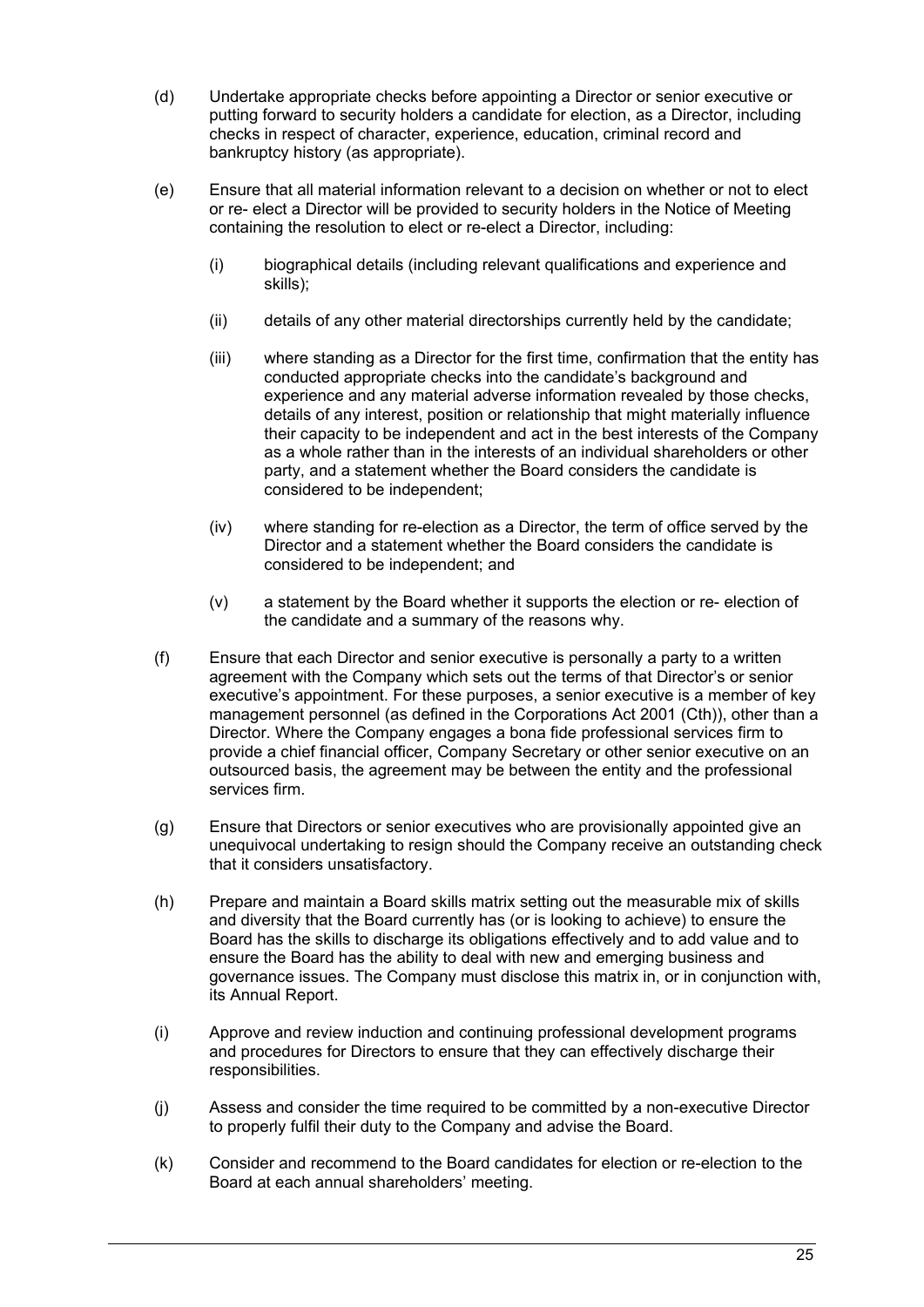- (d) Undertake appropriate checks before appointing a Director or senior executive or putting forward to security holders a candidate for election, as a Director, including checks in respect of character, experience, education, criminal record and bankruptcy history (as appropriate).
- (e) Ensure that all material information relevant to a decision on whether or not to elect or re- elect a Director will be provided to security holders in the Notice of Meeting containing the resolution to elect or re-elect a Director, including:
	- (i) biographical details (including relevant qualifications and experience and skills);
	- (ii) details of any other material directorships currently held by the candidate;
	- (iii) where standing as a Director for the first time, confirmation that the entity has conducted appropriate checks into the candidate's background and experience and any material adverse information revealed by those checks, details of any interest, position or relationship that might materially influence their capacity to be independent and act in the best interests of the Company as a whole rather than in the interests of an individual shareholders or other party, and a statement whether the Board considers the candidate is considered to be independent;
	- (iv) where standing for re-election as a Director, the term of office served by the Director and a statement whether the Board considers the candidate is considered to be independent; and
	- (v) a statement by the Board whether it supports the election or re- election of the candidate and a summary of the reasons why.
- (f) Ensure that each Director and senior executive is personally a party to a written agreement with the Company which sets out the terms of that Director's or senior executive's appointment. For these purposes, a senior executive is a member of key management personnel (as defined in the Corporations Act 2001 (Cth)), other than a Director. Where the Company engages a bona fide professional services firm to provide a chief financial officer, Company Secretary or other senior executive on an outsourced basis, the agreement may be between the entity and the professional services firm.
- (g) Ensure that Directors or senior executives who are provisionally appointed give an unequivocal undertaking to resign should the Company receive an outstanding check that it considers unsatisfactory.
- (h) Prepare and maintain a Board skills matrix setting out the measurable mix of skills and diversity that the Board currently has (or is looking to achieve) to ensure the Board has the skills to discharge its obligations effectively and to add value and to ensure the Board has the ability to deal with new and emerging business and governance issues. The Company must disclose this matrix in, or in conjunction with, its Annual Report.
- (i) Approve and review induction and continuing professional development programs and procedures for Directors to ensure that they can effectively discharge their responsibilities.
- (j) Assess and consider the time required to be committed by a non-executive Director to properly fulfil their duty to the Company and advise the Board.
- (k) Consider and recommend to the Board candidates for election or re-election to the Board at each annual shareholders' meeting.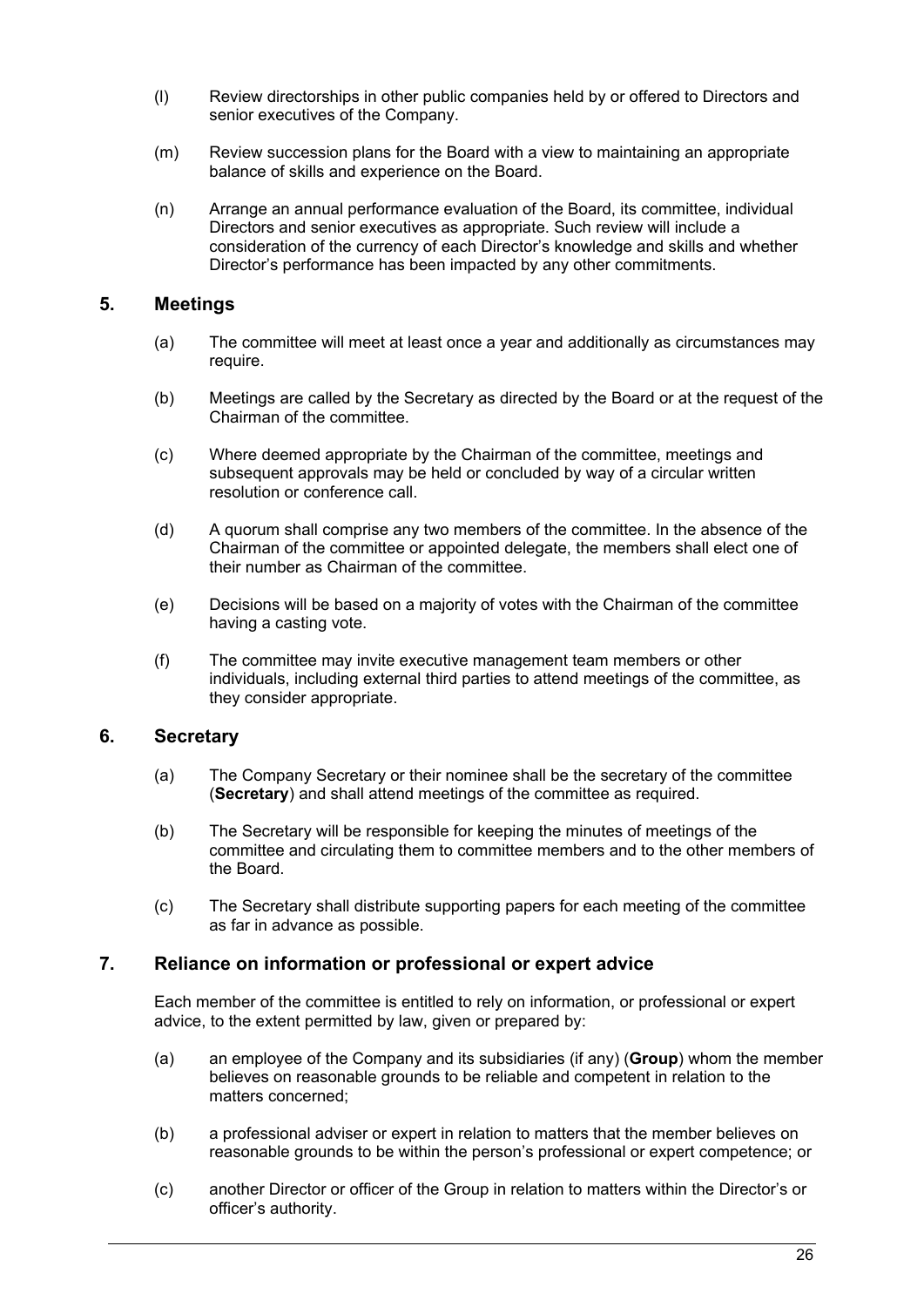- (l) Review directorships in other public companies held by or offered to Directors and senior executives of the Company.
- (m) Review succession plans for the Board with a view to maintaining an appropriate balance of skills and experience on the Board.
- (n) Arrange an annual performance evaluation of the Board, its committee, individual Directors and senior executives as appropriate. Such review will include a consideration of the currency of each Director's knowledge and skills and whether Director's performance has been impacted by any other commitments.

## **5. Meetings**

- (a) The committee will meet at least once a year and additionally as circumstances may require.
- (b) Meetings are called by the Secretary as directed by the Board or at the request of the Chairman of the committee.
- (c) Where deemed appropriate by the Chairman of the committee, meetings and subsequent approvals may be held or concluded by way of a circular written resolution or conference call.
- (d) A quorum shall comprise any two members of the committee. In the absence of the Chairman of the committee or appointed delegate, the members shall elect one of their number as Chairman of the committee.
- (e) Decisions will be based on a majority of votes with the Chairman of the committee having a casting vote.
- (f) The committee may invite executive management team members or other individuals, including external third parties to attend meetings of the committee, as they consider appropriate.

### **6. Secretary**

- (a) The Company Secretary or their nominee shall be the secretary of the committee (**Secretary**) and shall attend meetings of the committee as required.
- (b) The Secretary will be responsible for keeping the minutes of meetings of the committee and circulating them to committee members and to the other members of the Board.
- (c) The Secretary shall distribute supporting papers for each meeting of the committee as far in advance as possible.

### **7. Reliance on information or professional or expert advice**

Each member of the committee is entitled to rely on information, or professional or expert advice, to the extent permitted by law, given or prepared by:

- (a) an employee of the Company and its subsidiaries (if any) (**Group**) whom the member believes on reasonable grounds to be reliable and competent in relation to the matters concerned;
- (b) a professional adviser or expert in relation to matters that the member believes on reasonable grounds to be within the person's professional or expert competence; or
- (c) another Director or officer of the Group in relation to matters within the Director's or officer's authority.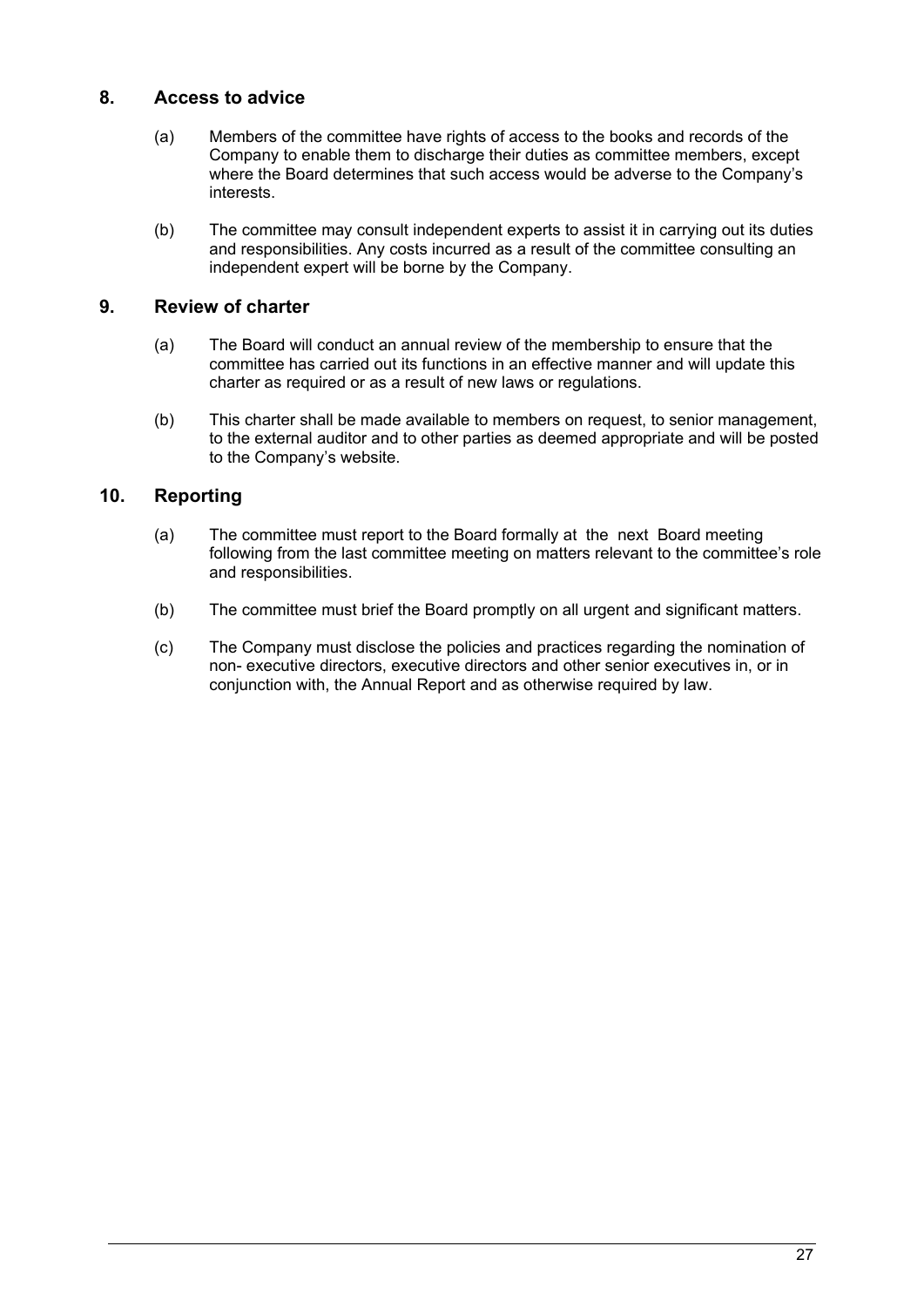# **8. Access to advice**

- (a) Members of the committee have rights of access to the books and records of the Company to enable them to discharge their duties as committee members, except where the Board determines that such access would be adverse to the Company's interests.
- (b) The committee may consult independent experts to assist it in carrying out its duties and responsibilities. Any costs incurred as a result of the committee consulting an independent expert will be borne by the Company.

# **9. Review of charter**

- (a) The Board will conduct an annual review of the membership to ensure that the committee has carried out its functions in an effective manner and will update this charter as required or as a result of new laws or regulations.
- (b) This charter shall be made available to members on request, to senior management, to the external auditor and to other parties as deemed appropriate and will be posted to the Company's website.

# **10. Reporting**

- (a) The committee must report to the Board formally at the next Board meeting following from the last committee meeting on matters relevant to the committee's role and responsibilities.
- (b) The committee must brief the Board promptly on all urgent and significant matters.
- (c) The Company must disclose the policies and practices regarding the nomination of non- executive directors, executive directors and other senior executives in, or in conjunction with, the Annual Report and as otherwise required by law.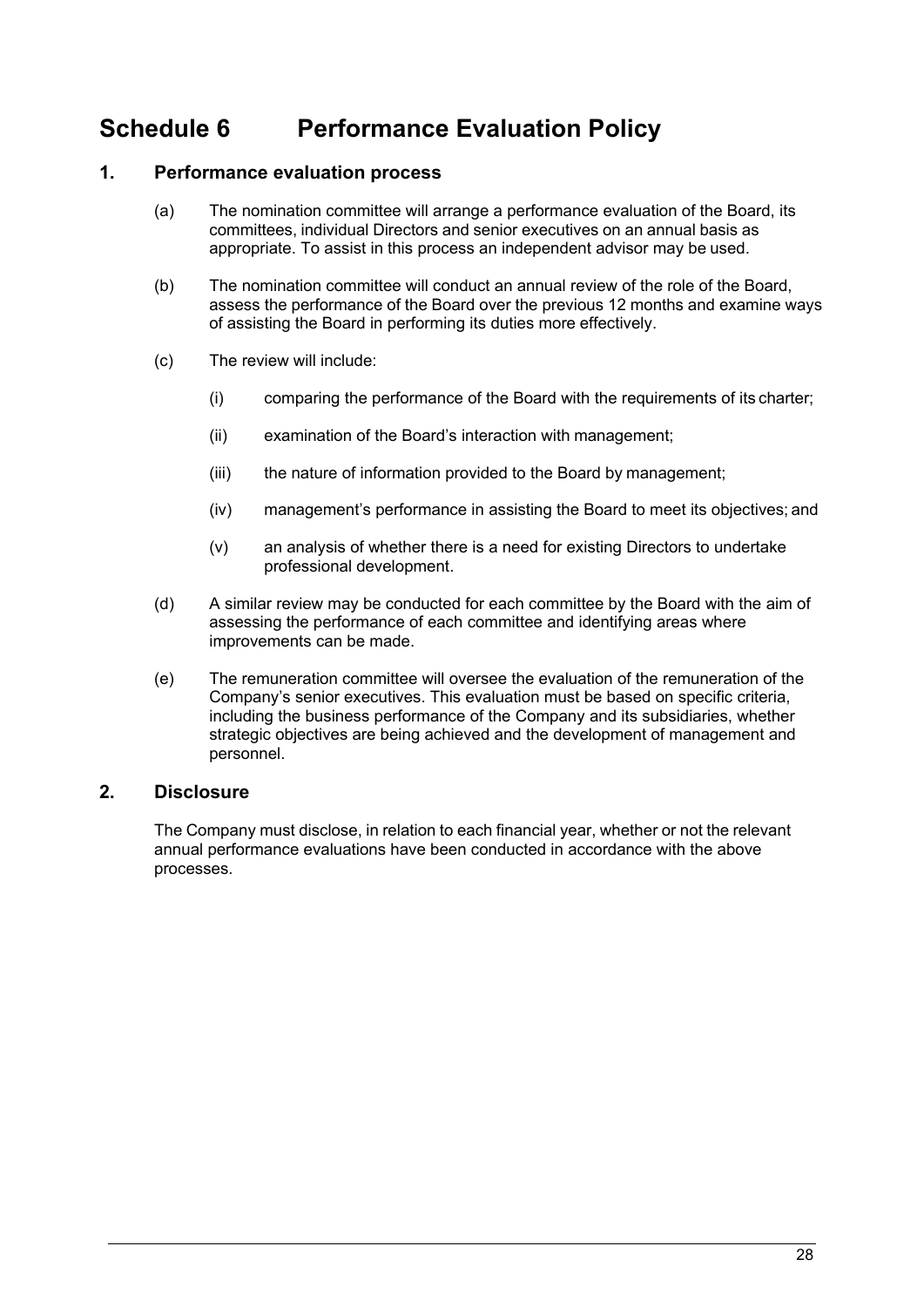# <span id="page-29-0"></span>**Schedule 6 Performance Evaluation Policy**

# **1. Performance evaluation process**

- (a) The nomination committee will arrange a performance evaluation of the Board, its committees, individual Directors and senior executives on an annual basis as appropriate. To assist in this process an independent advisor may be used.
- (b) The nomination committee will conduct an annual review of the role of the Board, assess the performance of the Board over the previous 12 months and examine ways of assisting the Board in performing its duties more effectively.
- (c) The review will include:
	- (i) comparing the performance of the Board with the requirements of its charter;
	- (ii) examination of the Board's interaction with management;
	- (iii) the nature of information provided to the Board by management;
	- (iv) management's performance in assisting the Board to meet its objectives; and
	- (v) an analysis of whether there is a need for existing Directors to undertake professional development.
- (d) A similar review may be conducted for each committee by the Board with the aim of assessing the performance of each committee and identifying areas where improvements can be made.
- (e) The remuneration committee will oversee the evaluation of the remuneration of the Company's senior executives. This evaluation must be based on specific criteria, including the business performance of the Company and its subsidiaries, whether strategic objectives are being achieved and the development of management and personnel.

## **2. Disclosure**

The Company must disclose, in relation to each financial year, whether or not the relevant annual performance evaluations have been conducted in accordance with the above processes.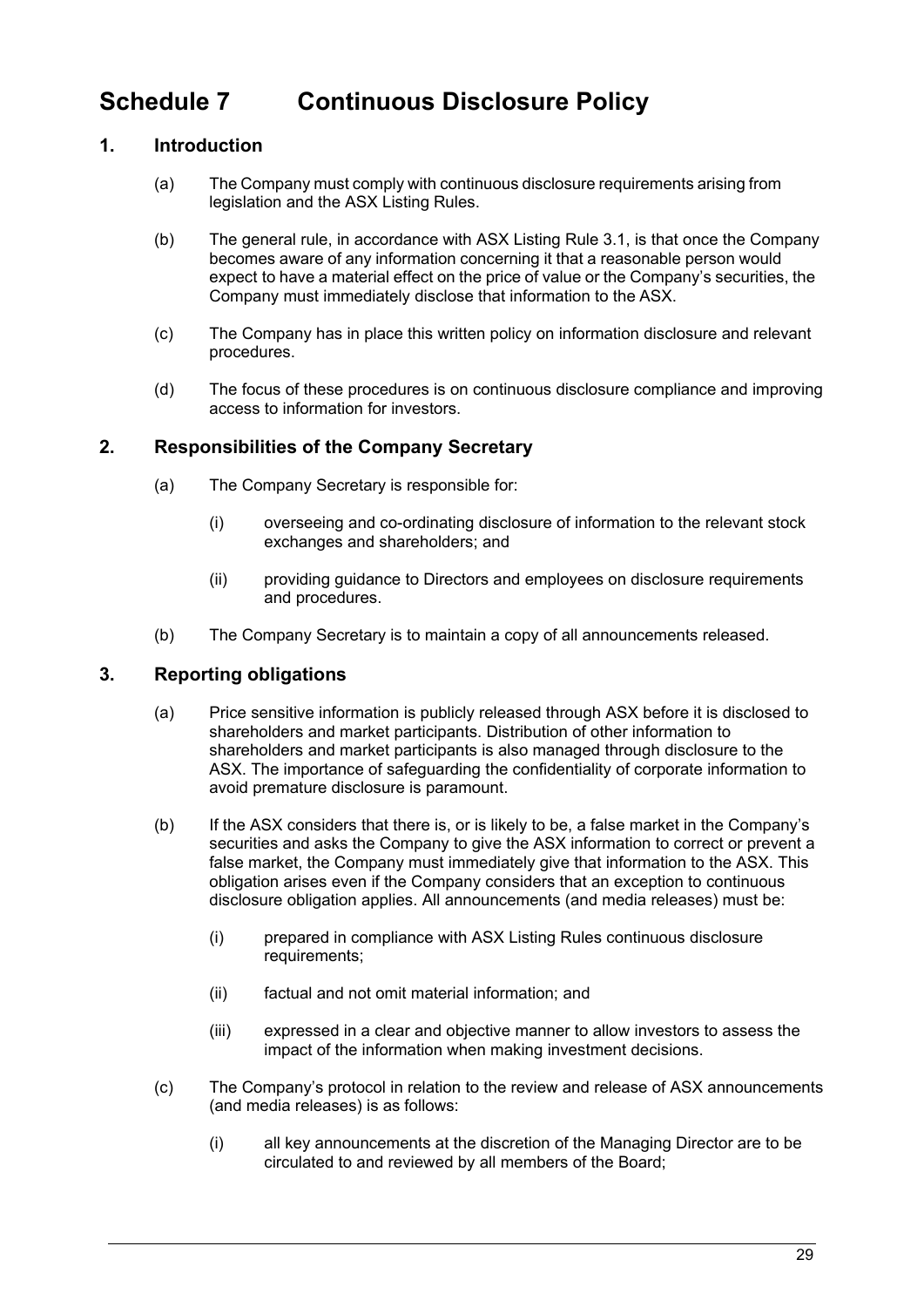# <span id="page-30-0"></span>**Schedule 7 Continuous Disclosure Policy**

# **1. Introduction**

- (a) The Company must comply with continuous disclosure requirements arising from legislation and the ASX Listing Rules.
- (b) The general rule, in accordance with ASX Listing Rule 3.1, is that once the Company becomes aware of any information concerning it that a reasonable person would expect to have a material effect on the price of value or the Company's securities, the Company must immediately disclose that information to the ASX.
- (c) The Company has in place this written policy on information disclosure and relevant procedures.
- (d) The focus of these procedures is on continuous disclosure compliance and improving access to information for investors.

# **2. Responsibilities of the Company Secretary**

- (a) The Company Secretary is responsible for:
	- (i) overseeing and co-ordinating disclosure of information to the relevant stock exchanges and shareholders; and
	- (ii) providing guidance to Directors and employees on disclosure requirements and procedures.
- (b) The Company Secretary is to maintain a copy of all announcements released.

# **3. Reporting obligations**

- (a) Price sensitive information is publicly released through ASX before it is disclosed to shareholders and market participants. Distribution of other information to shareholders and market participants is also managed through disclosure to the ASX. The importance of safeguarding the confidentiality of corporate information to avoid premature disclosure is paramount.
- (b) If the ASX considers that there is, or is likely to be, a false market in the Company's securities and asks the Company to give the ASX information to correct or prevent a false market, the Company must immediately give that information to the ASX. This obligation arises even if the Company considers that an exception to continuous disclosure obligation applies. All announcements (and media releases) must be:
	- (i) prepared in compliance with ASX Listing Rules continuous disclosure requirements;
	- (ii) factual and not omit material information; and
	- (iii) expressed in a clear and objective manner to allow investors to assess the impact of the information when making investment decisions.
- (c) The Company's protocol in relation to the review and release of ASX announcements (and media releases) is as follows:
	- (i) all key announcements at the discretion of the Managing Director are to be circulated to and reviewed by all members of the Board;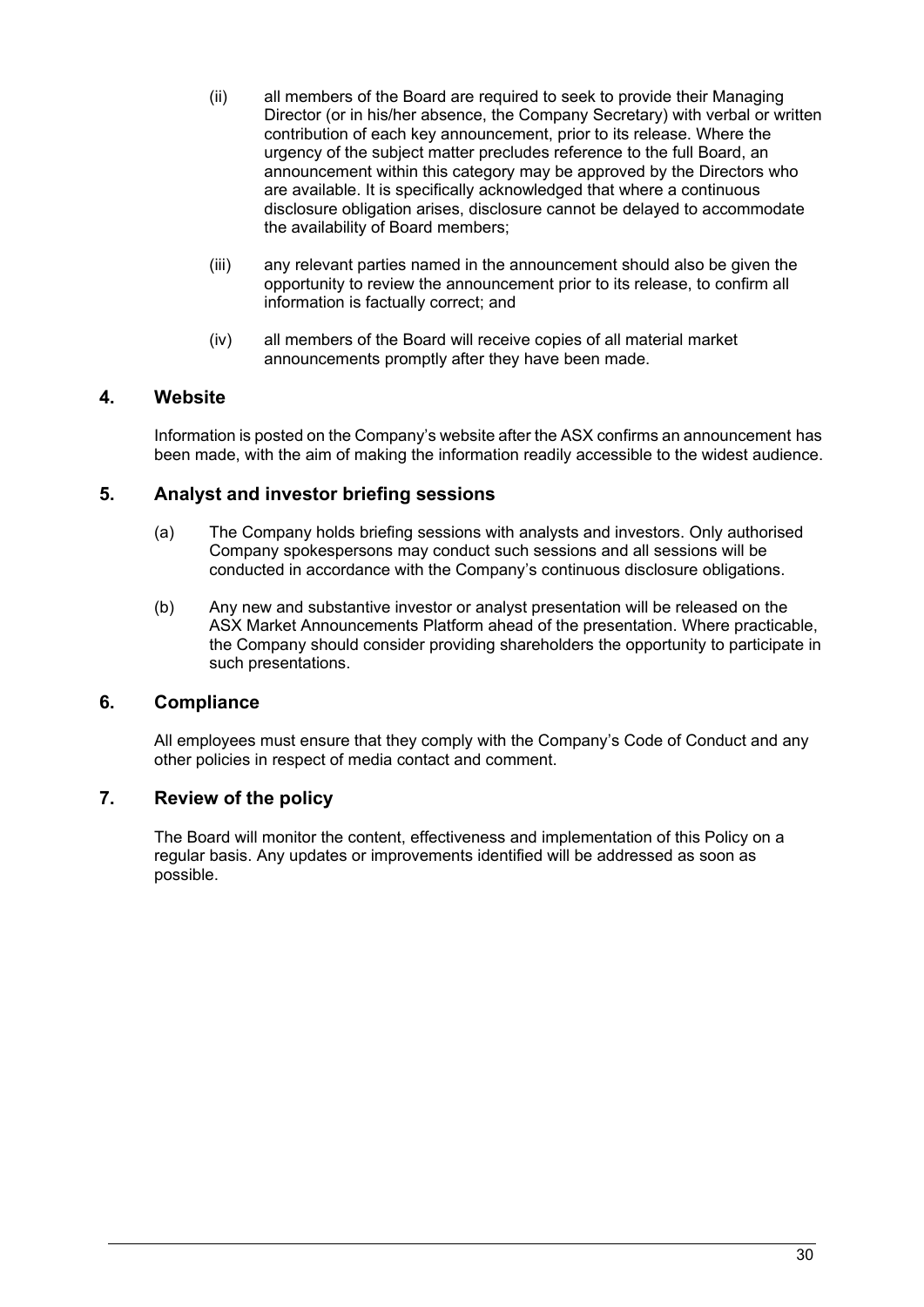- (ii) all members of the Board are required to seek to provide their Managing Director (or in his/her absence, the Company Secretary) with verbal or written contribution of each key announcement, prior to its release. Where the urgency of the subject matter precludes reference to the full Board, an announcement within this category may be approved by the Directors who are available. It is specifically acknowledged that where a continuous disclosure obligation arises, disclosure cannot be delayed to accommodate the availability of Board members;
- (iii) any relevant parties named in the announcement should also be given the opportunity to review the announcement prior to its release, to confirm all information is factually correct; and
- (iv) all members of the Board will receive copies of all material market announcements promptly after they have been made.

# **4. Website**

Information is posted on the Company's website after the ASX confirms an announcement has been made, with the aim of making the information readily accessible to the widest audience.

## **5. Analyst and investor briefing sessions**

- (a) The Company holds briefing sessions with analysts and investors. Only authorised Company spokespersons may conduct such sessions and all sessions will be conducted in accordance with the Company's continuous disclosure obligations.
- (b) Any new and substantive investor or analyst presentation will be released on the ASX Market Announcements Platform ahead of the presentation. Where practicable, the Company should consider providing shareholders the opportunity to participate in such presentations.

### **6. Compliance**

All employees must ensure that they comply with the Company's Code of Conduct and any other policies in respect of media contact and comment.

# **7. Review of the policy**

The Board will monitor the content, effectiveness and implementation of this Policy on a regular basis. Any updates or improvements identified will be addressed as soon as possible.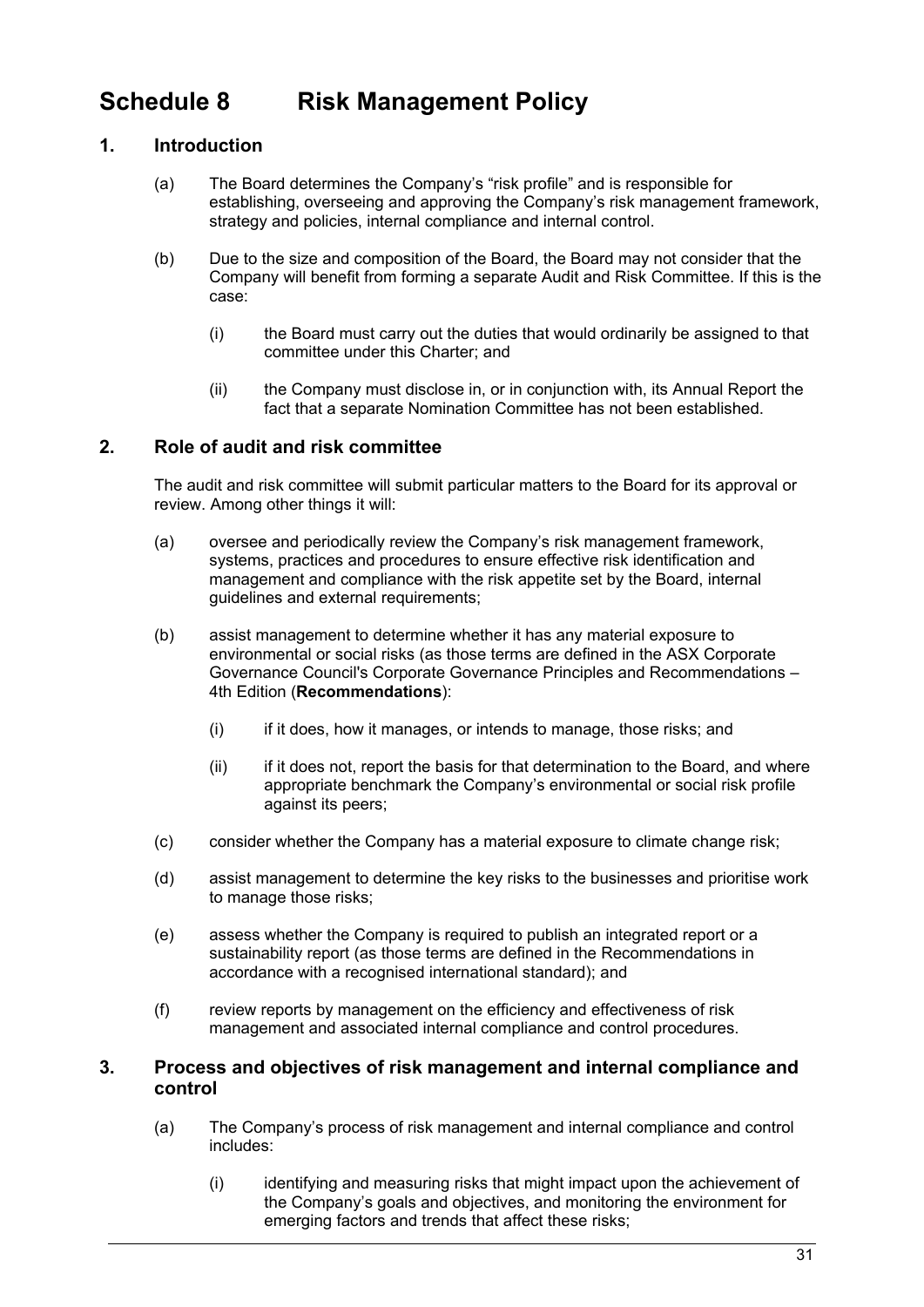# <span id="page-32-0"></span>**Schedule 8 Risk Management Policy**

# **1. Introduction**

- (a) The Board determines the Company's "risk profile" and is responsible for establishing, overseeing and approving the Company's risk management framework, strategy and policies, internal compliance and internal control.
- (b) Due to the size and composition of the Board, the Board may not consider that the Company will benefit from forming a separate Audit and Risk Committee. If this is the case:
	- (i) the Board must carry out the duties that would ordinarily be assigned to that committee under this Charter; and
	- (ii) the Company must disclose in, or in conjunction with, its Annual Report the fact that a separate Nomination Committee has not been established.

# **2. Role of audit and risk committee**

The audit and risk committee will submit particular matters to the Board for its approval or review. Among other things it will:

- (a) oversee and periodically review the Company's risk management framework, systems, practices and procedures to ensure effective risk identification and management and compliance with the risk appetite set by the Board, internal guidelines and external requirements;
- (b) assist management to determine whether it has any material exposure to environmental or social risks (as those terms are defined in the ASX Corporate Governance Council's Corporate Governance Principles and Recommendations – 4th Edition (**Recommendations**):
	- (i) if it does, how it manages, or intends to manage, those risks; and
	- $(i)$  if it does not, report the basis for that determination to the Board, and where appropriate benchmark the Company's environmental or social risk profile against its peers;
- (c) consider whether the Company has a material exposure to climate change risk;
- (d) assist management to determine the key risks to the businesses and prioritise work to manage those risks;
- (e) assess whether the Company is required to publish an integrated report or a sustainability report (as those terms are defined in the Recommendations in accordance with a recognised international standard); and
- (f) review reports by management on the efficiency and effectiveness of risk management and associated internal compliance and control procedures.

## **3. Process and objectives of risk management and internal compliance and control**

- (a) The Company's process of risk management and internal compliance and control includes:
	- (i) identifying and measuring risks that might impact upon the achievement of the Company's goals and objectives, and monitoring the environment for emerging factors and trends that affect these risks;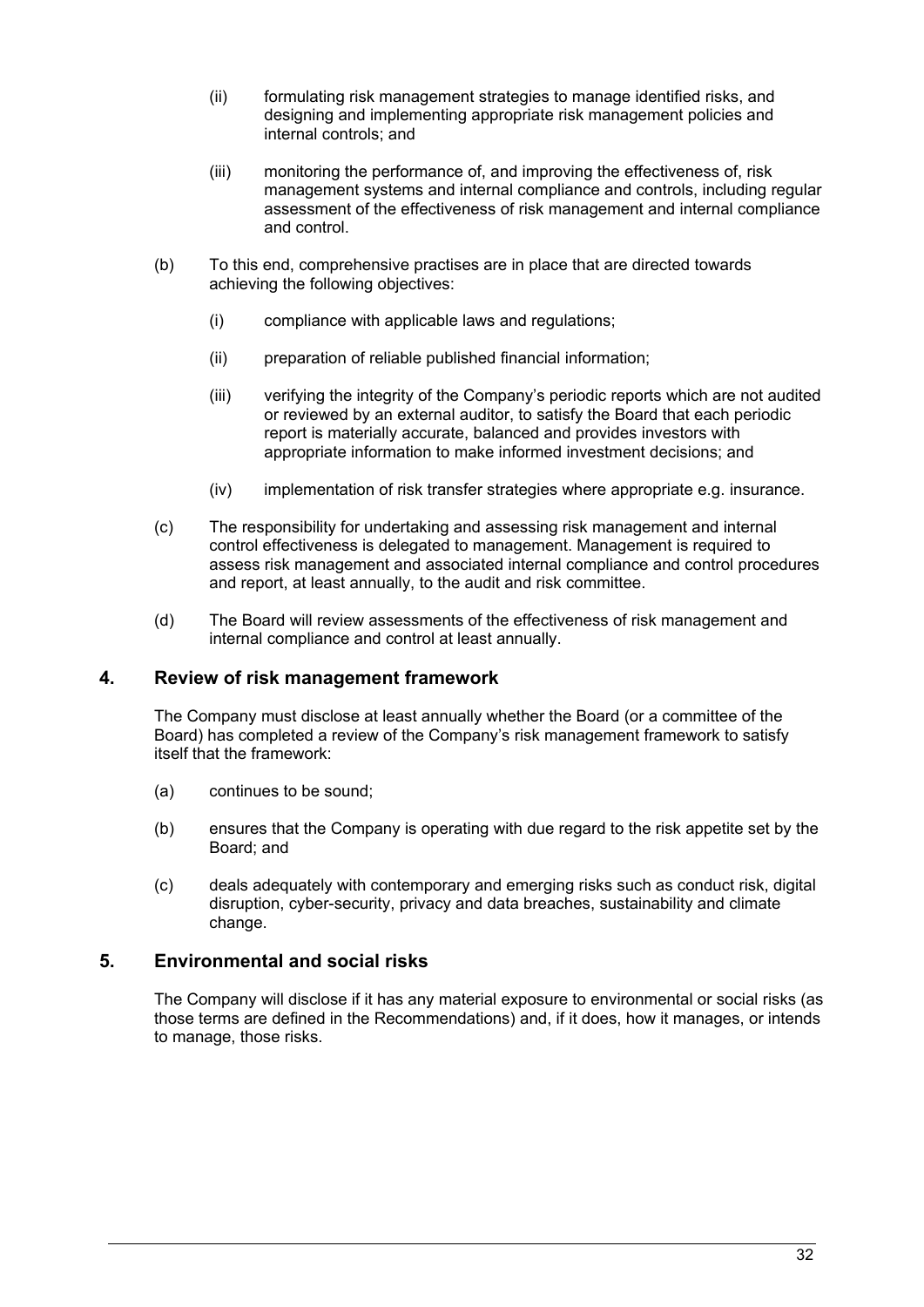- (ii) formulating risk management strategies to manage identified risks, and designing and implementing appropriate risk management policies and internal controls; and
- (iii) monitoring the performance of, and improving the effectiveness of, risk management systems and internal compliance and controls, including regular assessment of the effectiveness of risk management and internal compliance and control.
- (b) To this end, comprehensive practises are in place that are directed towards achieving the following objectives:
	- (i) compliance with applicable laws and regulations;
	- (ii) preparation of reliable published financial information;
	- (iii) verifying the integrity of the Company's periodic reports which are not audited or reviewed by an external auditor, to satisfy the Board that each periodic report is materially accurate, balanced and provides investors with appropriate information to make informed investment decisions; and
	- (iv) implementation of risk transfer strategies where appropriate e.g. insurance.
- (c) The responsibility for undertaking and assessing risk management and internal control effectiveness is delegated to management. Management is required to assess risk management and associated internal compliance and control procedures and report, at least annually, to the audit and risk committee.
- (d) The Board will review assessments of the effectiveness of risk management and internal compliance and control at least annually.

### **4. Review of risk management framework**

The Company must disclose at least annually whether the Board (or a committee of the Board) has completed a review of the Company's risk management framework to satisfy itself that the framework:

- (a) continues to be sound;
- (b) ensures that the Company is operating with due regard to the risk appetite set by the Board; and
- (c) deals adequately with contemporary and emerging risks such as conduct risk, digital disruption, cyber-security, privacy and data breaches, sustainability and climate change.

### **5. Environmental and social risks**

The Company will disclose if it has any material exposure to environmental or social risks (as those terms are defined in the Recommendations) and, if it does, how it manages, or intends to manage, those risks.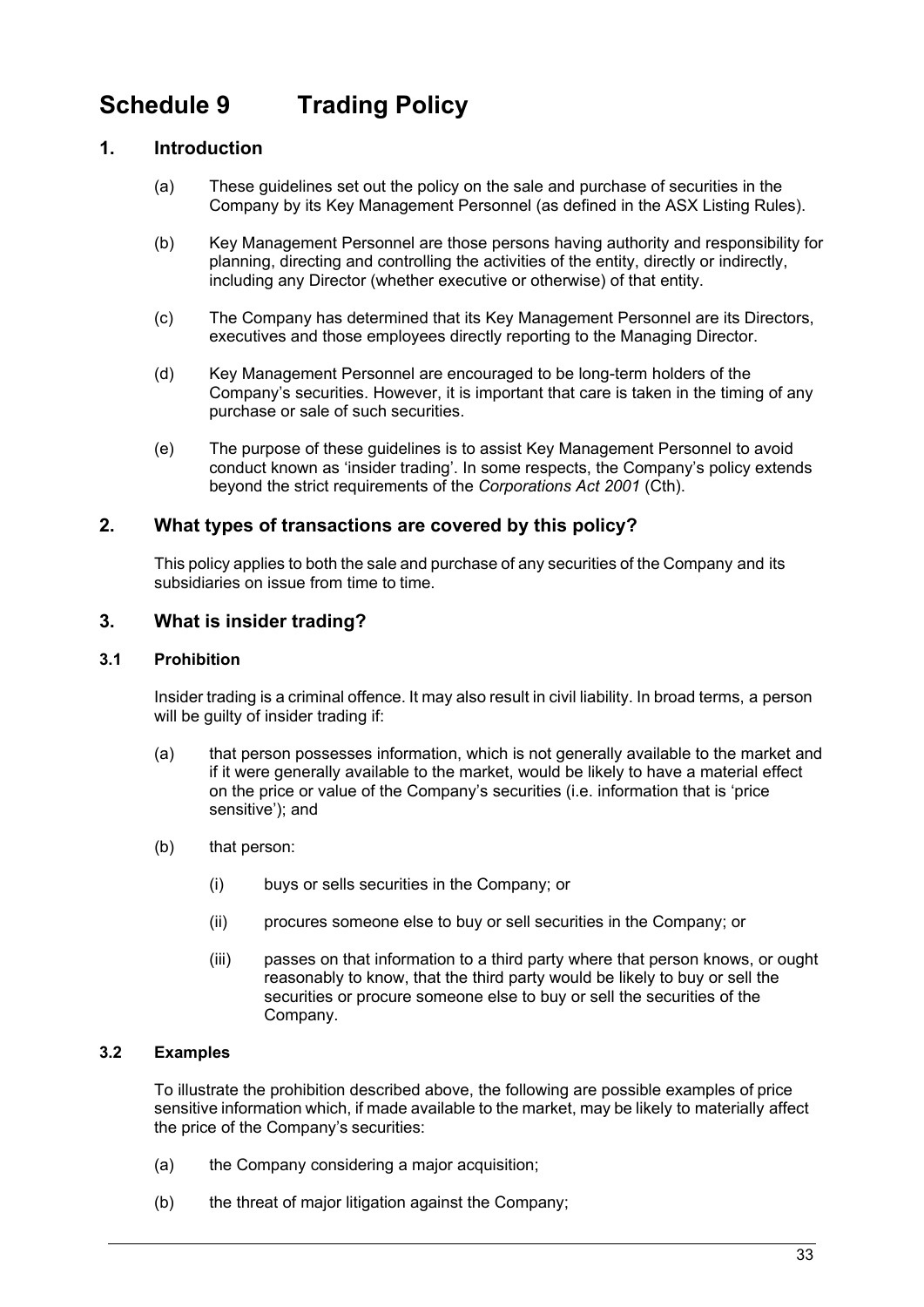# <span id="page-34-0"></span>**Schedule 9 Trading Policy**

# **1. Introduction**

- (a) These guidelines set out the policy on the sale and purchase of securities in the Company by its Key Management Personnel (as defined in the ASX Listing Rules).
- (b) Key Management Personnel are those persons having authority and responsibility for planning, directing and controlling the activities of the entity, directly or indirectly, including any Director (whether executive or otherwise) of that entity.
- (c) The Company has determined that its Key Management Personnel are its Directors, executives and those employees directly reporting to the Managing Director.
- (d) Key Management Personnel are encouraged to be long-term holders of the Company's securities. However, it is important that care is taken in the timing of any purchase or sale of such securities.
- (e) The purpose of these guidelines is to assist Key Management Personnel to avoid conduct known as 'insider trading'. In some respects, the Company's policy extends beyond the strict requirements of the *Corporations Act 2001* (Cth).

# **2. What types of transactions are covered by this policy?**

This policy applies to both the sale and purchase of any securities of the Company and its subsidiaries on issue from time to time.

# **3. What is insider trading?**

### **3.1 Prohibition**

Insider trading is a criminal offence. It may also result in civil liability. In broad terms, a person will be quilty of insider trading if:

- (a) that person possesses information, which is not generally available to the market and if it were generally available to the market, would be likely to have a material effect on the price or value of the Company's securities (i.e. information that is 'price sensitive'); and
- (b) that person:
	- (i) buys or sells securities in the Company; or
	- (ii) procures someone else to buy or sell securities in the Company; or
	- (iii) passes on that information to a third party where that person knows, or ought reasonably to know, that the third party would be likely to buy or sell the securities or procure someone else to buy or sell the securities of the Company.

# **3.2 Examples**

To illustrate the prohibition described above, the following are possible examples of price sensitive information which, if made available to the market, may be likely to materially affect the price of the Company's securities:

- (a) the Company considering a major acquisition;
- (b) the threat of major litigation against the Company;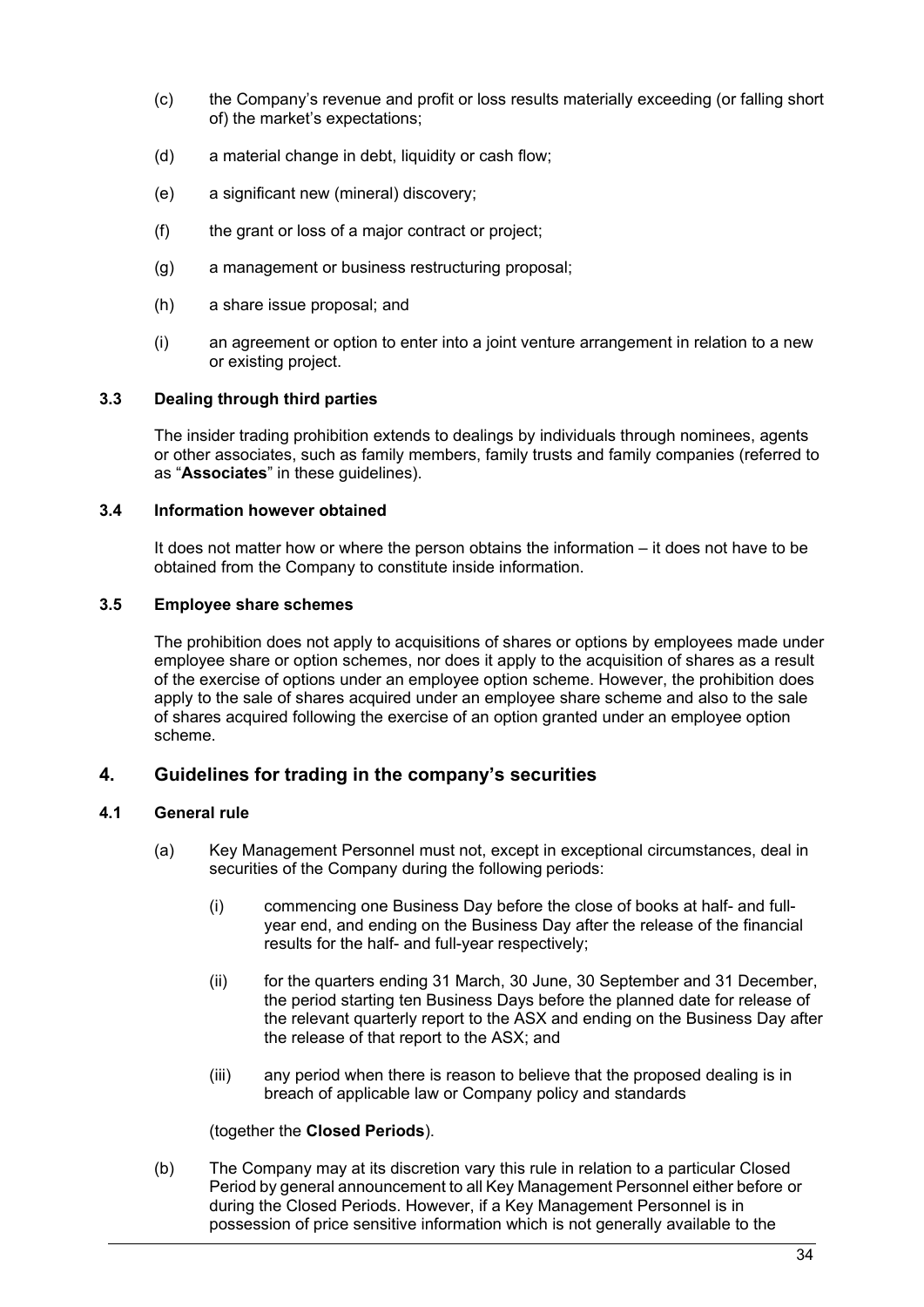- (c) the Company's revenue and profit or loss results materially exceeding (or falling short of) the market's expectations;
- (d) a material change in debt, liquidity or cash flow;
- (e) a significant new (mineral) discovery;
- (f) the grant or loss of a major contract or project;
- (g) a management or business restructuring proposal;
- (h) a share issue proposal; and
- (i) an agreement or option to enter into a joint venture arrangement in relation to a new or existing project.

#### **3.3 Dealing through third parties**

The insider trading prohibition extends to dealings by individuals through nominees, agents or other associates, such as family members, family trusts and family companies (referred to as "**Associates**" in these guidelines).

#### **3.4 Information however obtained**

It does not matter how or where the person obtains the information – it does not have to be obtained from the Company to constitute inside information.

#### **3.5 Employee share schemes**

The prohibition does not apply to acquisitions of shares or options by employees made under employee share or option schemes, nor does it apply to the acquisition of shares as a result of the exercise of options under an employee option scheme. However, the prohibition does apply to the sale of shares acquired under an employee share scheme and also to the sale of shares acquired following the exercise of an option granted under an employee option scheme.

### **4. Guidelines for trading in the company's securities**

### <span id="page-35-0"></span>**4.1 General rule**

- (a) Key Management Personnel must not, except in exceptional circumstances, deal in securities of the Company during the following periods:
	- (i) commencing one Business Day before the close of books at half- and fullyear end, and ending on the Business Day after the release of the financial results for the half- and full-year respectively;
	- (ii) for the quarters ending 31 March, 30 June, 30 September and 31 December, the period starting ten Business Days before the planned date for release of the relevant quarterly report to the ASX and ending on the Business Day after the release of that report to the ASX; and
	- (iii) any period when there is reason to believe that the proposed dealing is in breach of applicable law or Company policy and standards

#### (together the **Closed Periods**).

(b) The Company may at its discretion vary this rule in relation to a particular Closed Period by general announcement to all Key Management Personnel either before or during the Closed Periods. However, if a Key Management Personnel is in possession of price sensitive information which is not generally available to the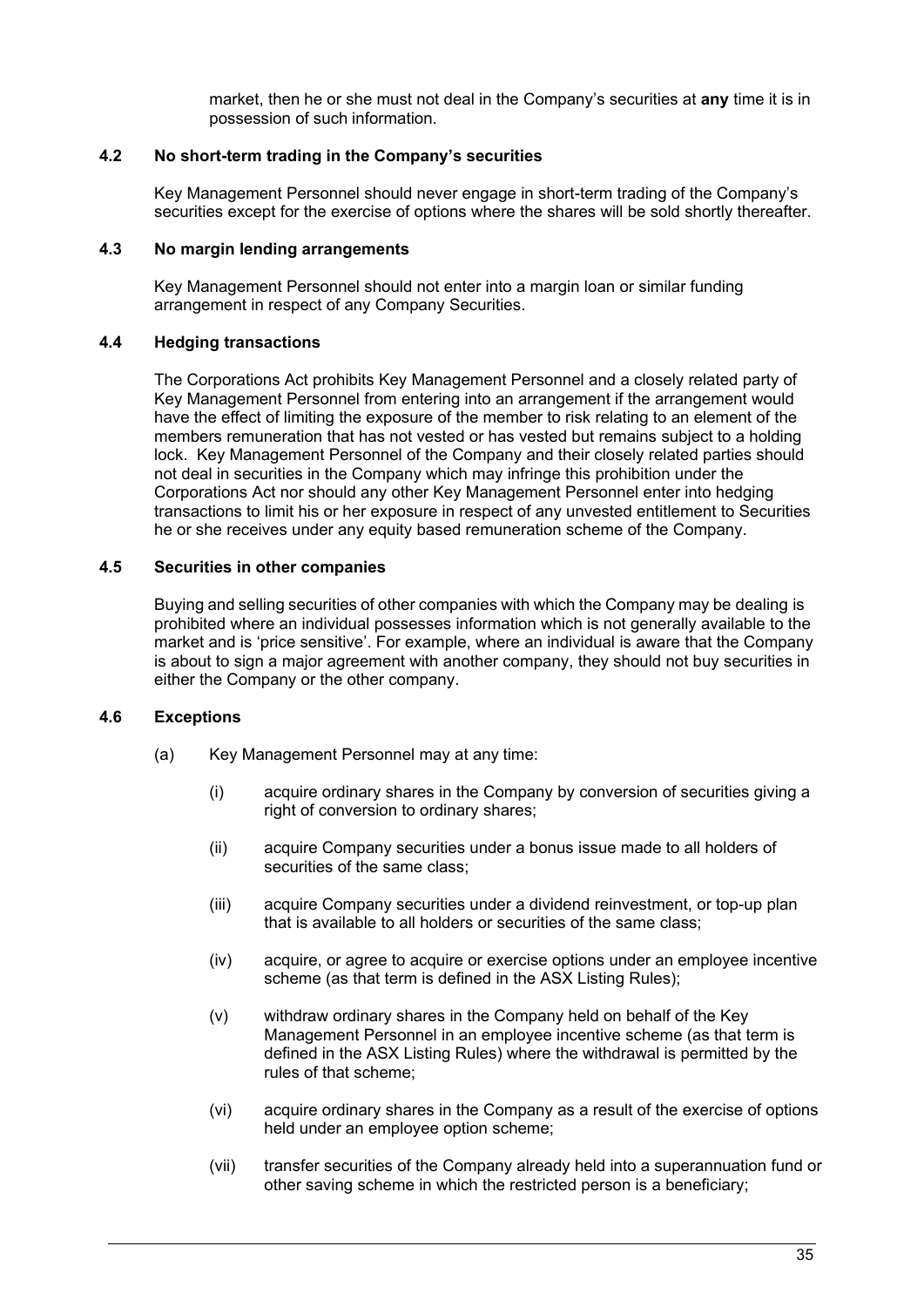market, then he or she must not deal in the Company's securities at **any** time it is in possession of such information.

#### **4.2 No short-term trading in the Company's securities**

Key Management Personnel should never engage in short-term trading of the Company's securities except for the exercise of options where the shares will be sold shortly thereafter.

#### **4.3 No margin lending arrangements**

Key Management Personnel should not enter into a margin loan or similar funding arrangement in respect of any Company Securities.

#### **4.4 Hedging transactions**

The Corporations Act prohibits Key Management Personnel and a closely related party of Key Management Personnel from entering into an arrangement if the arrangement would have the effect of limiting the exposure of the member to risk relating to an element of the members remuneration that has not vested or has vested but remains subject to a holding lock. Key Management Personnel of the Company and their closely related parties should not deal in securities in the Company which may infringe this prohibition under the Corporations Act nor should any other Key Management Personnel enter into hedging transactions to limit his or her exposure in respect of any unvested entitlement to Securities he or she receives under any equity based remuneration scheme of the Company.

#### **4.5 Securities in other companies**

Buying and selling securities of other companies with which the Company may be dealing is prohibited where an individual possesses information which is not generally available to the market and is 'price sensitive'. For example, where an individual is aware that the Company is about to sign a major agreement with another company, they should not buy securities in either the Company or the other company.

#### **4.6 Exceptions**

- (a) Key Management Personnel may at any time:
	- (i) acquire ordinary shares in the Company by conversion of securities giving a right of conversion to ordinary shares;
	- (ii) acquire Company securities under a bonus issue made to all holders of securities of the same class;
	- (iii) acquire Company securities under a dividend reinvestment, or top-up plan that is available to all holders or securities of the same class;
	- (iv) acquire, or agree to acquire or exercise options under an employee incentive scheme (as that term is defined in the ASX Listing Rules);
	- (v) withdraw ordinary shares in the Company held on behalf of the Key Management Personnel in an employee incentive scheme (as that term is defined in the ASX Listing Rules) where the withdrawal is permitted by the rules of that scheme;
	- (vi) acquire ordinary shares in the Company as a result of the exercise of options held under an employee option scheme;
	- (vii) transfer securities of the Company already held into a superannuation fund or other saving scheme in which the restricted person is a beneficiary;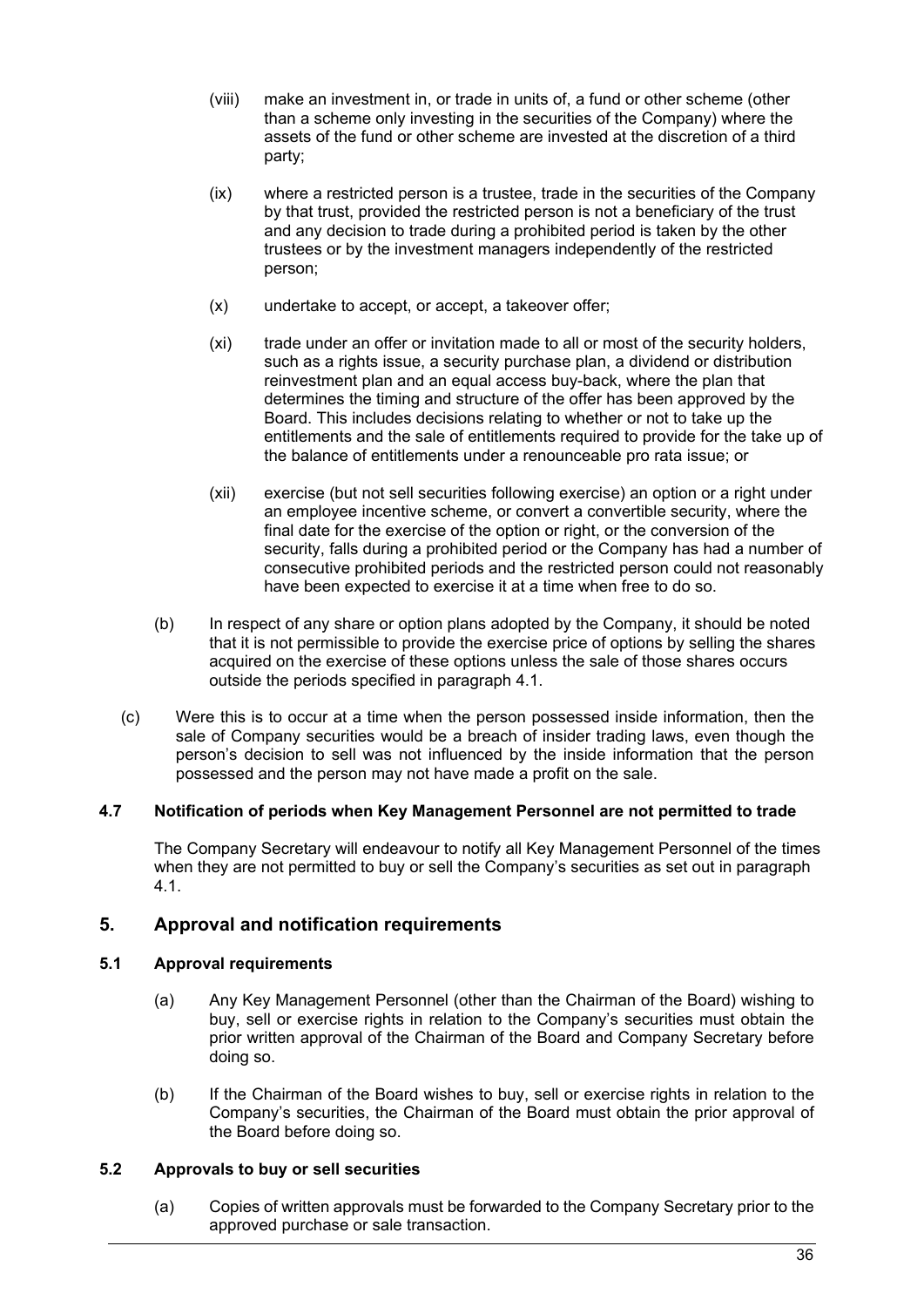- (viii) make an investment in, or trade in units of, a fund or other scheme (other than a scheme only investing in the securities of the Company) where the assets of the fund or other scheme are invested at the discretion of a third party;
- (ix) where a restricted person is a trustee, trade in the securities of the Company by that trust, provided the restricted person is not a beneficiary of the trust and any decision to trade during a prohibited period is taken by the other trustees or by the investment managers independently of the restricted person;
- (x) undertake to accept, or accept, a takeover offer;
- (xi) trade under an offer or invitation made to all or most of the security holders, such as a rights issue, a security purchase plan, a dividend or distribution reinvestment plan and an equal access buy-back, where the plan that determines the timing and structure of the offer has been approved by the Board. This includes decisions relating to whether or not to take up the entitlements and the sale of entitlements required to provide for the take up of the balance of entitlements under a renounceable pro rata issue; or
- (xii) exercise (but not sell securities following exercise) an option or a right under an employee incentive scheme, or convert a convertible security, where the final date for the exercise of the option or right, or the conversion of the security, falls during a prohibited period or the Company has had a number of consecutive prohibited periods and the restricted person could not reasonably have been expected to exercise it at a time when free to do so.
- (b) In respect of any share or option plans adopted by the Company, it should be noted that it is not permissible to provide the exercise price of options by selling the shares acquired on the exercise of these options unless the sale of those shares occurs outside the periods specified in paragraph [4.1.](#page-35-0)
- (c) Were this is to occur at a time when the person possessed inside information, then the sale of Company securities would be a breach of insider trading laws, even though the person's decision to sell was not influenced by the inside information that the person possessed and the person may not have made a profit on the sale.

### **4.7 Notification of periods when Key Management Personnel are not permitted to trade**

The Company Secretary will endeavour to notify all Key Management Personnel of the times when they are not permitted to buy or sell the Company's securities as set out in paragraph [4.1.](#page-35-0)

# **5. Approval and notification requirements**

### <span id="page-37-0"></span>**5.1 Approval requirements**

- (a) Any Key Management Personnel (other than the Chairman of the Board) wishing to buy, sell or exercise rights in relation to the Company's securities must obtain the prior written approval of the Chairman of the Board and Company Secretary before doing so.
- (b) If the Chairman of the Board wishes to buy, sell or exercise rights in relation to the Company's securities, the Chairman of the Board must obtain the prior approval of the Board before doing so.

### <span id="page-37-1"></span>**5.2 Approvals to buy or sell securities**

(a) Copies of written approvals must be forwarded to the Company Secretary prior to the approved purchase or sale transaction.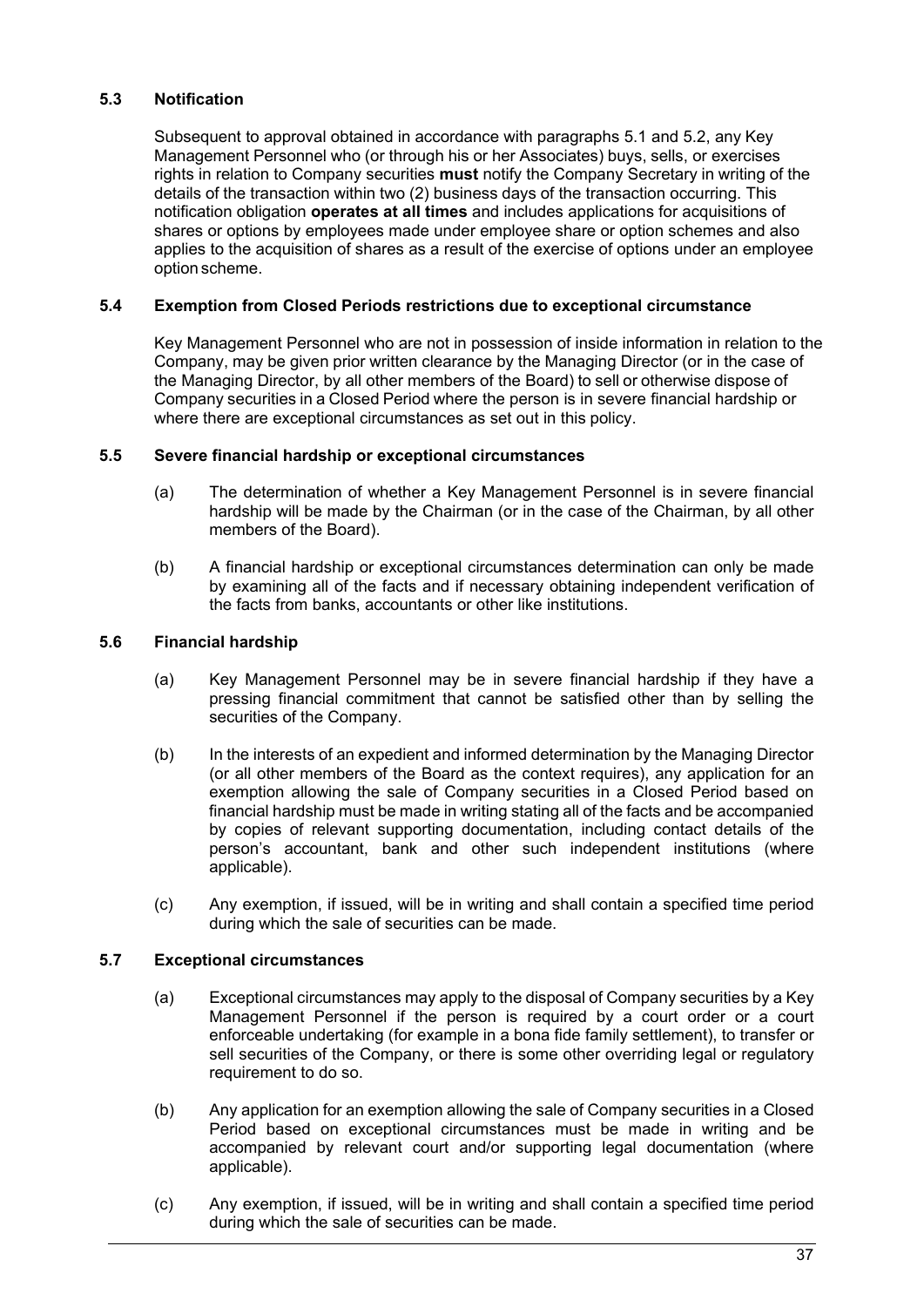## **5.3 Notification**

Subsequent to approval obtained in accordance with paragraphs [5.1 a](#page-37-0)nd [5.2,](#page-37-1) any Key Management Personnel who (or through his or her Associates) buys, sells, or exercises rights in relation to Company securities **must** notify the Company Secretary in writing of the details of the transaction within two (2) business days of the transaction occurring. This notification obligation **operates at all times** and includes applications for acquisitions of shares or options by employees made under employee share or option schemes and also applies to the acquisition of shares as a result of the exercise of options under an employee option scheme.

### **5.4 Exemption from Closed Periods restrictions due to exceptional circumstance**

Key Management Personnel who are not in possession of inside information in relation to the Company, may be given prior written clearance by the Managing Director (or in the case of the Managing Director, by all other members of the Board) to sell or otherwise dispose of Company securities in a Closed Period where the person is in severe financial hardship or where there are exceptional circumstances as set out in this policy.

#### **5.5 Severe financial hardship or exceptional circumstances**

- (a) The determination of whether a Key Management Personnel is in severe financial hardship will be made by the Chairman (or in the case of the Chairman, by all other members of the Board).
- (b) A financial hardship or exceptional circumstances determination can only be made by examining all of the facts and if necessary obtaining independent verification of the facts from banks, accountants or other like institutions.

#### **5.6 Financial hardship**

- (a) Key Management Personnel may be in severe financial hardship if they have a pressing financial commitment that cannot be satisfied other than by selling the securities of the Company.
- (b) In the interests of an expedient and informed determination by the Managing Director (or all other members of the Board as the context requires), any application for an exemption allowing the sale of Company securities in a Closed Period based on financial hardship must be made in writing stating all of the facts and be accompanied by copies of relevant supporting documentation, including contact details of the person's accountant, bank and other such independent institutions (where applicable).
- (c) Any exemption, if issued, will be in writing and shall contain a specified time period during which the sale of securities can be made.

### **5.7 Exceptional circumstances**

- (a) Exceptional circumstances may apply to the disposal of Company securities by a Key Management Personnel if the person is required by a court order or a court enforceable undertaking (for example in a bona fide family settlement), to transfer or sell securities of the Company, or there is some other overriding legal or regulatory requirement to do so.
- (b) Any application for an exemption allowing the sale of Company securities in a Closed Period based on exceptional circumstances must be made in writing and be accompanied by relevant court and/or supporting legal documentation (where applicable).
- (c) Any exemption, if issued, will be in writing and shall contain a specified time period during which the sale of securities can be made.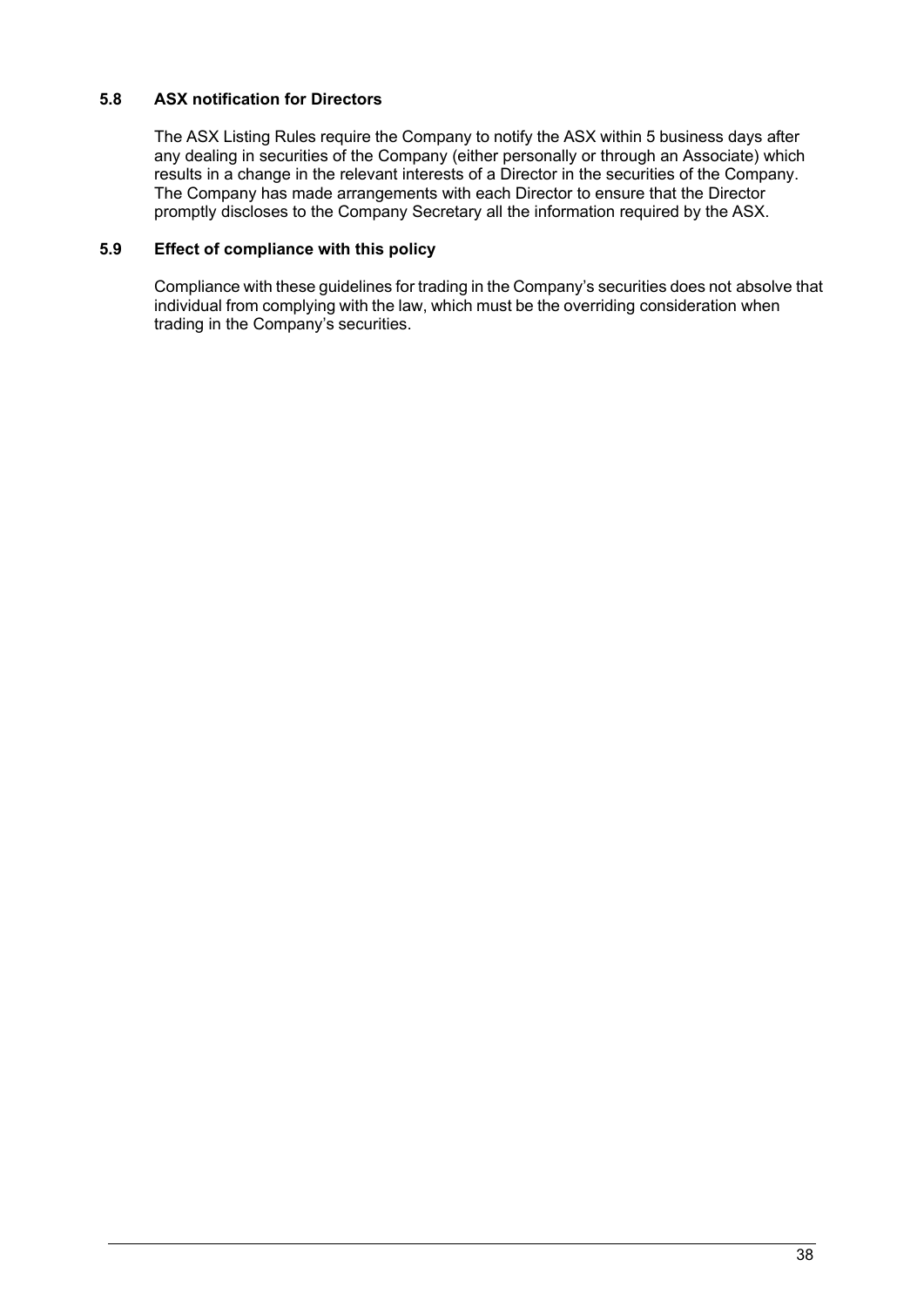## **5.8 ASX notification for Directors**

The ASX Listing Rules require the Company to notify the ASX within 5 business days after any dealing in securities of the Company (either personally or through an Associate) which results in a change in the relevant interests of a Director in the securities of the Company. The Company has made arrangements with each Director to ensure that the Director promptly discloses to the Company Secretary all the information required by the ASX.

### **5.9 Effect of compliance with this policy**

Compliance with these guidelines for trading in the Company's securities does not absolve that individual from complying with the law, which must be the overriding consideration when trading in the Company's securities.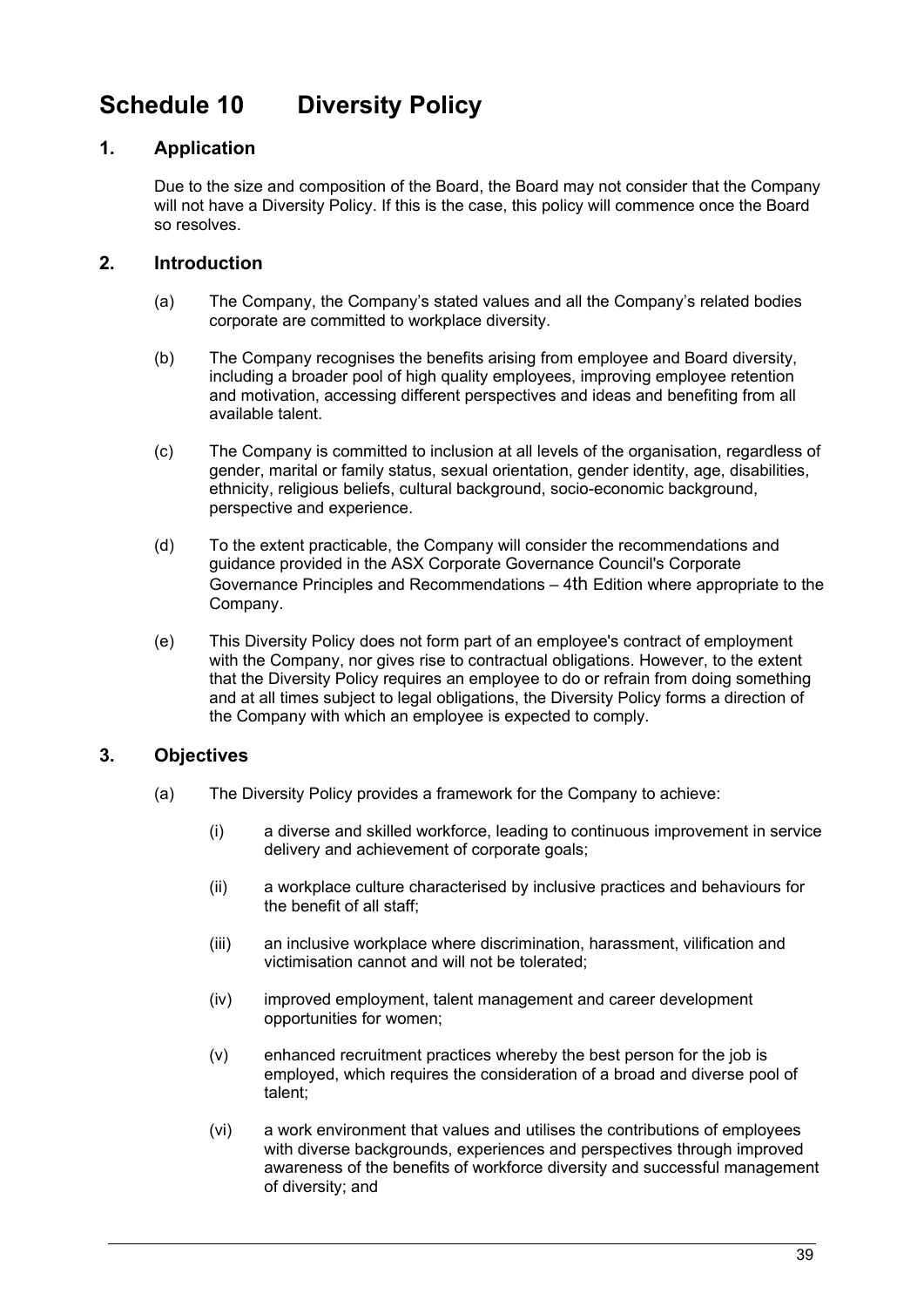# <span id="page-40-0"></span>**Schedule 10 Diversity Policy**

# **1. Application**

Due to the size and composition of the Board, the Board may not consider that the Company will not have a Diversity Policy. If this is the case, this policy will commence once the Board so resolves.

# **2. Introduction**

- (a) The Company, the Company's stated values and all the Company's related bodies corporate are committed to workplace diversity.
- (b) The Company recognises the benefits arising from employee and Board diversity, including a broader pool of high quality employees, improving employee retention and motivation, accessing different perspectives and ideas and benefiting from all available talent.
- (c) The Company is committed to inclusion at all levels of the organisation, regardless of gender, marital or family status, sexual orientation, gender identity, age, disabilities, ethnicity, religious beliefs, cultural background, socio-economic background, perspective and experience.
- (d) To the extent practicable, the Company will consider the recommendations and guidance provided in the ASX Corporate Governance Council's Corporate Governance Principles and Recommendations – 4th Edition where appropriate to the Company.
- (e) This Diversity Policy does not form part of an employee's contract of employment with the Company, nor gives rise to contractual obligations. However, to the extent that the Diversity Policy requires an employee to do or refrain from doing something and at all times subject to legal obligations, the Diversity Policy forms a direction of the Company with which an employee is expected to comply.

# **3. Objectives**

- (a) The Diversity Policy provides a framework for the Company to achieve:
	- (i) a diverse and skilled workforce, leading to continuous improvement in service delivery and achievement of corporate goals;
	- (ii) a workplace culture characterised by inclusive practices and behaviours for the benefit of all staff;
	- (iii) an inclusive workplace where discrimination, harassment, vilification and victimisation cannot and will not be tolerated;
	- (iv) improved employment, talent management and career development opportunities for women;
	- (v) enhanced recruitment practices whereby the best person for the job is employed, which requires the consideration of a broad and diverse pool of talent;
	- (vi) a work environment that values and utilises the contributions of employees with diverse backgrounds, experiences and perspectives through improved awareness of the benefits of workforce diversity and successful management of diversity; and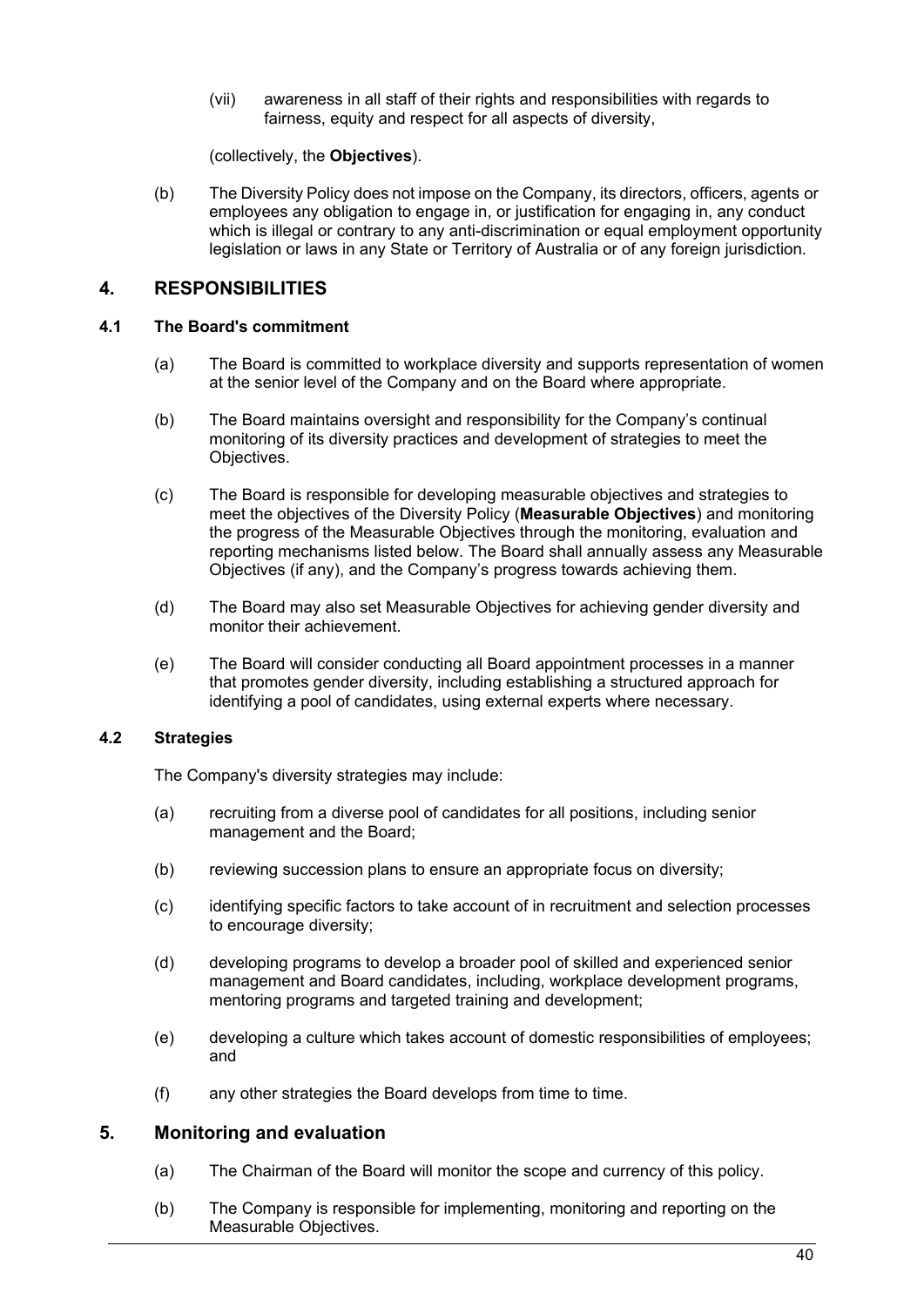(vii) awareness in all staff of their rights and responsibilities with regards to fairness, equity and respect for all aspects of diversity,

(collectively, the **Objectives**).

(b) The Diversity Policy does not impose on the Company, its directors, officers, agents or employees any obligation to engage in, or justification for engaging in, any conduct which is illegal or contrary to any anti-discrimination or equal employment opportunity legislation or laws in any State or Territory of Australia or of any foreign jurisdiction.

# **4. RESPONSIBILITIES**

### **4.1 The Board's commitment**

- (a) The Board is committed to workplace diversity and supports representation of women at the senior level of the Company and on the Board where appropriate.
- (b) The Board maintains oversight and responsibility for the Company's continual monitoring of its diversity practices and development of strategies to meet the Objectives.
- (c) The Board is responsible for developing measurable objectives and strategies to meet the objectives of the Diversity Policy (**Measurable Objectives**) and monitoring the progress of the Measurable Objectives through the monitoring, evaluation and reporting mechanisms listed below. The Board shall annually assess any Measurable Objectives (if any), and the Company's progress towards achieving them.
- (d) The Board may also set Measurable Objectives for achieving gender diversity and monitor their achievement.
- (e) The Board will consider conducting all Board appointment processes in a manner that promotes gender diversity, including establishing a structured approach for identifying a pool of candidates, using external experts where necessary.

### **4.2 Strategies**

The Company's diversity strategies may include:

- (a) recruiting from a diverse pool of candidates for all positions, including senior management and the Board;
- (b) reviewing succession plans to ensure an appropriate focus on diversity;
- (c) identifying specific factors to take account of in recruitment and selection processes to encourage diversity;
- (d) developing programs to develop a broader pool of skilled and experienced senior management and Board candidates, including, workplace development programs, mentoring programs and targeted training and development;
- (e) developing a culture which takes account of domestic responsibilities of employees; and
- (f) any other strategies the Board develops from time to time.

# **5. Monitoring and evaluation**

- (a) The Chairman of the Board will monitor the scope and currency of this policy.
- (b) The Company is responsible for implementing, monitoring and reporting on the Measurable Objectives.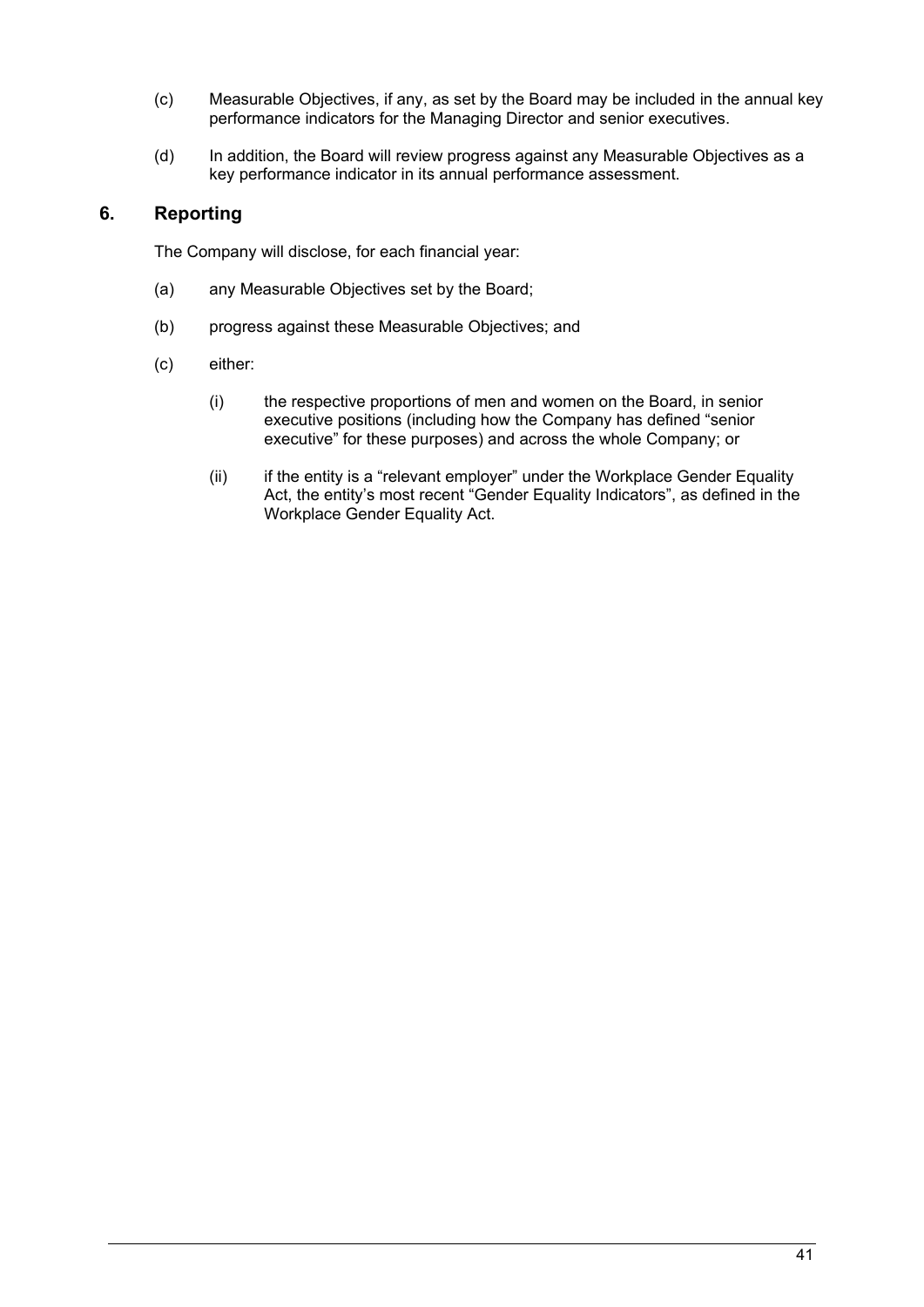- (c) Measurable Objectives, if any, as set by the Board may be included in the annual key performance indicators for the Managing Director and senior executives.
- (d) In addition, the Board will review progress against any Measurable Objectives as a key performance indicator in its annual performance assessment.

# **6. Reporting**

The Company will disclose, for each financial year:

- (a) any Measurable Objectives set by the Board;
- (b) progress against these Measurable Objectives; and
- (c) either:
	- (i) the respective proportions of men and women on the Board, in senior executive positions (including how the Company has defined "senior executive" for these purposes) and across the whole Company; or
	- (ii) if the entity is a "relevant employer" under the Workplace Gender Equality Act, the entity's most recent "Gender Equality Indicators", as defined in the Workplace Gender Equality Act.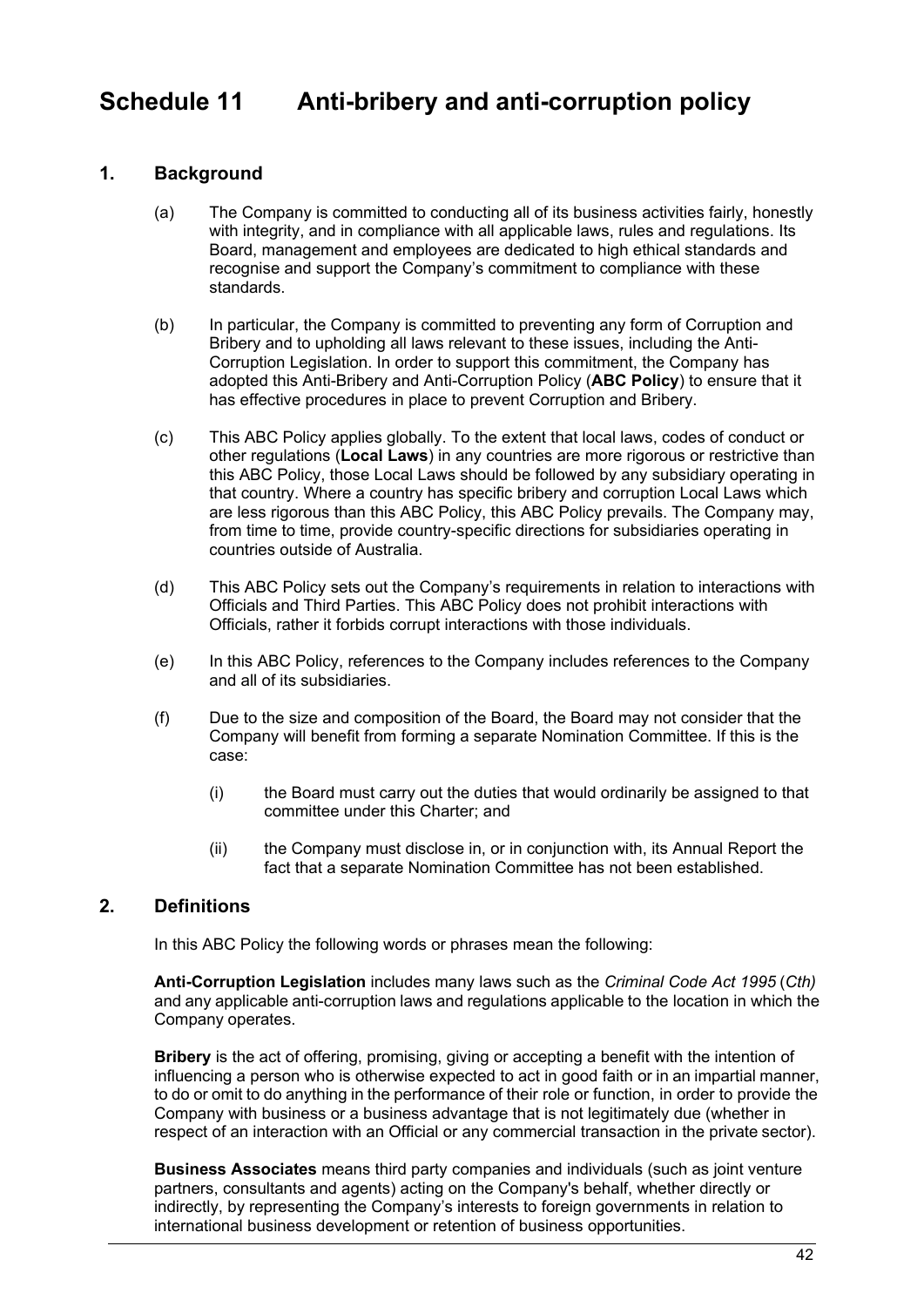# <span id="page-43-0"></span>**Schedule 11 Anti-bribery and anti-corruption policy**

## **1. Background**

- (a) The Company is committed to conducting all of its business activities fairly, honestly with integrity, and in compliance with all applicable laws, rules and regulations. Its Board, management and employees are dedicated to high ethical standards and recognise and support the Company's commitment to compliance with these standards.
- (b) In particular, the Company is committed to preventing any form of Corruption and Bribery and to upholding all laws relevant to these issues, including the Anti-Corruption Legislation. In order to support this commitment, the Company has adopted this Anti-Bribery and Anti-Corruption Policy (**ABC Policy**) to ensure that it has effective procedures in place to prevent Corruption and Bribery.
- (c) This ABC Policy applies globally. To the extent that local laws, codes of conduct or other regulations (**Local Laws**) in any countries are more rigorous or restrictive than this ABC Policy, those Local Laws should be followed by any subsidiary operating in that country. Where a country has specific bribery and corruption Local Laws which are less rigorous than this ABC Policy, this ABC Policy prevails. The Company may, from time to time, provide country-specific directions for subsidiaries operating in countries outside of Australia.
- (d) This ABC Policy sets out the Company's requirements in relation to interactions with Officials and Third Parties. This ABC Policy does not prohibit interactions with Officials, rather it forbids corrupt interactions with those individuals.
- (e) In this ABC Policy, references to the Company includes references to the Company and all of its subsidiaries.
- (f) Due to the size and composition of the Board, the Board may not consider that the Company will benefit from forming a separate Nomination Committee. If this is the case:
	- (i) the Board must carry out the duties that would ordinarily be assigned to that committee under this Charter; and
	- (ii) the Company must disclose in, or in conjunction with, its Annual Report the fact that a separate Nomination Committee has not been established.

### **2. Definitions**

In this ABC Policy the following words or phrases mean the following:

**Anti-Corruption Legislation** includes many laws such as the *Criminal Code Act 1995* (*Cth)* and any applicable anti-corruption laws and regulations applicable to the location in which the Company operates.

**Bribery** is the act of offering, promising, giving or accepting a benefit with the intention of influencing a person who is otherwise expected to act in good faith or in an impartial manner, to do or omit to do anything in the performance of their role or function, in order to provide the Company with business or a business advantage that is not legitimately due (whether in respect of an interaction with an Official or any commercial transaction in the private sector).

**Business Associates** means third party companies and individuals (such as joint venture partners, consultants and agents) acting on the Company's behalf, whether directly or indirectly, by representing the Company's interests to foreign governments in relation to international business development or retention of business opportunities.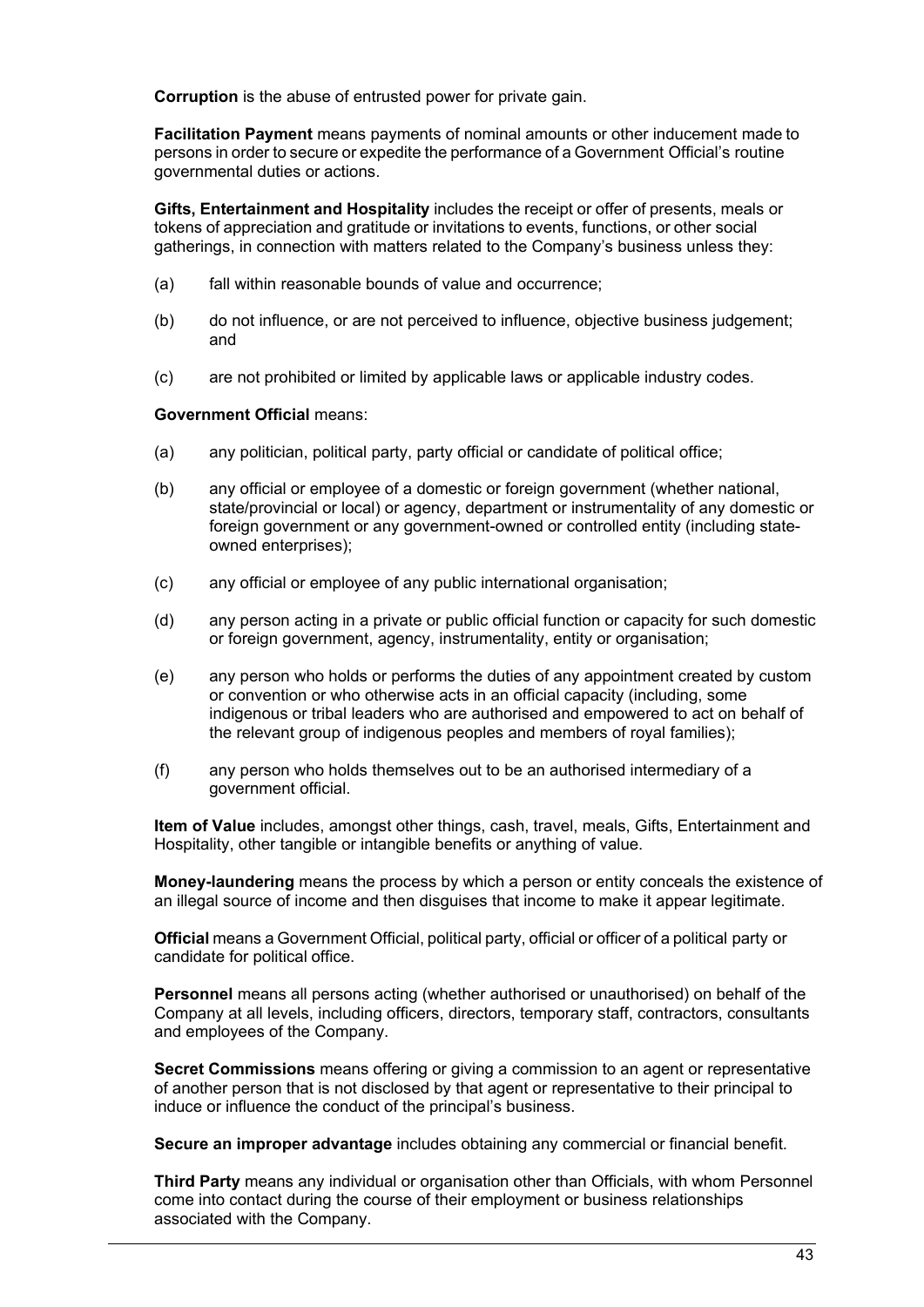**Corruption** is the abuse of entrusted power for private gain.

**Facilitation Payment** means payments of nominal amounts or other inducement made to persons in order to secure or expedite the performance of a Government Official's routine governmental duties or actions.

**Gifts, Entertainment and Hospitality** includes the receipt or offer of presents, meals or tokens of appreciation and gratitude or invitations to events, functions, or other social gatherings, in connection with matters related to the Company's business unless they:

- (a) fall within reasonable bounds of value and occurrence;
- (b) do not influence, or are not perceived to influence, objective business judgement; and
- (c) are not prohibited or limited by applicable laws or applicable industry codes.

#### **Government Official** means:

- (a) any politician, political party, party official or candidate of political office;
- (b) any official or employee of a domestic or foreign government (whether national, state/provincial or local) or agency, department or instrumentality of any domestic or foreign government or any government-owned or controlled entity (including stateowned enterprises);
- (c) any official or employee of any public international organisation;
- (d) any person acting in a private or public official function or capacity for such domestic or foreign government, agency, instrumentality, entity or organisation;
- (e) any person who holds or performs the duties of any appointment created by custom or convention or who otherwise acts in an official capacity (including, some indigenous or tribal leaders who are authorised and empowered to act on behalf of the relevant group of indigenous peoples and members of royal families);
- (f) any person who holds themselves out to be an authorised intermediary of a government official.

**Item of Value** includes, amongst other things, cash, travel, meals, Gifts, Entertainment and Hospitality, other tangible or intangible benefits or anything of value.

**Money-laundering** means the process by which a person or entity conceals the existence of an illegal source of income and then disguises that income to make it appear legitimate.

**Official** means a Government Official, political party, official or officer of a political party or candidate for political office.

**Personnel** means all persons acting (whether authorised or unauthorised) on behalf of the Company at all levels, including officers, directors, temporary staff, contractors, consultants and employees of the Company.

**Secret Commissions** means offering or giving a commission to an agent or representative of another person that is not disclosed by that agent or representative to their principal to induce or influence the conduct of the principal's business.

**Secure an improper advantage** includes obtaining any commercial or financial benefit.

**Third Party** means any individual or organisation other than Officials, with whom Personnel come into contact during the course of their employment or business relationships associated with the Company.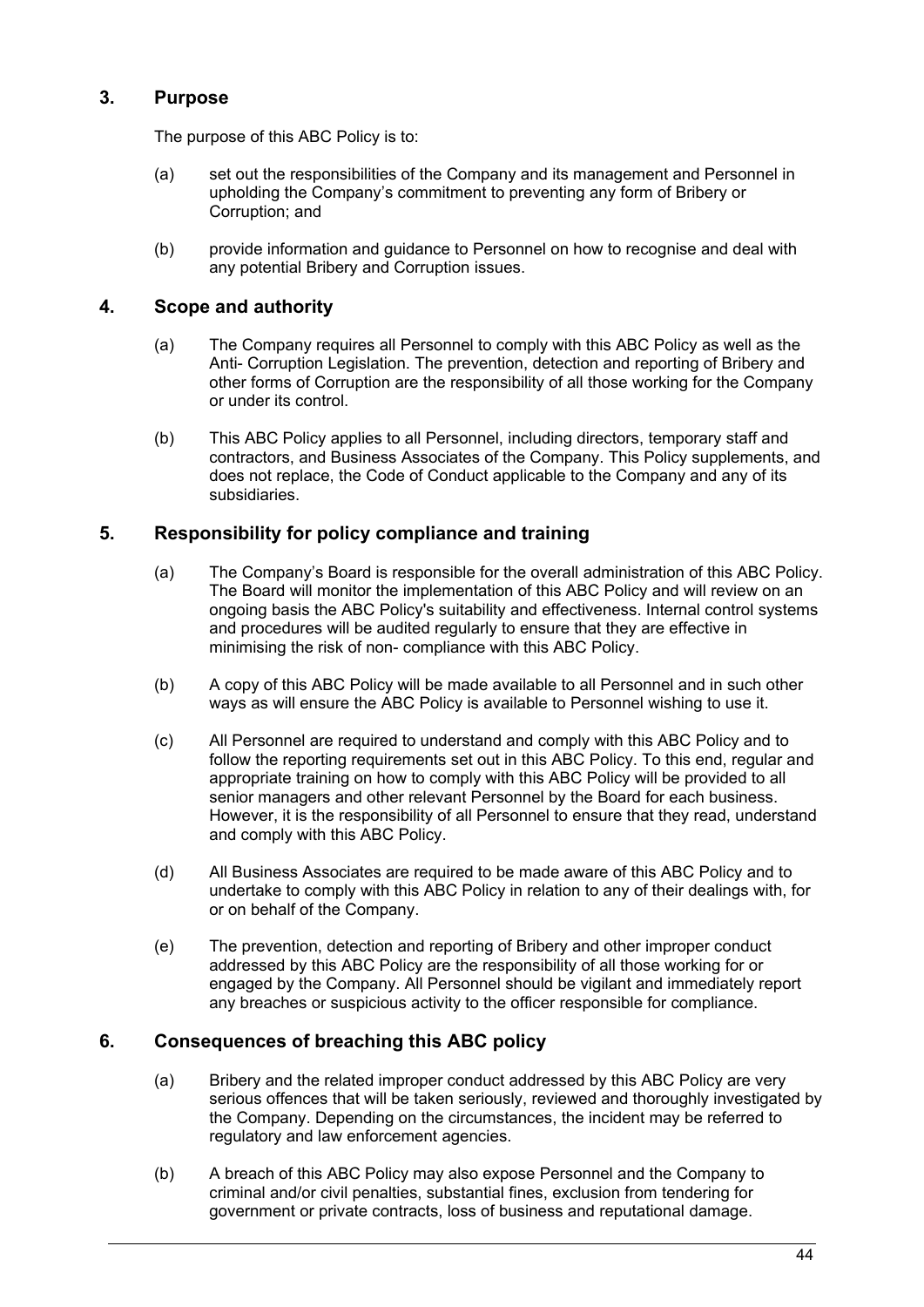# **3. Purpose**

The purpose of this ABC Policy is to:

- (a) set out the responsibilities of the Company and its management and Personnel in upholding the Company's commitment to preventing any form of Bribery or Corruption; and
- (b) provide information and guidance to Personnel on how to recognise and deal with any potential Bribery and Corruption issues.

## **4. Scope and authority**

- (a) The Company requires all Personnel to comply with this ABC Policy as well as the Anti- Corruption Legislation. The prevention, detection and reporting of Bribery and other forms of Corruption are the responsibility of all those working for the Company or under its control.
- (b) This ABC Policy applies to all Personnel, including directors, temporary staff and contractors, and Business Associates of the Company. This Policy supplements, and does not replace, the Code of Conduct applicable to the Company and any of its subsidiaries.

# **5. Responsibility for policy compliance and training**

- (a) The Company's Board is responsible for the overall administration of this ABC Policy. The Board will monitor the implementation of this ABC Policy and will review on an ongoing basis the ABC Policy's suitability and effectiveness. Internal control systems and procedures will be audited regularly to ensure that they are effective in minimising the risk of non- compliance with this ABC Policy.
- (b) A copy of this ABC Policy will be made available to all Personnel and in such other ways as will ensure the ABC Policy is available to Personnel wishing to use it.
- (c) All Personnel are required to understand and comply with this ABC Policy and to follow the reporting requirements set out in this ABC Policy. To this end, regular and appropriate training on how to comply with this ABC Policy will be provided to all senior managers and other relevant Personnel by the Board for each business. However, it is the responsibility of all Personnel to ensure that they read, understand and comply with this ABC Policy.
- (d) All Business Associates are required to be made aware of this ABC Policy and to undertake to comply with this ABC Policy in relation to any of their dealings with, for or on behalf of the Company.
- (e) The prevention, detection and reporting of Bribery and other improper conduct addressed by this ABC Policy are the responsibility of all those working for or engaged by the Company. All Personnel should be vigilant and immediately report any breaches or suspicious activity to the officer responsible for compliance.

### **6. Consequences of breaching this ABC policy**

- (a) Bribery and the related improper conduct addressed by this ABC Policy are very serious offences that will be taken seriously, reviewed and thoroughly investigated by the Company. Depending on the circumstances, the incident may be referred to regulatory and law enforcement agencies.
- (b) A breach of this ABC Policy may also expose Personnel and the Company to criminal and/or civil penalties, substantial fines, exclusion from tendering for government or private contracts, loss of business and reputational damage.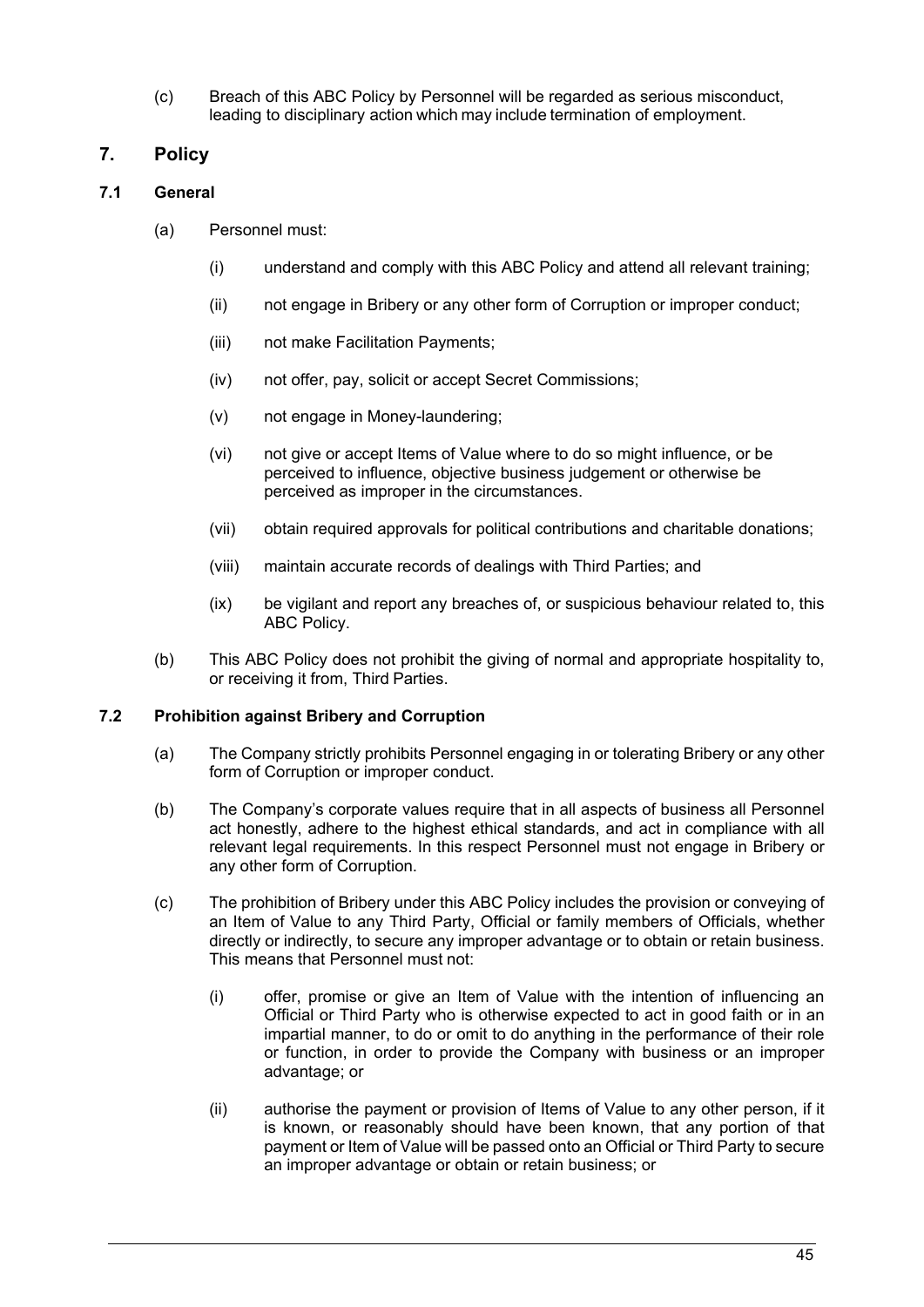(c) Breach of this ABC Policy by Personnel will be regarded as serious misconduct, leading to disciplinary action which may include termination of employment.

# **7. Policy**

### **7.1 General**

- (a) Personnel must:
	- (i) understand and comply with this ABC Policy and attend all relevant training;
	- (ii) not engage in Bribery or any other form of Corruption or improper conduct;
	- (iii) not make Facilitation Payments;
	- (iv) not offer, pay, solicit or accept Secret Commissions;
	- (v) not engage in Money-laundering;
	- (vi) not give or accept Items of Value where to do so might influence, or be perceived to influence, objective business judgement or otherwise be perceived as improper in the circumstances.
	- (vii) obtain required approvals for political contributions and charitable donations;
	- (viii) maintain accurate records of dealings with Third Parties; and
	- (ix) be vigilant and report any breaches of, or suspicious behaviour related to, this ABC Policy.
- (b) This ABC Policy does not prohibit the giving of normal and appropriate hospitality to, or receiving it from, Third Parties.

### **7.2 Prohibition against Bribery and Corruption**

- (a) The Company strictly prohibits Personnel engaging in or tolerating Bribery or any other form of Corruption or improper conduct.
- (b) The Company's corporate values require that in all aspects of business all Personnel act honestly, adhere to the highest ethical standards, and act in compliance with all relevant legal requirements. In this respect Personnel must not engage in Bribery or any other form of Corruption.
- (c) The prohibition of Bribery under this ABC Policy includes the provision or conveying of an Item of Value to any Third Party, Official or family members of Officials, whether directly or indirectly, to secure any improper advantage or to obtain or retain business. This means that Personnel must not:
	- (i) offer, promise or give an Item of Value with the intention of influencing an Official or Third Party who is otherwise expected to act in good faith or in an impartial manner, to do or omit to do anything in the performance of their role or function, in order to provide the Company with business or an improper advantage; or
	- (ii) authorise the payment or provision of Items of Value to any other person, if it is known, or reasonably should have been known, that any portion of that payment or Item of Value will be passed onto an Official or Third Party to secure an improper advantage or obtain or retain business; or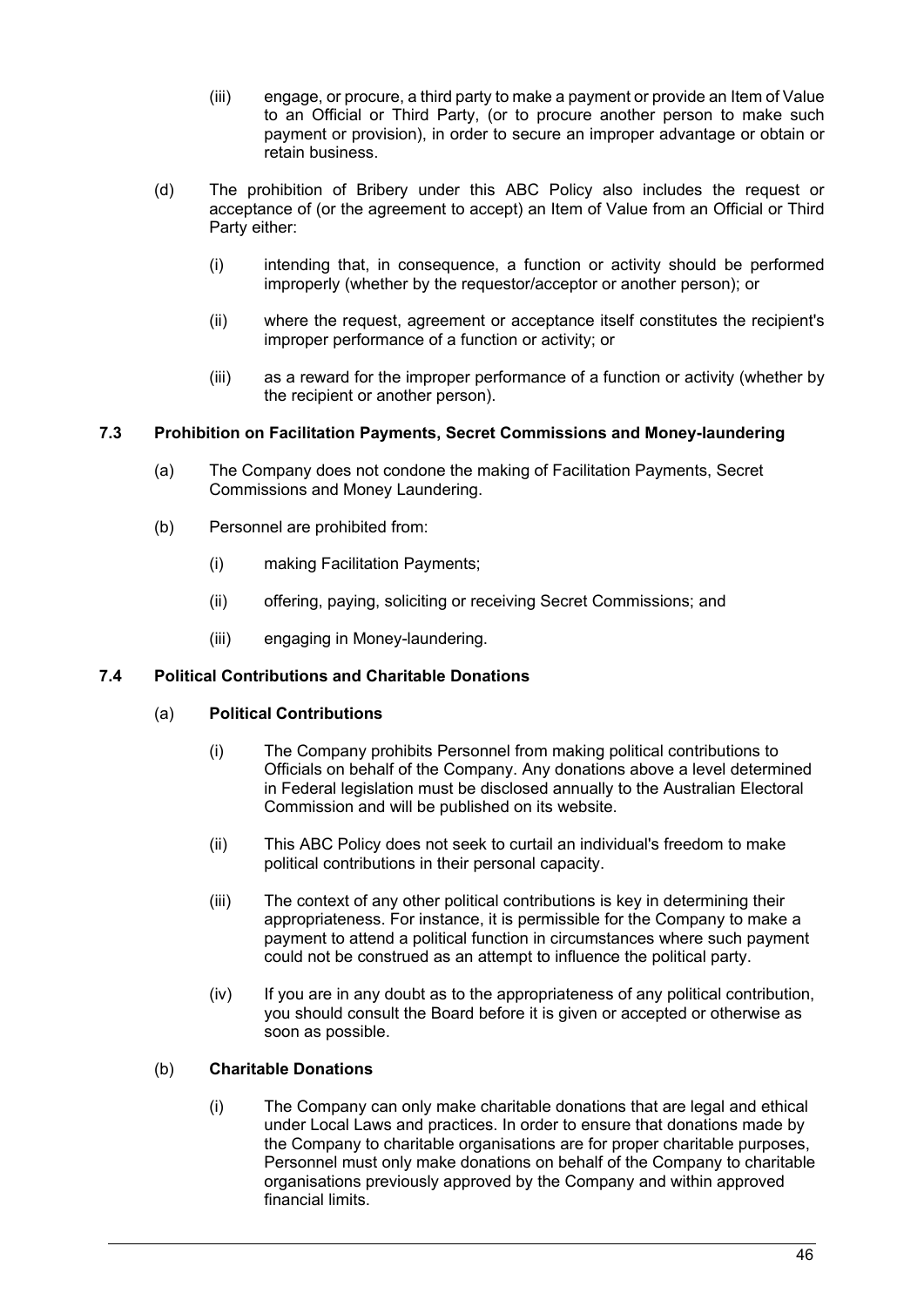- (iii) engage, or procure, a third party to make a payment or provide an Item of Value to an Official or Third Party, (or to procure another person to make such payment or provision), in order to secure an improper advantage or obtain or retain business.
- (d) The prohibition of Bribery under this ABC Policy also includes the request or acceptance of (or the agreement to accept) an Item of Value from an Official or Third Party either:
	- (i) intending that, in consequence, a function or activity should be performed improperly (whether by the requestor/acceptor or another person); or
	- (ii) where the request, agreement or acceptance itself constitutes the recipient's improper performance of a function or activity; or
	- (iii) as a reward for the improper performance of a function or activity (whether by the recipient or another person).

### **7.3 Prohibition on Facilitation Payments, Secret Commissions and Money-laundering**

- (a) The Company does not condone the making of Facilitation Payments, Secret Commissions and Money Laundering.
- (b) Personnel are prohibited from:
	- (i) making Facilitation Payments;
	- (ii) offering, paying, soliciting or receiving Secret Commissions; and
	- (iii) engaging in Money-laundering.

### **7.4 Political Contributions and Charitable Donations**

#### (a) **Political Contributions**

- (i) The Company prohibits Personnel from making political contributions to Officials on behalf of the Company. Any donations above a level determined in Federal legislation must be disclosed annually to the Australian Electoral Commission and will be published on its website.
- (ii) This ABC Policy does not seek to curtail an individual's freedom to make political contributions in their personal capacity.
- (iii) The context of any other political contributions is key in determining their appropriateness. For instance, it is permissible for the Company to make a payment to attend a political function in circumstances where such payment could not be construed as an attempt to influence the political party.
- (iv) If you are in any doubt as to the appropriateness of any political contribution, you should consult the Board before it is given or accepted or otherwise as soon as possible.

#### (b) **Charitable Donations**

(i) The Company can only make charitable donations that are legal and ethical under Local Laws and practices. In order to ensure that donations made by the Company to charitable organisations are for proper charitable purposes, Personnel must only make donations on behalf of the Company to charitable organisations previously approved by the Company and within approved financial limits.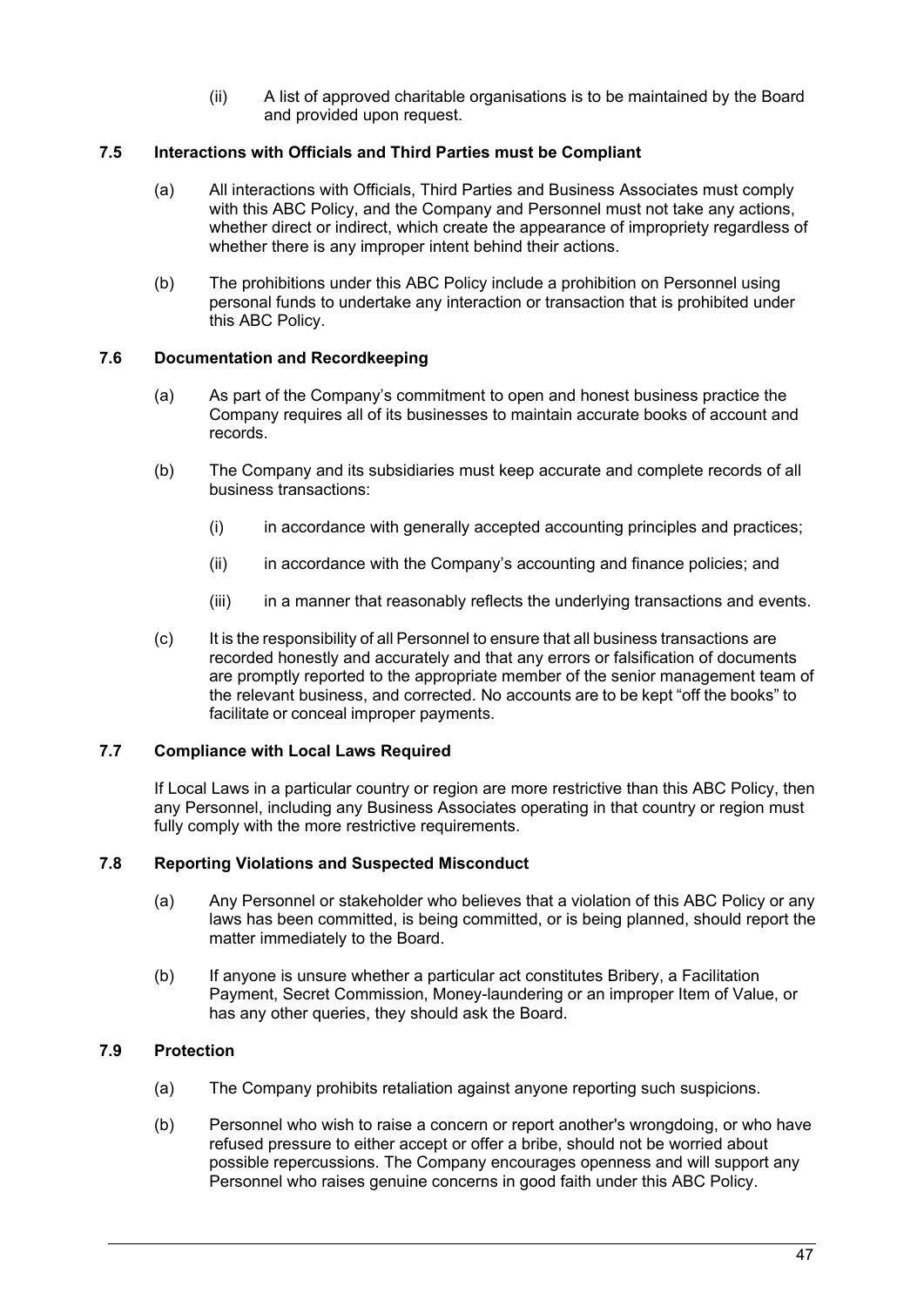(ii) A list of approved charitable organisations is to be maintained by the Board and provided upon request.

#### **7.5 Interactions with Officials and Third Parties must be Compliant**

- (a) All interactions with Officials, Third Parties and Business Associates must comply with this ABC Policy, and the Company and Personnel must not take any actions, whether direct or indirect, which create the appearance of impropriety regardless of whether there is any improper intent behind their actions.
- (b) The prohibitions under this ABC Policy include a prohibition on Personnel using personal funds to undertake any interaction or transaction that is prohibited under this ABC Policy.

### **7.6 Documentation and Recordkeeping**

- (a) As part of the Company's commitment to open and honest business practice the Company requires all of its businesses to maintain accurate books of account and records.
- (b) The Company and its subsidiaries must keep accurate and complete records of all business transactions:
	- (i) in accordance with generally accepted accounting principles and practices;
	- (ii) in accordance with the Company's accounting and finance policies; and
	- (iii) in a manner that reasonably reflects the underlying transactions and events.
- (c) It is the responsibility of all Personnel to ensure that all business transactions are recorded honestly and accurately and that any errors or falsification of documents are promptly reported to the appropriate member of the senior management team of the relevant business, and corrected. No accounts are to be kept "off the books" to facilitate or conceal improper payments.

#### **7.7 Compliance with Local Laws Required**

If Local Laws in a particular country or region are more restrictive than this ABC Policy, then any Personnel, including any Business Associates operating in that country or region must fully comply with the more restrictive requirements.

#### **7.8 Reporting Violations and Suspected Misconduct**

- (a) Any Personnel or stakeholder who believes that a violation of this ABC Policy or any laws has been committed, is being committed, or is being planned, should report the matter immediately to the Board.
- (b) If anyone is unsure whether a particular act constitutes Bribery, a Facilitation Payment, Secret Commission, Money-laundering or an improper Item of Value, or has any other queries, they should ask the Board.

### **7.9 Protection**

- (a) The Company prohibits retaliation against anyone reporting such suspicions.
- (b) Personnel who wish to raise a concern or report another's wrongdoing, or who have refused pressure to either accept or offer a bribe, should not be worried about possible repercussions. The Company encourages openness and will support any Personnel who raises genuine concerns in good faith under this ABC Policy.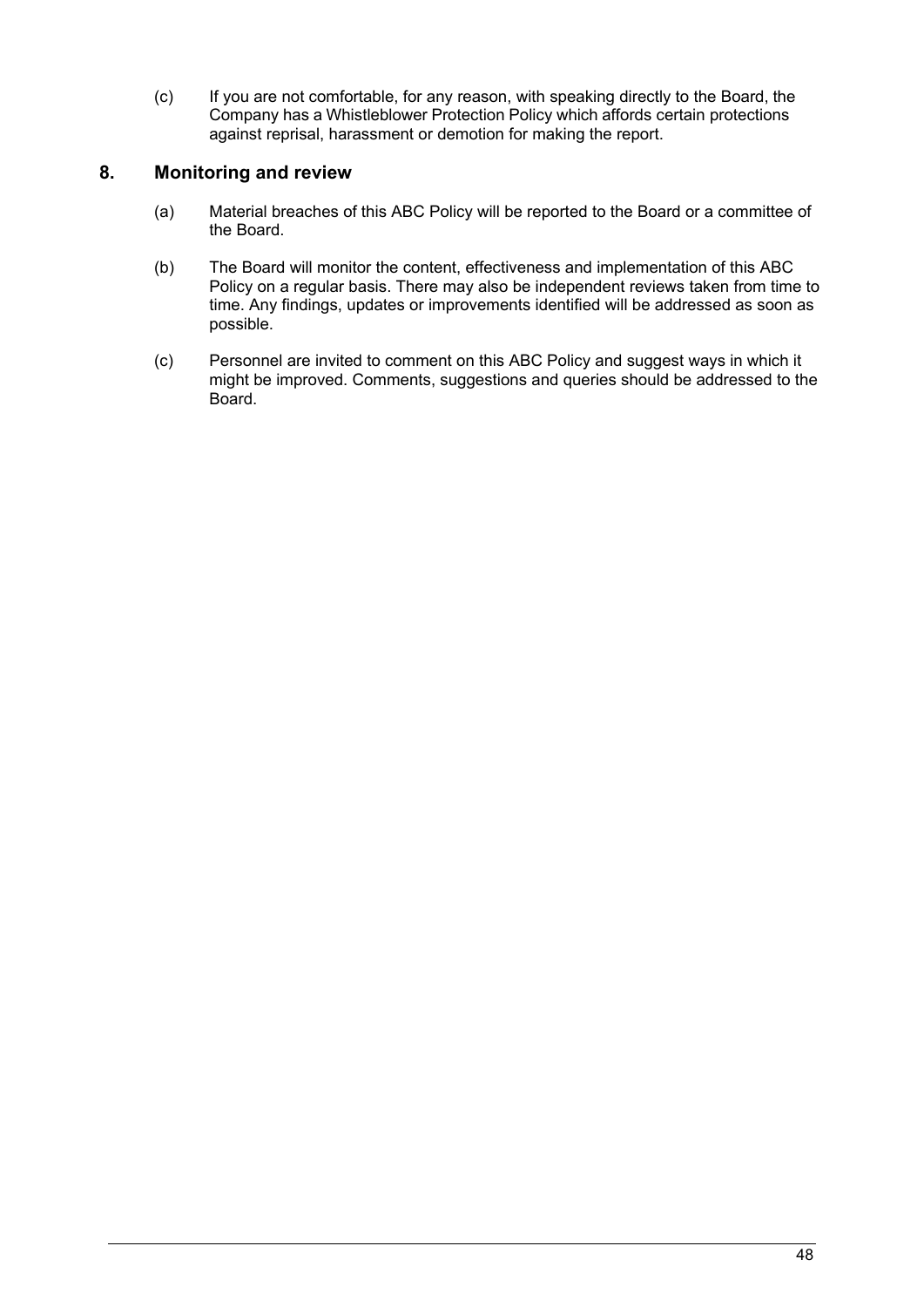(c) If you are not comfortable, for any reason, with speaking directly to the Board, the Company has a Whistleblower Protection Policy which affords certain protections against reprisal, harassment or demotion for making the report.

# **8. Monitoring and review**

- (a) Material breaches of this ABC Policy will be reported to the Board or a committee of the Board.
- (b) The Board will monitor the content, effectiveness and implementation of this ABC Policy on a regular basis. There may also be independent reviews taken from time to time. Any findings, updates or improvements identified will be addressed as soon as possible.
- (c) Personnel are invited to comment on this ABC Policy and suggest ways in which it might be improved. Comments, suggestions and queries should be addressed to the Board.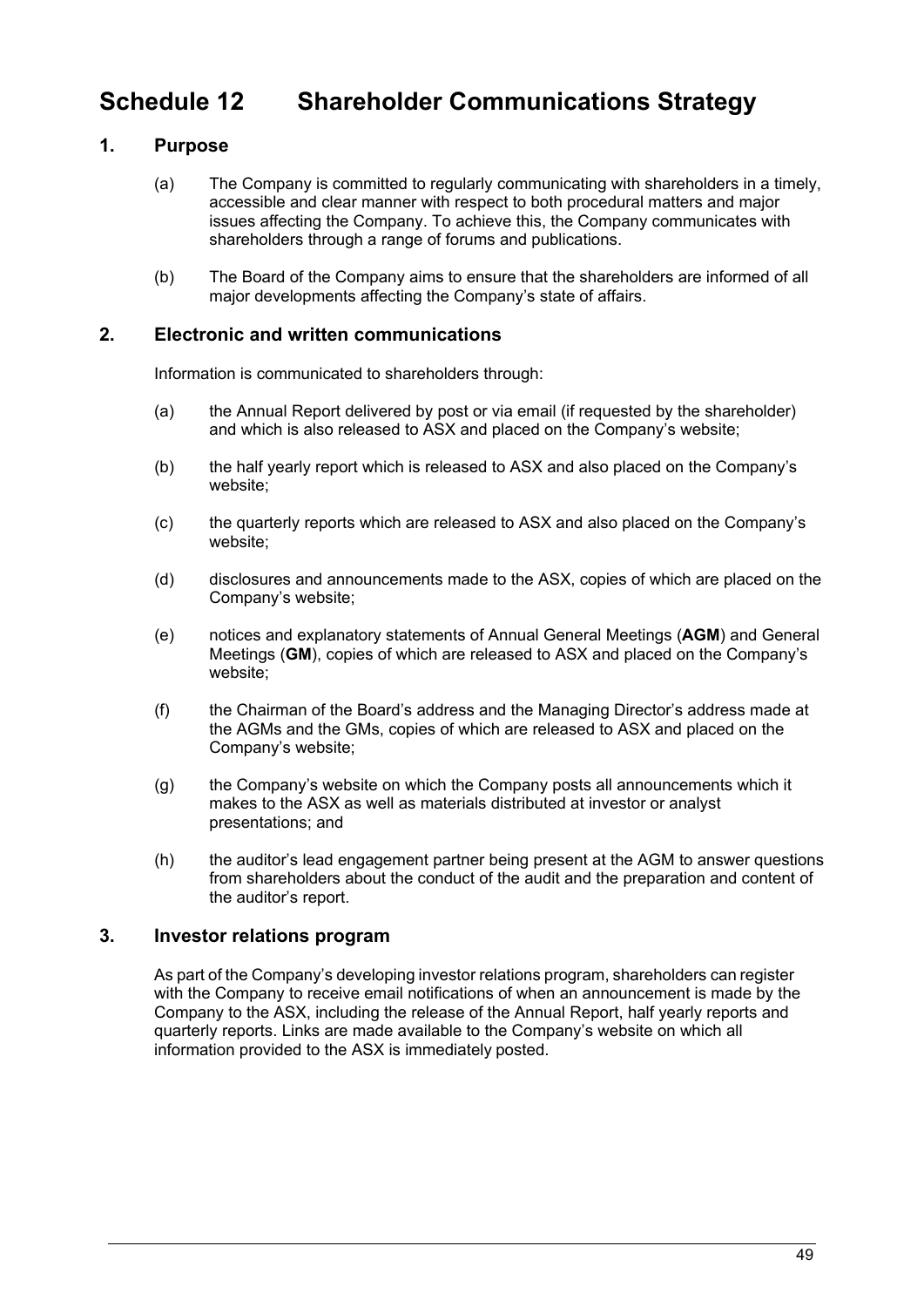# <span id="page-50-0"></span>**Schedule 12 Shareholder Communications Strategy**

# **1. Purpose**

- (a) The Company is committed to regularly communicating with shareholders in a timely, accessible and clear manner with respect to both procedural matters and major issues affecting the Company. To achieve this, the Company communicates with shareholders through a range of forums and publications.
- (b) The Board of the Company aims to ensure that the shareholders are informed of all major developments affecting the Company's state of affairs.

## **2. Electronic and written communications**

Information is communicated to shareholders through:

- (a) the Annual Report delivered by post or via email (if requested by the shareholder) and which is also released to ASX and placed on the Company's website;
- (b) the half yearly report which is released to ASX and also placed on the Company's website;
- (c) the quarterly reports which are released to ASX and also placed on the Company's website;
- (d) disclosures and announcements made to the ASX, copies of which are placed on the Company's website;
- (e) notices and explanatory statements of Annual General Meetings (**AGM**) and General Meetings (**GM**), copies of which are released to ASX and placed on the Company's website;
- (f) the Chairman of the Board's address and the Managing Director's address made at the AGMs and the GMs, copies of which are released to ASX and placed on the Company's website;
- (g) the Company's website on which the Company posts all announcements which it makes to the ASX as well as materials distributed at investor or analyst presentations; and
- (h) the auditor's lead engagement partner being present at the AGM to answer questions from shareholders about the conduct of the audit and the preparation and content of the auditor's report.

# **3. Investor relations program**

As part of the Company's developing investor relations program, shareholders can register with the Company to receive email notifications of when an announcement is made by the Company to the ASX, including the release of the Annual Report, half yearly reports and quarterly reports. Links are made available to the Company's website on which all information provided to the ASX is immediately posted.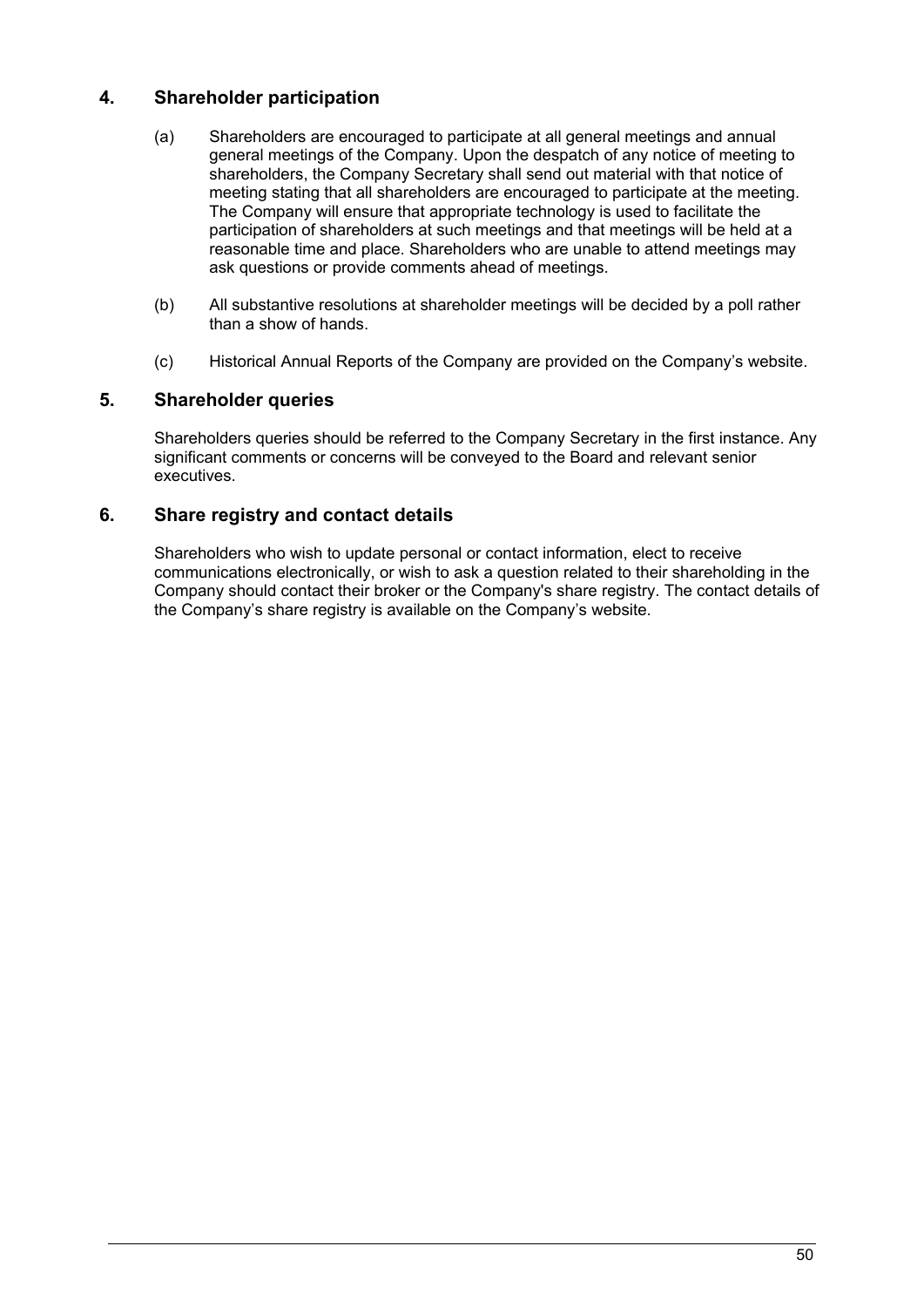# **4. Shareholder participation**

- (a) Shareholders are encouraged to participate at all general meetings and annual general meetings of the Company. Upon the despatch of any notice of meeting to shareholders, the Company Secretary shall send out material with that notice of meeting stating that all shareholders are encouraged to participate at the meeting. The Company will ensure that appropriate technology is used to facilitate the participation of shareholders at such meetings and that meetings will be held at a reasonable time and place. Shareholders who are unable to attend meetings may ask questions or provide comments ahead of meetings.
- (b) All substantive resolutions at shareholder meetings will be decided by a poll rather than a show of hands.
- (c) Historical Annual Reports of the Company are provided on the Company's website.

# **5. Shareholder queries**

Shareholders queries should be referred to the Company Secretary in the first instance. Any significant comments or concerns will be conveyed to the Board and relevant senior executives.

## **6. Share registry and contact details**

Shareholders who wish to update personal or contact information, elect to receive communications electronically, or wish to ask a question related to their shareholding in the Company should contact their broker or the Company's share registry. The contact details of the Company's share registry is available on the Company's website.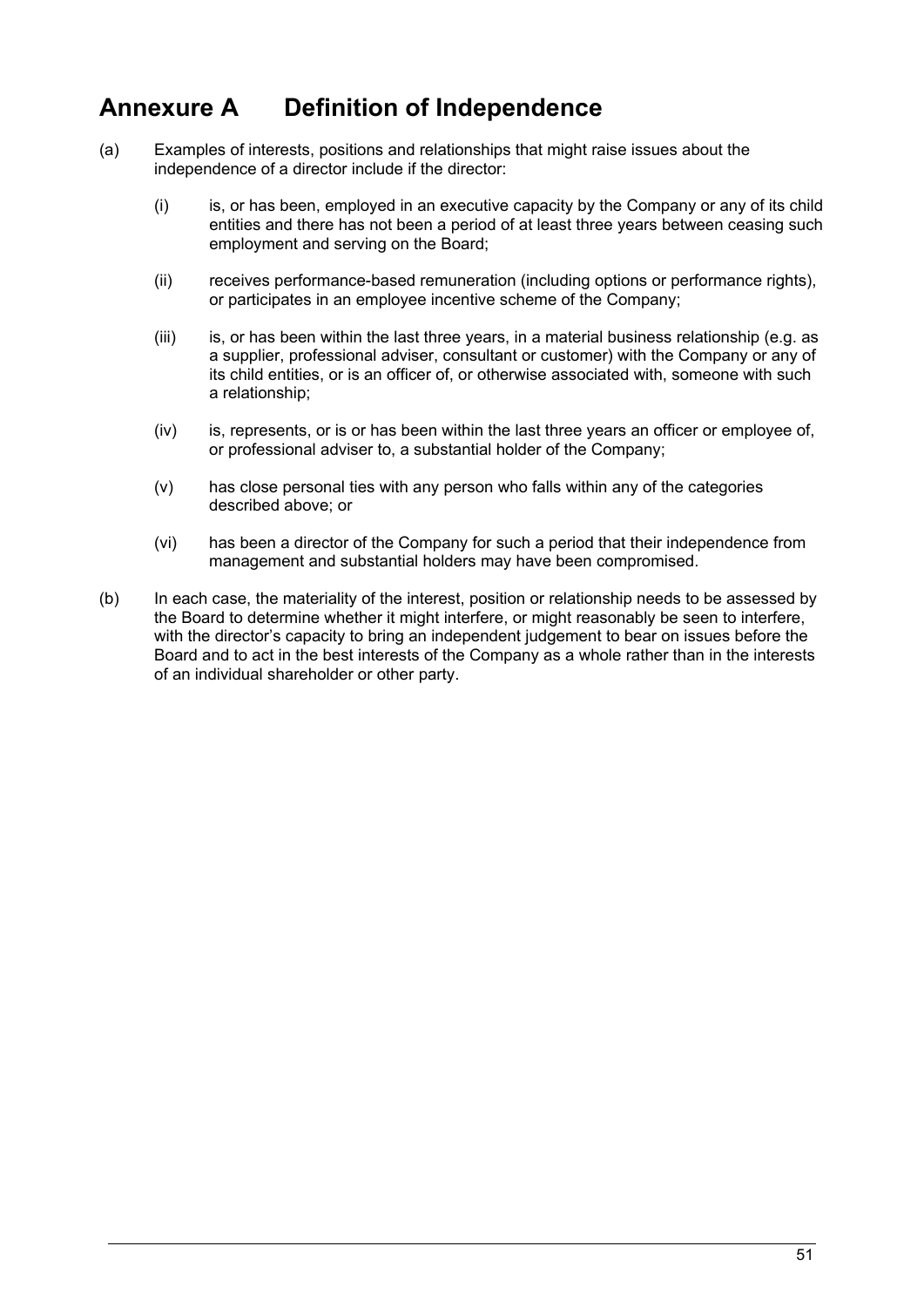# <span id="page-52-0"></span>**Annexure A Definition of Independence**

- (a) Examples of interests, positions and relationships that might raise issues about the independence of a director include if the director:
	- (i) is, or has been, employed in an executive capacity by the Company or any of its child entities and there has not been a period of at least three years between ceasing such employment and serving on the Board;
	- (ii) receives performance-based remuneration (including options or performance rights), or participates in an employee incentive scheme of the Company;
	- $(iii)$  is, or has been within the last three years, in a material business relationship (e.g. as a supplier, professional adviser, consultant or customer) with the Company or any of its child entities, or is an officer of, or otherwise associated with, someone with such a relationship;
	- (iv) is, represents, or is or has been within the last three years an officer or employee of, or professional adviser to, a substantial holder of the Company;
	- (v) has close personal ties with any person who falls within any of the categories described above; or
	- (vi) has been a director of the Company for such a period that their independence from management and substantial holders may have been compromised.
- (b) In each case, the materiality of the interest, position or relationship needs to be assessed by the Board to determine whether it might interfere, or might reasonably be seen to interfere, with the director's capacity to bring an independent judgement to bear on issues before the Board and to act in the best interests of the Company as a whole rather than in the interests of an individual shareholder or other party.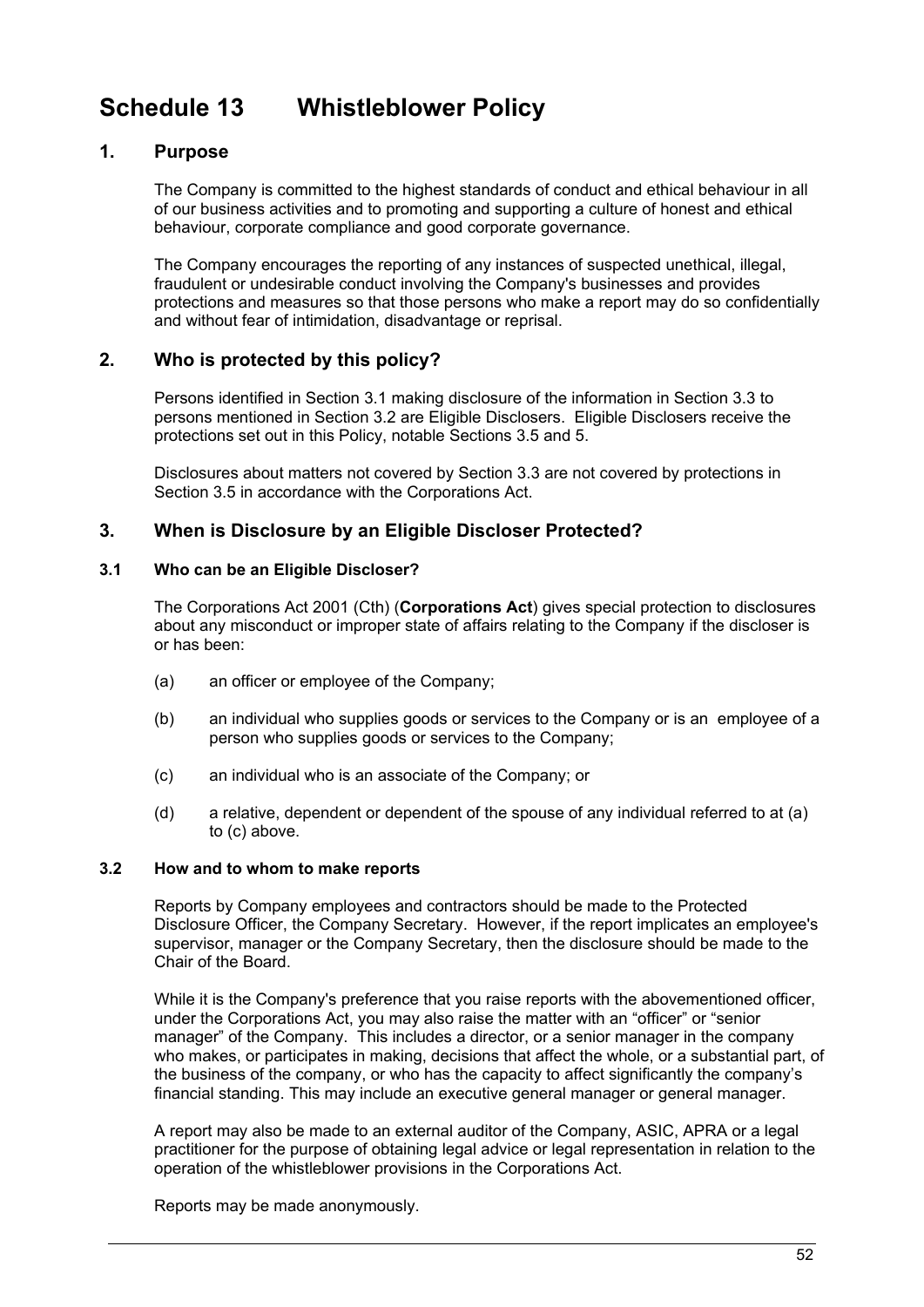# <span id="page-53-0"></span>**Schedule 13 Whistleblower Policy**

## **1. Purpose**

The Company is committed to the highest standards of conduct and ethical behaviour in all of our business activities and to promoting and supporting a culture of honest and ethical behaviour, corporate compliance and good corporate governance.

The Company encourages the reporting of any instances of suspected unethical, illegal, fraudulent or undesirable conduct involving the Company's businesses and provides protections and measures so that those persons who make a report may do so confidentially and without fear of intimidation, disadvantage or reprisal.

# **2. Who is protected by this policy?**

Persons identified in Section [3.1](#page-53-1) making disclosure of the information in Section [3.3](#page-54-0) to persons mentioned in Section [3.2](#page-53-2) are Eligible Disclosers. Eligible Disclosers receive the protections set out in this Policy, notable Sections [3.5](#page-54-1) and [5.](#page-55-0)

Disclosures about matters not covered by Section [3.3](#page-54-0) are not covered by protections in Section [3.5](#page-54-1) in accordance with the Corporations Act.

## <span id="page-53-3"></span>**3. When is Disclosure by an Eligible Discloser Protected?**

#### <span id="page-53-1"></span>**3.1 Who can be an Eligible Discloser?**

The Corporations Act 2001 (Cth) (**Corporations Act**) gives special protection to disclosures about any misconduct or improper state of affairs relating to the Company if the discloser is or has been:

- (a) an officer or employee of the Company;
- (b) an individual who supplies goods or services to the Company or is an employee of a person who supplies goods or services to the Company;
- (c) an individual who is an associate of the Company; or
- (d) a relative, dependent or dependent of the spouse of any individual referred to at (a) to (c) above.

#### <span id="page-53-2"></span>**3.2 How and to whom to make reports**

Reports by Company employees and contractors should be made to the Protected Disclosure Officer, the Company Secretary. However, if the report implicates an employee's supervisor, manager or the Company Secretary, then the disclosure should be made to the Chair of the Board.

While it is the Company's preference that you raise reports with the abovementioned officer, under the Corporations Act, you may also raise the matter with an "officer" or "senior manager" of the Company. This includes a director, or a senior manager in the company who makes, or participates in making, decisions that affect the whole, or a substantial part, of the business of the company, or who has the capacity to affect significantly the company's financial standing. This may include an executive general manager or general manager.

A report may also be made to an external auditor of the Company, ASIC, APRA or a legal practitioner for the purpose of obtaining legal advice or legal representation in relation to the operation of the whistleblower provisions in the Corporations Act.

Reports may be made anonymously.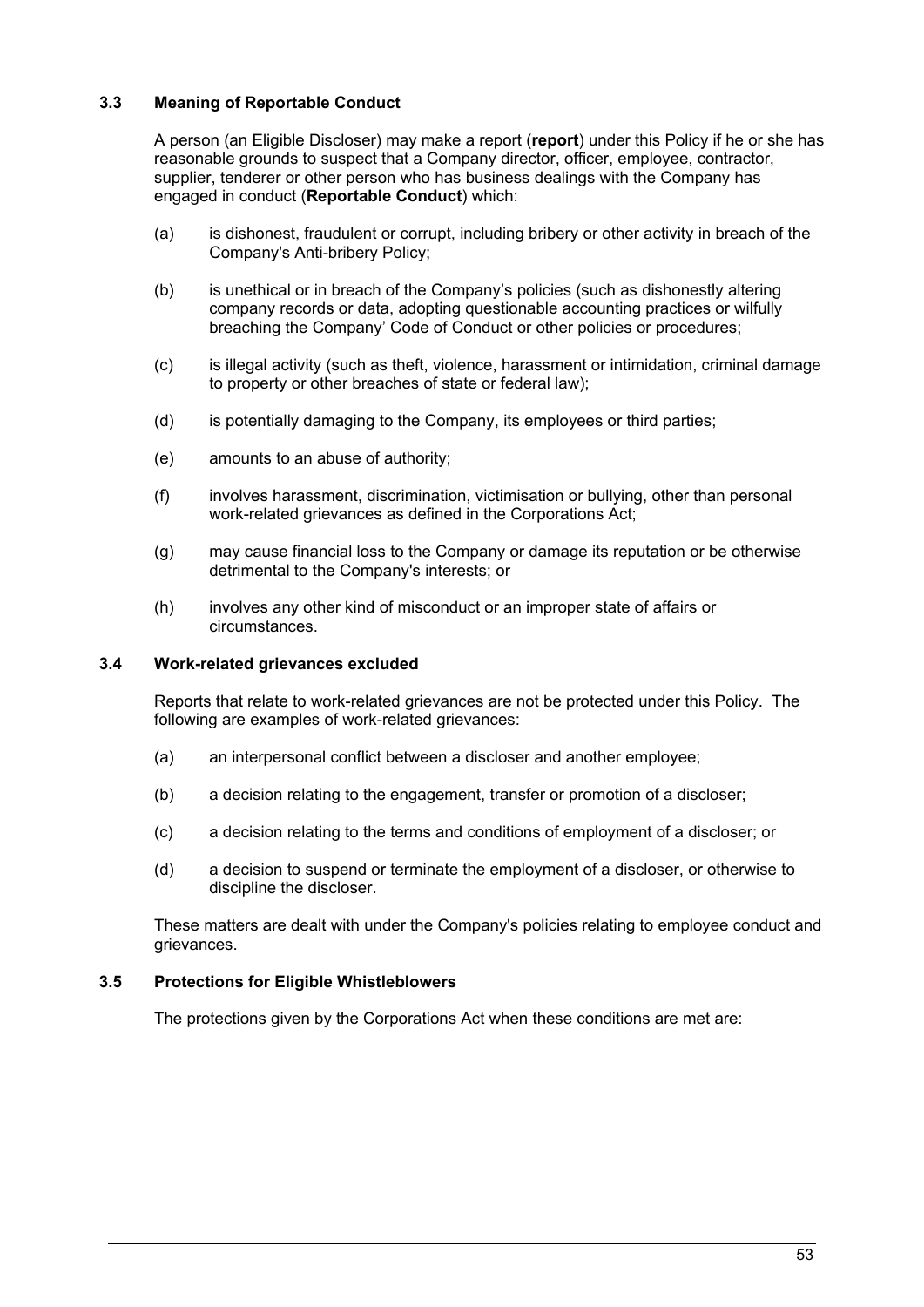### <span id="page-54-0"></span>**3.3 Meaning of Reportable Conduct**

A person (an Eligible Discloser) may make a report (**report**) under this Policy if he or she has reasonable grounds to suspect that a Company director, officer, employee, contractor, supplier, tenderer or other person who has business dealings with the Company has engaged in conduct (**Reportable Conduct**) which:

- (a) is dishonest, fraudulent or corrupt, including bribery or other activity in breach of the Company's Anti-bribery Policy;
- (b) is unethical or in breach of the Company's policies (such as dishonestly altering company records or data, adopting questionable accounting practices or wilfully breaching the Company' Code of Conduct or other policies or procedures;
- (c) is illegal activity (such as theft, violence, harassment or intimidation, criminal damage to property or other breaches of state or federal law);
- (d) is potentially damaging to the Company, its employees or third parties;
- (e) amounts to an abuse of authority;
- (f) involves harassment, discrimination, victimisation or bullying, other than personal work-related grievances as defined in the Corporations Act;
- (g) may cause financial loss to the Company or damage its reputation or be otherwise detrimental to the Company's interests; or
- (h) involves any other kind of misconduct or an improper state of affairs or circumstances.

#### <span id="page-54-2"></span>**3.4 Work-related grievances excluded**

Reports that relate to work-related grievances are not be protected under this Policy. The following are examples of work-related grievances:

- (a) an interpersonal conflict between a discloser and another employee;
- (b) a decision relating to the engagement, transfer or promotion of a discloser;
- (c) a decision relating to the terms and conditions of employment of a discloser; or
- (d) a decision to suspend or terminate the employment of a discloser, or otherwise to discipline the discloser.

These matters are dealt with under the Company's policies relating to employee conduct and grievances.

#### <span id="page-54-1"></span>**3.5 Protections for Eligible Whistleblowers**

The protections given by the Corporations Act when these conditions are met are: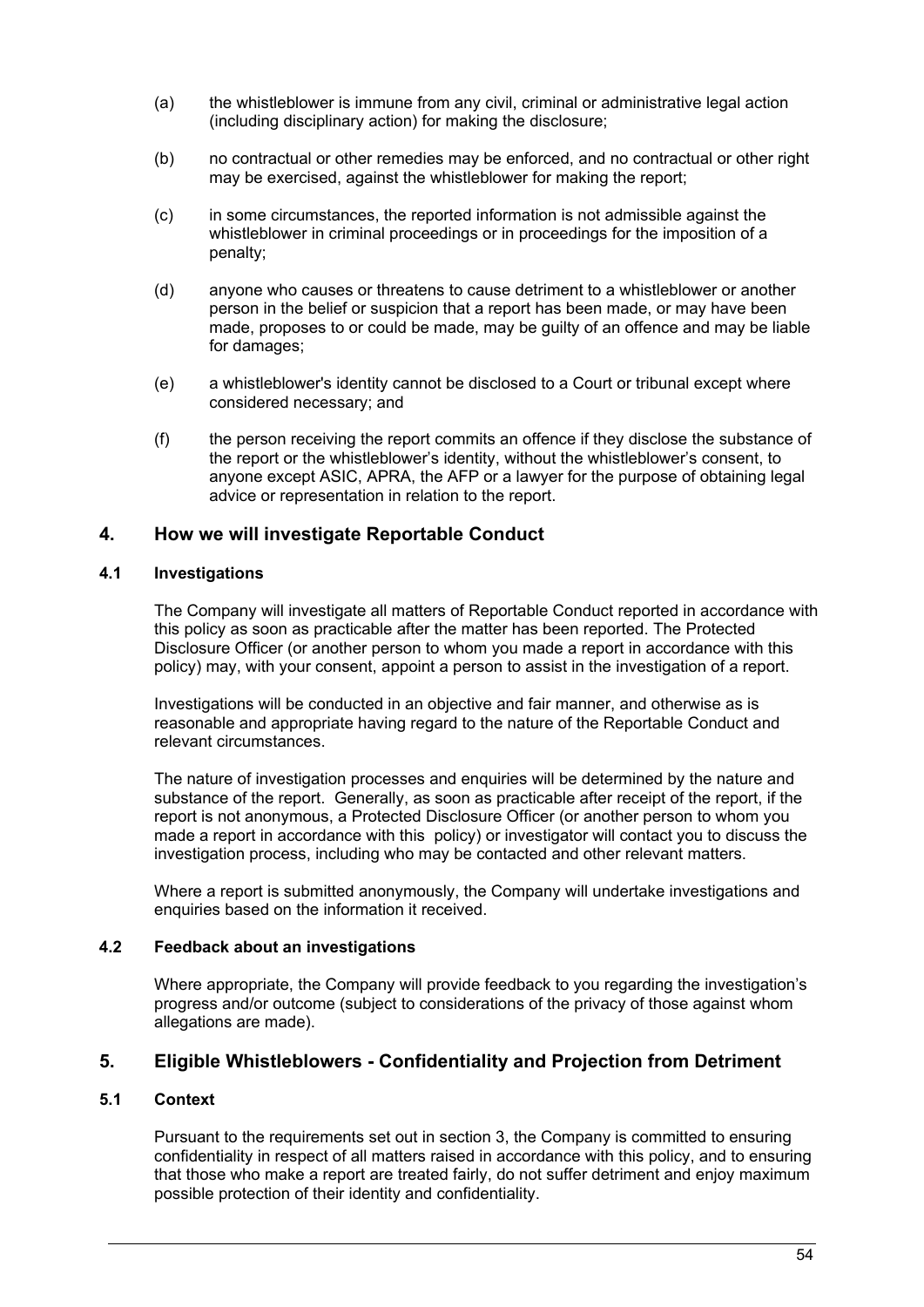- (a) the whistleblower is immune from any civil, criminal or administrative legal action (including disciplinary action) for making the disclosure;
- (b) no contractual or other remedies may be enforced, and no contractual or other right may be exercised, against the whistleblower for making the report;
- (c) in some circumstances, the reported information is not admissible against the whistleblower in criminal proceedings or in proceedings for the imposition of a penalty;
- (d) anyone who causes or threatens to cause detriment to a whistleblower or another person in the belief or suspicion that a report has been made, or may have been made, proposes to or could be made, may be guilty of an offence and may be liable for damages;
- (e) a whistleblower's identity cannot be disclosed to a Court or tribunal except where considered necessary; and
- (f) the person receiving the report commits an offence if they disclose the substance of the report or the whistleblower's identity, without the whistleblower's consent, to anyone except ASIC, APRA, the AFP or a lawyer for the purpose of obtaining legal advice or representation in relation to the report.

### **4. How we will investigate Reportable Conduct**

#### **4.1 Investigations**

The Company will investigate all matters of Reportable Conduct reported in accordance with this policy as soon as practicable after the matter has been reported. The Protected Disclosure Officer (or another person to whom you made a report in accordance with this policy) may, with your consent, appoint a person to assist in the investigation of a report.

Investigations will be conducted in an objective and fair manner, and otherwise as is reasonable and appropriate having regard to the nature of the Reportable Conduct and relevant circumstances.

The nature of investigation processes and enquiries will be determined by the nature and substance of the report. Generally, as soon as practicable after receipt of the report, if the report is not anonymous, a Protected Disclosure Officer (or another person to whom you made a report in accordance with this policy) or investigator will contact you to discuss the investigation process, including who may be contacted and other relevant matters.

Where a report is submitted anonymously, the Company will undertake investigations and enquiries based on the information it received.

#### **4.2 Feedback about an investigations**

Where appropriate, the Company will provide feedback to you regarding the investigation's progress and/or outcome (subject to considerations of the privacy of those against whom allegations are made).

### <span id="page-55-0"></span>**5. Eligible Whistleblowers - Confidentiality and Projection from Detriment**

#### **5.1 Context**

Pursuant to the requirements set out in section [3,](#page-53-3) the Company is committed to ensuring confidentiality in respect of all matters raised in accordance with this policy, and to ensuring that those who make a report are treated fairly, do not suffer detriment and enjoy maximum possible protection of their identity and confidentiality.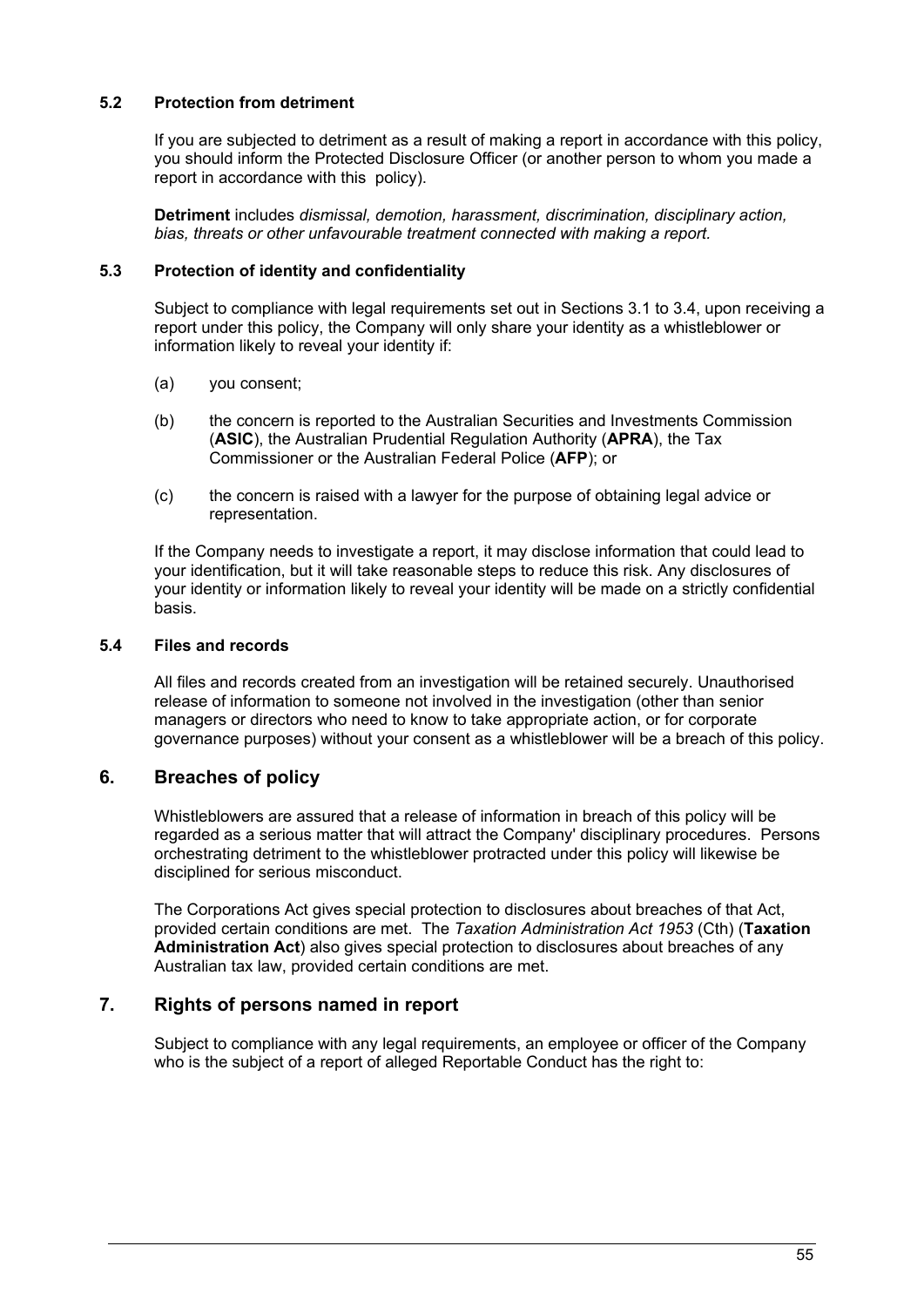### **5.2 Protection from detriment**

If you are subjected to detriment as a result of making a report in accordance with this policy, you should inform the Protected Disclosure Officer (or another person to whom you made a report in accordance with this policy).

**Detriment** includes *dismissal, demotion, harassment, discrimination, disciplinary action, bias, threats or other unfavourable treatment connected with making a report.*

#### **5.3 Protection of identity and confidentiality**

Subject to compliance with legal requirements set out in Sections [3.1](#page-53-1) to [3.4,](#page-54-2) upon receiving a report under this policy, the Company will only share your identity as a whistleblower or information likely to reveal your identity if:

- (a) you consent;
- (b) the concern is reported to the Australian Securities and Investments Commission (**ASIC**), the Australian Prudential Regulation Authority (**APRA**), the Tax Commissioner or the Australian Federal Police (**AFP**); or
- (c) the concern is raised with a lawyer for the purpose of obtaining legal advice or representation.

If the Company needs to investigate a report, it may disclose information that could lead to your identification, but it will take reasonable steps to reduce this risk. Any disclosures of your identity or information likely to reveal your identity will be made on a strictly confidential basis.

#### **5.4 Files and records**

All files and records created from an investigation will be retained securely. Unauthorised release of information to someone not involved in the investigation (other than senior managers or directors who need to know to take appropriate action, or for corporate governance purposes) without your consent as a whistleblower will be a breach of this policy.

# **6. Breaches of policy**

Whistleblowers are assured that a release of information in breach of this policy will be regarded as a serious matter that will attract the Company' disciplinary procedures. Persons orchestrating detriment to the whistleblower protracted under this policy will likewise be disciplined for serious misconduct.

The Corporations Act gives special protection to disclosures about breaches of that Act, provided certain conditions are met. The *Taxation Administration Act 1953* (Cth) (**Taxation Administration Act**) also gives special protection to disclosures about breaches of any Australian tax law, provided certain conditions are met.

# **7. Rights of persons named in report**

Subject to compliance with any legal requirements, an employee or officer of the Company who is the subject of a report of alleged Reportable Conduct has the right to: